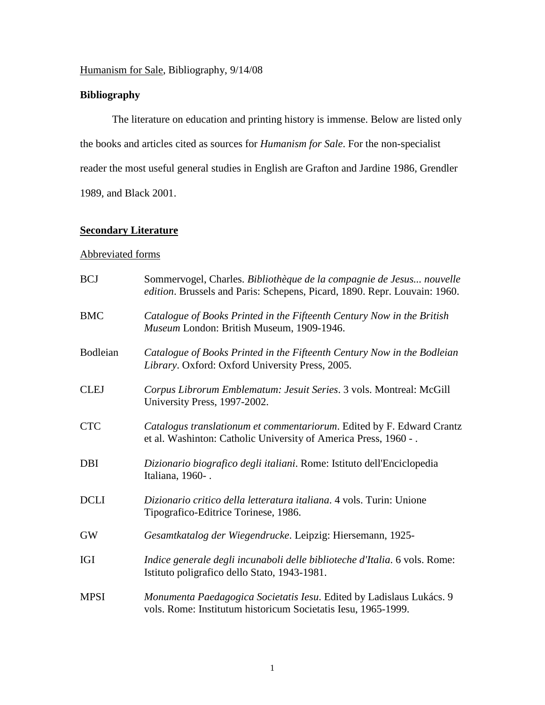## Humanism for Sale, Bibliography, 9/14/08

## **Bibliography**

The literature on education and printing history is immense. Below are listed only the books and articles cited as sources for *Humanism for Sale*. For the non-specialist reader the most useful general studies in English are Grafton and Jardine 1986, Grendler 1989, and Black 2001.

## **Secondary Literature**

## Abbreviated forms

| <b>BCJ</b>  | Sommervogel, Charles. Bibliothèque de la compagnie de Jesus nouvelle<br>edition. Brussels and Paris: Schepens, Picard, 1890. Repr. Louvain: 1960. |
|-------------|---------------------------------------------------------------------------------------------------------------------------------------------------|
| <b>BMC</b>  | Catalogue of Books Printed in the Fifteenth Century Now in the British<br>Museum London: British Museum, 1909-1946.                               |
| Bodleian    | Catalogue of Books Printed in the Fifteenth Century Now in the Bodleian<br>Library. Oxford: Oxford University Press, 2005.                        |
| <b>CLEJ</b> | Corpus Librorum Emblematum: Jesuit Series. 3 vols. Montreal: McGill<br>University Press, 1997-2002.                                               |
| <b>CTC</b>  | Catalogus translationum et commentariorum. Edited by F. Edward Crantz<br>et al. Washinton: Catholic University of America Press, 1960 - .         |
| <b>DBI</b>  | Dizionario biografico degli italiani. Rome: Istituto dell'Enciclopedia<br>Italiana, 1960-.                                                        |
| <b>DCLI</b> | Dizionario critico della letteratura italiana. 4 vols. Turin: Unione<br>Tipografico-Editrice Torinese, 1986.                                      |
| <b>GW</b>   | Gesamtkatalog der Wiegendrucke. Leipzig: Hiersemann, 1925-                                                                                        |
| <b>IGI</b>  | Indice generale degli incunaboli delle biblioteche d'Italia. 6 vols. Rome:<br>Istituto poligrafico dello Stato, 1943-1981.                        |
| <b>MPSI</b> | Monumenta Paedagogica Societatis Iesu. Edited by Ladislaus Lukács. 9<br>vols. Rome: Institutum historicum Societatis Iesu, 1965-1999.             |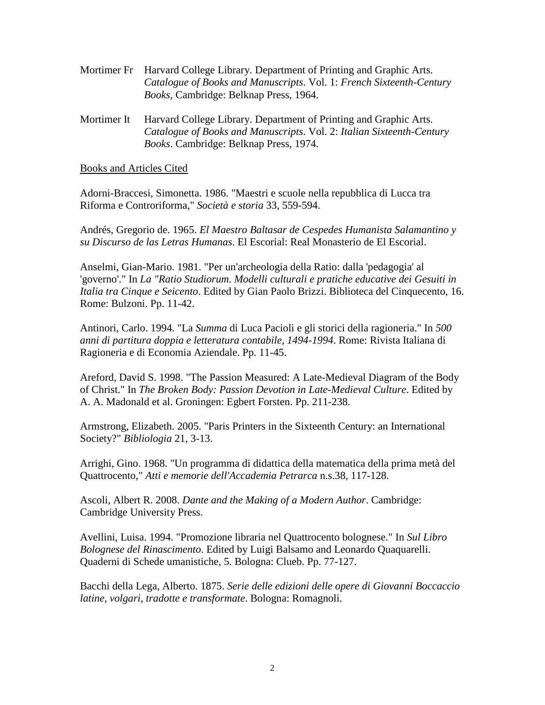- Mortimer Fr Harvard College Library. Department of Printing and Graphic Arts. *Catalogue of Books and Manuscripts*. Vol. 1: *French Sixteenth-Century Books*, Cambridge: Belknap Press, 1964.
- Mortimer It Harvard College Library. Department of Printing and Graphic Arts. *Catalogue of Books and Manuscripts*. Vol. 2: *Italian Sixteenth-Century Books*. Cambridge: Belknap Press, 1974.

Books and Articles Cited

Adorni-Braccesi, Simonetta. 1986. "Maestri e scuole nella repubblica di Lucca tra Riforma e Controriforma," *Società e storia* 33, 559-594.

Andrés, Gregorio de. 1965. *El Maestro Baltasar de Cespedes Humanista Salamantino y su Discurso de las Letras Humanas*. El Escorial: Real Monasterio de El Escorial.

Anselmi, Gian-Mario. 1981. "Per un'archeologia della Ratio: dalla 'pedagogia' al 'governo'." In *La "Ratio Studiorum. Modelli culturali e pratiche educative dei Gesuiti in Italia tra Cinque e Seicento*. Edited by Gian Paolo Brizzi. Biblioteca del Cinquecento, 16. Rome: Bulzoni. Pp. 11-42.

Antinori, Carlo. 1994. "La *Summa* di Luca Pacioli e gli storici della ragioneria." In *500 anni di partitura doppia e letteratura contabile, 1494-1994*. Rome: Rivista Italiana di Ragioneria e di Economia Aziendale. Pp. 11-45.

Areford, David S. 1998. "The Passion Measured: A Late-Medieval Diagram of the Body of Christ." In *The Broken Body: Passion Devotion in Late-Medieval Culture*. Edited by A. A. Madonald et al. Groningen: Egbert Forsten. Pp. 211-238.

Armstrong, Elizabeth. 2005. "Paris Printers in the Sixteenth Century: an International Society?" *Bibliologia* 21, 3-13.

Arrighi, Gino. 1968. "Un programma di didattica della matematica della prima metà del Quattrocento," *Atti e memorie dell'Accademia Petrarca* n.s.38, 117-128.

Ascoli, Albert R. 2008. *Dante and the Making of a Modern Author*. Cambridge: Cambridge University Press.

Avellini, Luisa. 1994. "Promozione libraria nel Quattrocento bolognese." In *Sul Libro Bolognese del Rinascimento*. Edited by Luigi Balsamo and Leonardo Quaquarelli. Quaderni di Schede umanistiche, 5. Bologna: Clueb. Pp. 77-127.

Bacchi della Lega, Alberto. 1875. *Serie delle edizioni delle opere di Giovanni Boccaccio latine, volgari, tradotte e transformate*. Bologna: Romagnoli.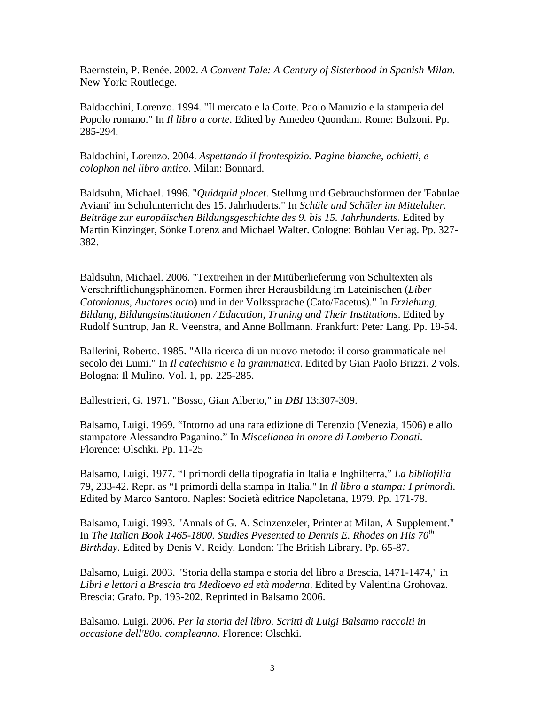Baernstein, P. Renée. 2002. *A Convent Tale: A Century of Sisterhood in Spanish Milan*. New York: Routledge.

Baldacchini, Lorenzo. 1994. "Il mercato e la Corte. Paolo Manuzio e la stamperia del Popolo romano." In *Il libro a corte*. Edited by Amedeo Quondam. Rome: Bulzoni. Pp. 285-294.

Baldachini, Lorenzo. 2004. *Aspettando il frontespizio. Pagine bianche, ochietti, e colophon nel libro antico*. Milan: Bonnard.

Baldsuhn, Michael. 1996. "*Quidquid placet*. Stellung und Gebrauchsformen der 'Fabulae Aviani' im Schulunterricht des 15. Jahrhuderts." In *Schüle und Schüler im Mittelalter. Beiträge zur europäischen Bildungsgeschichte des 9. bis 15. Jahrhunderts*. Edited by Martin Kinzinger, Sönke Lorenz and Michael Walter. Cologne: Böhlau Verlag. Pp. 327- 382.

Baldsuhn, Michael. 2006. "Textreihen in der Mitüberlieferung von Schultexten als Verschriftlichungsphänomen. Formen ihrer Herausbildung im Lateinischen (*Liber Catonianus, Auctores octo*) und in der Volkssprache (Cato/Facetus)." In *Erziehung, Bildung, Bildungsinstitutionen / Education, Traning and Their Institutions*. Edited by Rudolf Suntrup, Jan R. Veenstra, and Anne Bollmann. Frankfurt: Peter Lang. Pp. 19-54.

Ballerini, Roberto. 1985. "Alla ricerca di un nuovo metodo: il corso grammaticale nel secolo dei Lumi." In *Il catechismo e la grammatica*. Edited by Gian Paolo Brizzi. 2 vols. Bologna: Il Mulino. Vol. 1, pp. 225-285.

Ballestrieri, G. 1971. "Bosso, Gian Alberto," in *DBI* 13:307-309.

Balsamo, Luigi. 1969. "Intorno ad una rara edizione di Terenzio (Venezia, 1506) e allo stampatore Alessandro Paganino." In *Miscellanea in onore di Lamberto Donati*. Florence: Olschki. Pp. 11-25

Balsamo, Luigi. 1977. "I primordi della tipografia in Italia e Inghilterra," *La bibliofilía* 79, 233-42. Repr. as "I primordi della stampa in Italia." In *Il libro a stampa: I primordi*. Edited by Marco Santoro. Naples: Società editrice Napoletana, 1979. Pp. 171-78.

Balsamo, Luigi. 1993. "Annals of G. A. Scinzenzeler, Printer at Milan, A Supplement." In *The Italian Book 1465-1800. Studies Pvesented to Dennis E. Rhodes on His 70th Birthday*. Edited by Denis V. Reidy. London: The British Library. Pp. 65-87.

Balsamo, Luigi. 2003. "Storia della stampa e storia del libro a Brescia, 1471-1474," in *Libri e lettori a Brescia tra Medioevo ed età moderna*. Edited by Valentina Grohovaz. Brescia: Grafo. Pp. 193-202. Reprinted in Balsamo 2006.

Balsamo. Luigi. 2006. *Per la storia del libro. Scritti di Luigi Balsamo raccolti in occasione dell'80o. compleanno*. Florence: Olschki.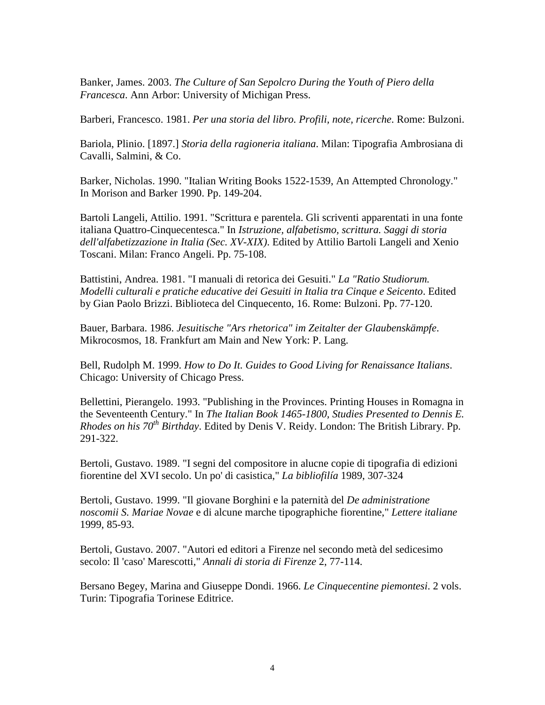Banker, James. 2003. *The Culture of San Sepolcro During the Youth of Piero della Francesca*. Ann Arbor: University of Michigan Press.

Barberi, Francesco. 1981. *Per una storia del libro. Profili, note, ricerche*. Rome: Bulzoni.

Bariola, Plinio. [1897.] *Storia della ragioneria italiana*. Milan: Tipografia Ambrosiana di Cavalli, Salmini, & Co.

Barker, Nicholas. 1990. "Italian Writing Books 1522-1539, An Attempted Chronology." In Morison and Barker 1990. Pp. 149-204.

Bartoli Langeli, Attilio. 1991. "Scrittura e parentela. Gli scriventi apparentati in una fonte italiana Quattro-Cinquecentesca." In *Istruzione, alfabetismo, scrittura. Saggi di storia dell'alfabetizzazione in Italia (Sec. XV-XIX)*. Edited by Attilio Bartoli Langeli and Xenio Toscani. Milan: Franco Angeli. Pp. 75-108.

Battistini, Andrea. 1981. "I manuali di retorica dei Gesuiti." *La "Ratio Studiorum. Modelli culturali e pratiche educative dei Gesuiti in Italia tra Cinque e Seicento*. Edited by Gian Paolo Brizzi. Biblioteca del Cinquecento, 16. Rome: Bulzoni. Pp. 77-120.

Bauer, Barbara. 1986. *Jesuitische "Ars rhetorica" im Zeitalter der Glaubenskämpfe*. Mikrocosmos, 18. Frankfurt am Main and New York: P. Lang.

Bell, Rudolph M. 1999. *How to Do It. Guides to Good Living for Renaissance Italians*. Chicago: University of Chicago Press.

Bellettini, Pierangelo. 1993. "Publishing in the Provinces. Printing Houses in Romagna in the Seventeenth Century." In *The Italian Book 1465-1800, Studies Presented to Dennis E. Rhodes on his 70th Birthday*. Edited by Denis V. Reidy. London: The British Library. Pp. 291-322.

Bertoli, Gustavo. 1989. "I segni del compositore in alucne copie di tipografia di edizioni fiorentine del XVI secolo. Un po' di casistica," *La bibliofilía* 1989, 307-324

Bertoli, Gustavo. 1999. "Il giovane Borghini e la paternità del *De administratione noscomii S. Mariae Novae* e di alcune marche tipographiche fiorentine," *Lettere italiane* 1999, 85-93.

Bertoli, Gustavo. 2007. "Autori ed editori a Firenze nel secondo metà del sedicesimo secolo: Il 'caso' Marescotti," *Annali di storia di Firenze* 2, 77-114.

Bersano Begey, Marina and Giuseppe Dondi. 1966. *Le Cinquecentine piemontesi*. 2 vols. Turin: Tipografia Torinese Editrice.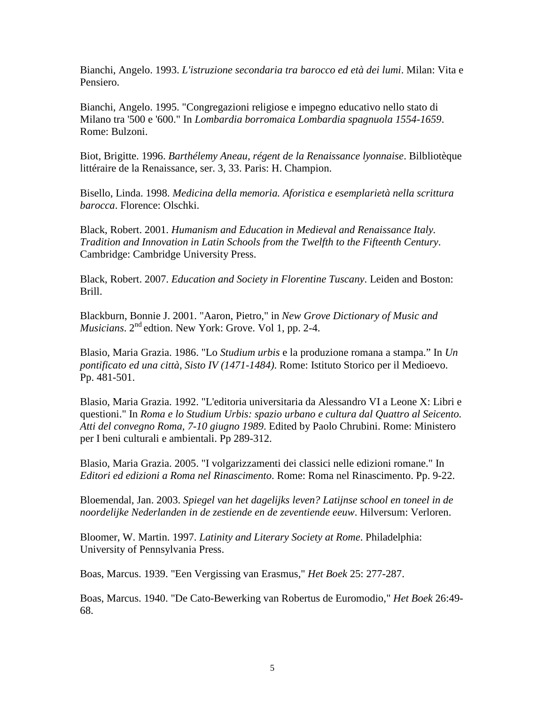Bianchi, Angelo. 1993. *L'istruzione secondaria tra barocco ed età dei lumi*. Milan: Vita e Pensiero.

Bianchi, Angelo. 1995. "Congregazioni religiose e impegno educativo nello stato di Milano tra '500 e '600." In *Lombardia borromaica Lombardia spagnuola 1554-1659*. Rome: Bulzoni.

Biot, Brigitte. 1996. *Barthélemy Aneau, régent de la Renaissance lyonnaise*. Bilbliotèque littéraire de la Renaissance, ser. 3, 33. Paris: H. Champion.

Bisello, Linda. 1998. *Medicina della memoria. Aforistica e esemplarietà nella scrittura barocca*. Florence: Olschki.

Black, Robert. 2001. *Humanism and Education in Medieval and Renaissance Italy. Tradition and Innovation in Latin Schools from the Twelfth to the Fifteenth Century*. Cambridge: Cambridge University Press.

Black, Robert. 2007. *Education and Society in Florentine Tuscany*. Leiden and Boston: Brill.

Blackburn, Bonnie J. 2001. "Aaron, Pietro," in *New Grove Dictionary of Music and Musicians*. 2<sup>nd</sup> edtion. New York: Grove. Vol 1, pp. 2-4.

Blasio, Maria Grazia. 1986. "Lo *Studium urbis* e la produzione romana a stampa." In *Un pontificato ed una città, Sisto IV (1471-1484)*. Rome: Istituto Storico per il Medioevo. Pp. 481-501.

Blasio, Maria Grazia. 1992. "L'editoria universitaria da Alessandro VI a Leone X: Libri e questioni." In *Roma e lo Studium Urbis: spazio urbano e cultura dal Quattro al Seicento. Atti del convegno Roma, 7-10 giugno 1989*. Edited by Paolo Chrubini. Rome: Ministero per I beni culturali e ambientali. Pp 289-312.

Blasio, Maria Grazia. 2005. "I volgarizzamenti dei classici nelle edizioni romane." In *Editori ed edizioni a Roma nel Rinascimento*. Rome: Roma nel Rinascimento. Pp. 9-22.

Bloemendal, Jan. 2003. *Spiegel van het dagelijks leven? Latijnse school en toneel in de noordelijke Nederlanden in de zestiende en de zeventiende eeuw*. Hilversum: Verloren.

Bloomer, W. Martin. 1997. *Latinity and Literary Society at Rome*. Philadelphia: University of Pennsylvania Press.

Boas, Marcus. 1939. "Een Vergissing van Erasmus," *Het Boek* 25: 277-287.

Boas, Marcus. 1940. "De Cato-Bewerking van Robertus de Euromodio," *Het Boek* 26:49- 68.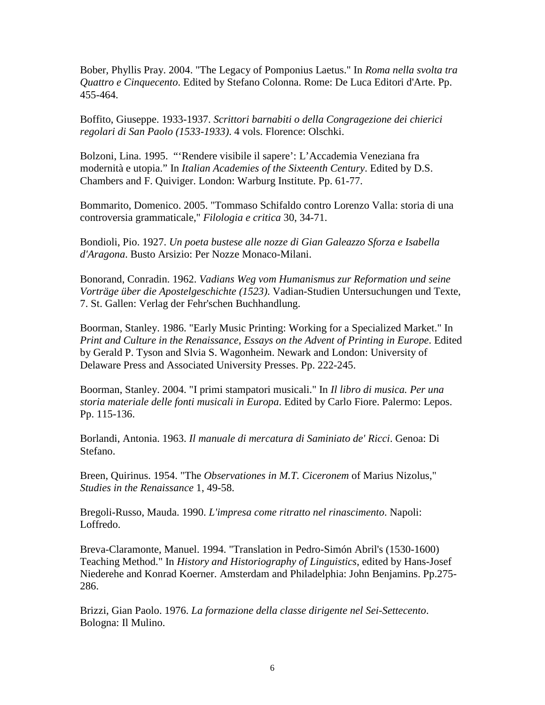Bober, Phyllis Pray. 2004. "The Legacy of Pomponius Laetus." In *Roma nella svolta tra Quattro e Cinquecento*. Edited by Stefano Colonna. Rome: De Luca Editori d'Arte. Pp. 455-464.

Boffito, Giuseppe. 1933-1937. *Scrittori barnabiti o della Congragezione dei chierici regolari di San Paolo (1533-1933)*. 4 vols. Florence: Olschki.

Bolzoni, Lina. 1995. "'Rendere visibile il sapere': L'Accademia Veneziana fra modernità e utopia." In *Italian Academies of the Sixteenth Century*. Edited by D.S. Chambers and F. Quiviger. London: Warburg Institute. Pp. 61-77.

Bommarito, Domenico. 2005. "Tommaso Schifaldo contro Lorenzo Valla: storia di una controversia grammaticale," *Filologia e critica* 30, 34-71.

Bondioli, Pio. 1927. *Un poeta bustese alle nozze di Gian Galeazzo Sforza e Isabella d'Aragona*. Busto Arsizio: Per Nozze Monaco-Milani.

Bonorand, Conradin. 1962. *Vadians Weg vom Humanismus zur Reformation und seine Vorträge über die Apostelgeschichte (1523)*. Vadian-Studien Untersuchungen und Texte, 7. St. Gallen: Verlag der Fehr'schen Buchhandlung.

Boorman, Stanley. 1986. "Early Music Printing: Working for a Specialized Market." In *Print and Culture in the Renaissance, Essays on the Advent of Printing in Europe*. Edited by Gerald P. Tyson and Slvia S. Wagonheim. Newark and London: University of Delaware Press and Associated University Presses. Pp. 222-245.

Boorman, Stanley. 2004. "I primi stampatori musicali." In *Il libro di musica. Per una storia materiale delle fonti musicali in Europa*. Edited by Carlo Fiore. Palermo: Lepos. Pp. 115-136.

Borlandi, Antonia. 1963. *Il manuale di mercatura di Saminiato de' Ricci*. Genoa: Di Stefano.

Breen, Quirinus. 1954. "The *Observationes in M.T. Ciceronem* of Marius Nizolus," *Studies in the Renaissance* 1, 49-58.

Bregoli-Russo, Mauda. 1990. *L'impresa come ritratto nel rinascimento*. Napoli: Loffredo.

Breva-Claramonte, Manuel. 1994. "Translation in Pedro-Simón Abril's (1530-1600) Teaching Method." In *History and Historiography of Linguistics*, edited by Hans-Josef Niederehe and Konrad Koerner. Amsterdam and Philadelphia: John Benjamins. Pp.275- 286.

Brizzi, Gian Paolo. 1976. *La formazione della classe dirigente nel Sei-Settecento*. Bologna: Il Mulino.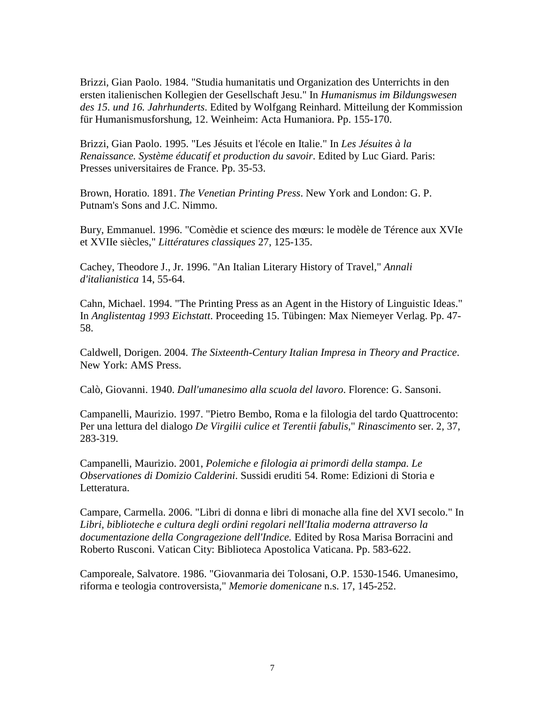Brizzi, Gian Paolo. 1984. "Studia humanitatis und Organization des Unterrichts in den ersten italienischen Kollegien der Gesellschaft Jesu." In *Humanismus im Bildungswesen des 15. und 16. Jahrhunderts*. Edited by Wolfgang Reinhard. Mitteilung der Kommission für Humanismusforshung, 12. Weinheim: Acta Humaniora. Pp. 155-170.

Brizzi, Gian Paolo. 1995. "Les Jésuits et l'école en Italie." In *Les Jésuites à la Renaissance. Système éducatif et production du savoir*. Edited by Luc Giard. Paris: Presses universitaires de France. Pp. 35-53.

Brown, Horatio. 1891. *The Venetian Printing Press*. New York and London: G. P. Putnam's Sons and J.C. Nimmo.

Bury, Emmanuel. 1996. "Comèdie et science des mœurs: le modèle de Térence aux XVIe et XVIIe siècles," *Littératures classiques* 27, 125-135.

Cachey, Theodore J., Jr. 1996. "An Italian Literary History of Travel," *Annali d'italianistica* 14, 55-64.

Cahn, Michael. 1994. "The Printing Press as an Agent in the History of Linguistic Ideas." In *Anglistentag 1993 Eichstatt*. Proceeding 15. Tübingen: Max Niemeyer Verlag. Pp. 47- 58.

Caldwell, Dorigen. 2004. *The Sixteenth-Century Italian Impresa in Theory and Practice*. New York: AMS Press.

Calò, Giovanni. 1940. *Dall'umanesimo alla scuola del lavoro*. Florence: G. Sansoni.

Campanelli, Maurizio. 1997. "Pietro Bembo, Roma e la filologia del tardo Quattrocento: Per una lettura del dialogo *De Virgilii culice et Terentii fabulis*," *Rinascimento* ser. 2, 37, 283-319.

Campanelli, Maurizio. 2001, *Polemiche e filologia ai primordi della stampa. Le Observationes di Domizio Calderini*. Sussidi eruditi 54. Rome: Edizioni di Storia e Letteratura.

Campare, Carmella. 2006. "Libri di donna e libri di monache alla fine del XVI secolo." In *Libri, biblioteche e cultura degli ordini regolari nell'Italia moderna attraverso la documentazione della Congragezione dell'Indice.* Edited by Rosa Marisa Borracini and Roberto Rusconi. Vatican City: Biblioteca Apostolica Vaticana. Pp. 583-622.

Camporeale, Salvatore. 1986. "Giovanmaria dei Tolosani, O.P. 1530-1546. Umanesimo, riforma e teologia controversista," *Memorie domenicane* n.s. 17, 145-252.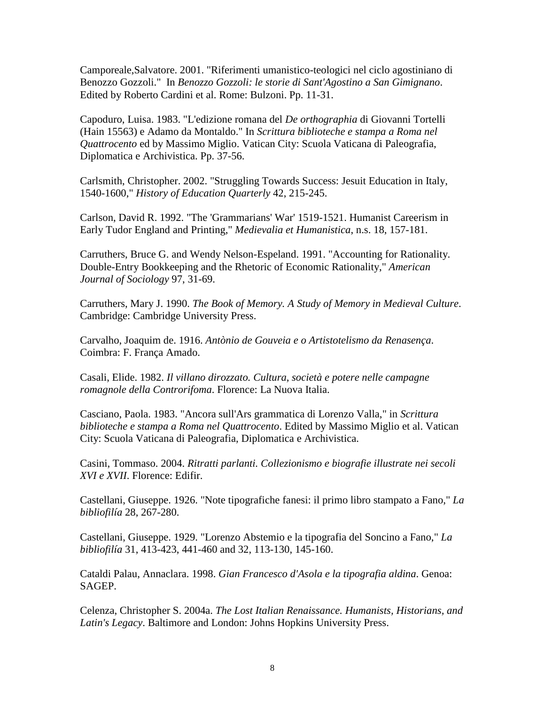Camporeale,Salvatore. 2001. "Riferimenti umanistico-teologici nel ciclo agostiniano di Benozzo Gozzoli." In *Benozzo Gozzoli: le storie di Sant'Agostino a San Gimignano*. Edited by Roberto Cardini et al. Rome: Bulzoni. Pp. 11-31.

Capoduro, Luisa. 1983. "L'edizione romana del *De orthographia* di Giovanni Tortelli (Hain 15563) e Adamo da Montaldo." In *Scrittura biblioteche e stampa a Roma nel Quattrocento* ed by Massimo Miglio. Vatican City: Scuola Vaticana di Paleografia, Diplomatica e Archivistica. Pp. 37-56.

Carlsmith, Christopher. 2002. "Struggling Towards Success: Jesuit Education in Italy, 1540-1600," *History of Education Quarterly* 42, 215-245.

Carlson, David R. 1992. "The 'Grammarians' War' 1519-1521. Humanist Careerism in Early Tudor England and Printing," *Medievalia et Humanistica*, n.s. 18, 157-181.

Carruthers, Bruce G. and Wendy Nelson-Espeland. 1991. "Accounting for Rationality. Double-Entry Bookkeeping and the Rhetoric of Economic Rationality," *American Journal of Sociology* 97, 31-69.

Carruthers, Mary J. 1990. *The Book of Memory. A Study of Memory in Medieval Culture*. Cambridge: Cambridge University Press.

Carvalho, Joaquim de. 1916. *Antònio de Gouveia e o Artistotelismo da Renasença*. Coimbra: F. França Amado.

Casali, Elide. 1982. *Il villano dirozzato. Cultura, società e potere nelle campagne romagnole della Controrifoma*. Florence: La Nuova Italia.

Casciano, Paola. 1983. "Ancora sull'Ars grammatica di Lorenzo Valla," in *Scrittura biblioteche e stampa a Roma nel Quattrocento*. Edited by Massimo Miglio et al. Vatican City: Scuola Vaticana di Paleografia, Diplomatica e Archivistica.

Casini, Tommaso. 2004. *Ritratti parlanti. Collezionismo e biografie illustrate nei secoli XVI e XVII*. Florence: Edifir.

Castellani, Giuseppe. 1926. "Note tipografiche fanesi: il primo libro stampato a Fano," *La bibliofilía* 28, 267-280.

Castellani, Giuseppe. 1929. "Lorenzo Abstemio e la tipografia del Soncino a Fano," *La bibliofilía* 31, 413-423, 441-460 and 32, 113-130, 145-160.

Cataldi Palau, Annaclara. 1998. *Gian Francesco d'Asola e la tipografia aldina*. Genoa: SAGEP.

Celenza, Christopher S. 2004a. *The Lost Italian Renaissance. Humanists, Historians, and Latin's Legacy*. Baltimore and London: Johns Hopkins University Press.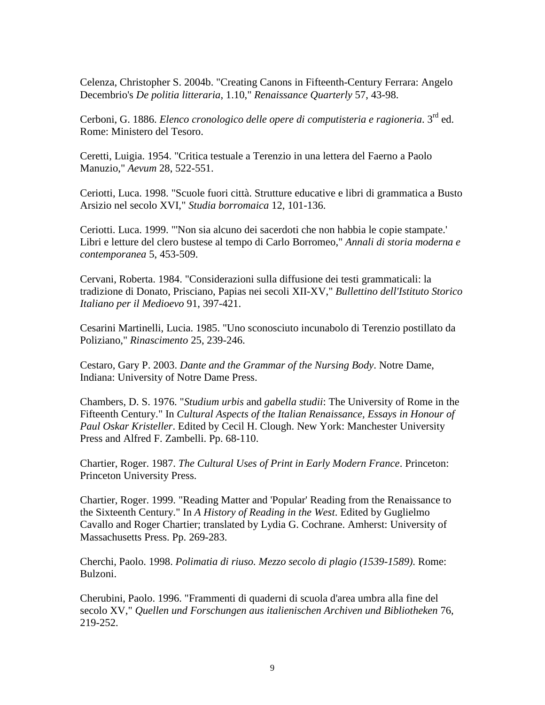Celenza, Christopher S. 2004b. "Creating Canons in Fifteenth-Century Ferrara: Angelo Decembrio's *De politia litteraria*, 1.10," *Renaissance Quarterly* 57, 43-98.

Cerboni, G. 1886. *Elenco cronologico delle opere di computisteria e ragioneria*. 3rd ed. Rome: Ministero del Tesoro.

Ceretti, Luigia. 1954. "Critica testuale a Terenzio in una lettera del Faerno a Paolo Manuzio," *Aevum* 28, 522-551.

Ceriotti, Luca. 1998. "Scuole fuori città. Strutture educative e libri di grammatica a Busto Arsizio nel secolo XVI," *Studia borromaica* 12, 101-136.

Ceriotti. Luca. 1999. "'Non sia alcuno dei sacerdoti che non habbia le copie stampate.' Libri e letture del clero bustese al tempo di Carlo Borromeo," *Annali di storia moderna e contemporanea* 5, 453-509.

Cervani, Roberta. 1984. "Considerazioni sulla diffusione dei testi grammaticali: la tradizione di Donato, Prisciano, Papias nei secoli XII-XV," *Bullettino dell'Istituto Storico Italiano per il Medioevo* 91, 397-421.

Cesarini Martinelli, Lucia. 1985. "Uno sconosciuto incunabolo di Terenzio postillato da Poliziano," *Rinascimento* 25, 239-246.

Cestaro, Gary P. 2003. *Dante and the Grammar of the Nursing Body*. Notre Dame, Indiana: University of Notre Dame Press.

Chambers, D. S. 1976. "*Studium urbis* and *gabella studii*: The University of Rome in the Fifteenth Century." In *Cultural Aspects of the Italian Renaissance, Essays in Honour of Paul Oskar Kristeller*. Edited by Cecil H. Clough. New York: Manchester University Press and Alfred F. Zambelli. Pp. 68-110.

Chartier, Roger. 1987. *The Cultural Uses of Print in Early Modern France*. Princeton: Princeton University Press.

Chartier, Roger. 1999. "Reading Matter and 'Popular' Reading from the Renaissance to the Sixteenth Century." In *A History of Reading in the West*. Edited by Guglielmo Cavallo and Roger Chartier; translated by Lydia G. Cochrane. Amherst: University of Massachusetts Press. Pp. 269-283.

Cherchi, Paolo. 1998. *Polimatia di riuso. Mezzo secolo di plagio (1539-1589)*. Rome: Bulzoni.

Cherubini, Paolo. 1996. "Frammenti di quaderni di scuola d'area umbra alla fine del secolo XV," *Quellen und Forschungen aus italienischen Archiven und Bibliotheken* 76, 219-252.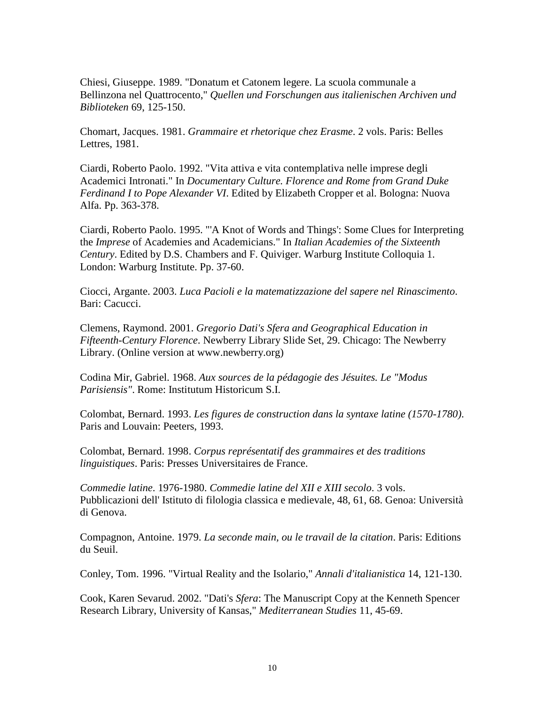Chiesi, Giuseppe. 1989. "Donatum et Catonem legere. La scuola communale a Bellinzona nel Quattrocento," *Quellen und Forschungen aus italienischen Archiven und Biblioteken* 69, 125-150.

Chomart, Jacques. 1981. *Grammaire et rhetorique chez Erasme*. 2 vols. Paris: Belles Lettres, 1981.

Ciardi, Roberto Paolo. 1992. "Vita attiva e vita contemplativa nelle imprese degli Academici Intronati." In *Documentary Culture. Florence and Rome from Grand Duke Ferdinand I to Pope Alexander VI*. Edited by Elizabeth Cropper et al. Bologna: Nuova Alfa. Pp. 363-378.

Ciardi, Roberto Paolo. 1995. "'A Knot of Words and Things': Some Clues for Interpreting the *Imprese* of Academies and Academicians." In *Italian Academies of the Sixteenth Century*. Edited by D.S. Chambers and F. Quiviger. Warburg Institute Colloquia 1. London: Warburg Institute. Pp. 37-60.

Ciocci, Argante. 2003. *Luca Pacioli e la matematizzazione del sapere nel Rinascimento*. Bari: Cacucci.

Clemens, Raymond. 2001. *Gregorio Dati's Sfera and Geographical Education in Fifteenth-Century Florence*. Newberry Library Slide Set, 29. Chicago: The Newberry Library. (Online version at www.newberry.org)

Codina Mir, Gabriel. 1968. *Aux sources de la pédagogie des Jésuites. Le "Modus Parisiensis"*. Rome: Institutum Historicum S.I.

Colombat, Bernard. 1993. *Les figures de construction dans la syntaxe latine (1570-1780)*. Paris and Louvain: Peeters, 1993.

Colombat, Bernard. 1998. *Corpus représentatif des grammaires et des traditions linguistiques*. Paris: Presses Universitaires de France.

*Commedie latine*. 1976-1980. *Commedie latine del XII e XIII secolo*. 3 vols. Pubblicazioni dell' Istituto di filologia classica e medievale, 48, 61, 68. Genoa: Università di Genova.

Compagnon, Antoine. 1979. *La seconde main, ou le travail de la citation*. Paris: Editions du Seuil.

Conley, Tom. 1996. "Virtual Reality and the Isolario," *Annali d'italianistica* 14, 121-130.

Cook, Karen Sevarud. 2002. "Dati's *Sfera*: The Manuscript Copy at the Kenneth Spencer Research Library, University of Kansas," *Mediterranean Studies* 11, 45-69.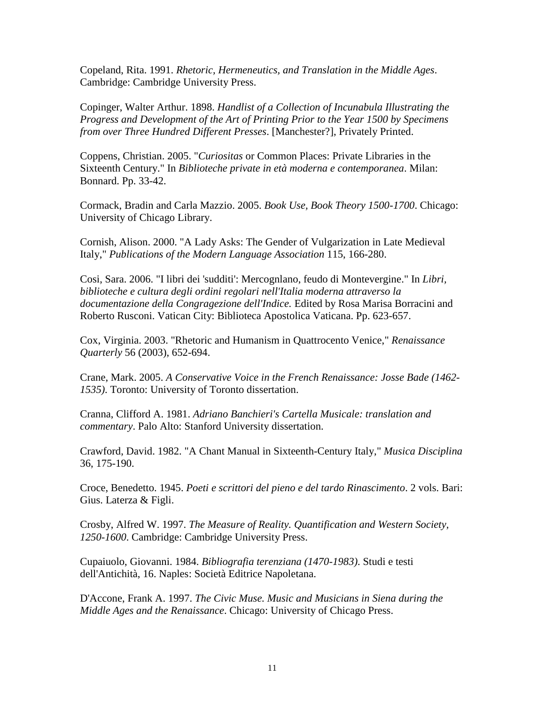Copeland, Rita. 1991. *Rhetoric, Hermeneutics, and Translation in the Middle Ages*. Cambridge: Cambridge University Press.

Copinger, Walter Arthur. 1898. *Handlist of a Collection of Incunabula Illustrating the Progress and Development of the Art of Printing Prior to the Year 1500 by Specimens from over Three Hundred Different Presses*. [Manchester?], Privately Printed.

Coppens, Christian. 2005. "*Curiositas* or Common Places: Private Libraries in the Sixteenth Century." In *Biblioteche private in età moderna e contemporanea*. Milan: Bonnard. Pp. 33-42.

Cormack, Bradin and Carla Mazzio. 2005. *Book Use, Book Theory 1500-1700*. Chicago: University of Chicago Library.

Cornish, Alison. 2000. "A Lady Asks: The Gender of Vulgarization in Late Medieval Italy," *Publications of the Modern Language Association* 115, 166-280.

Cosi, Sara. 2006. "I libri dei 'sudditi': Mercognlano, feudo di Montevergine." In *Libri, biblioteche e cultura degli ordini regolari nell'Italia moderna attraverso la documentazione della Congragezione dell'Indice.* Edited by Rosa Marisa Borracini and Roberto Rusconi. Vatican City: Biblioteca Apostolica Vaticana. Pp. 623-657.

Cox, Virginia. 2003. "Rhetoric and Humanism in Quattrocento Venice," *Renaissance Quarterly* 56 (2003), 652-694.

Crane, Mark. 2005. *A Conservative Voice in the French Renaissance: Josse Bade (1462- 1535)*. Toronto: University of Toronto dissertation.

Cranna, Clifford A. 1981. *Adriano Banchieri's Cartella Musicale: translation and commentary*. Palo Alto: Stanford University dissertation.

Crawford, David. 1982. "A Chant Manual in Sixteenth-Century Italy," *Musica Disciplina* 36, 175-190.

Croce, Benedetto. 1945. *Poeti e scrittori del pieno e del tardo Rinascimento*. 2 vols. Bari: Gius. Laterza & Figli.

Crosby, Alfred W. 1997. *The Measure of Reality. Quantification and Western Society, 1250-1600*. Cambridge: Cambridge University Press.

Cupaiuolo, Giovanni. 1984. *Bibliografia terenziana (1470-1983)*. Studi e testi dell'Antichità, 16. Naples: Società Editrice Napoletana.

D'Accone, Frank A. 1997. *The Civic Muse. Music and Musicians in Siena during the Middle Ages and the Renaissance*. Chicago: University of Chicago Press.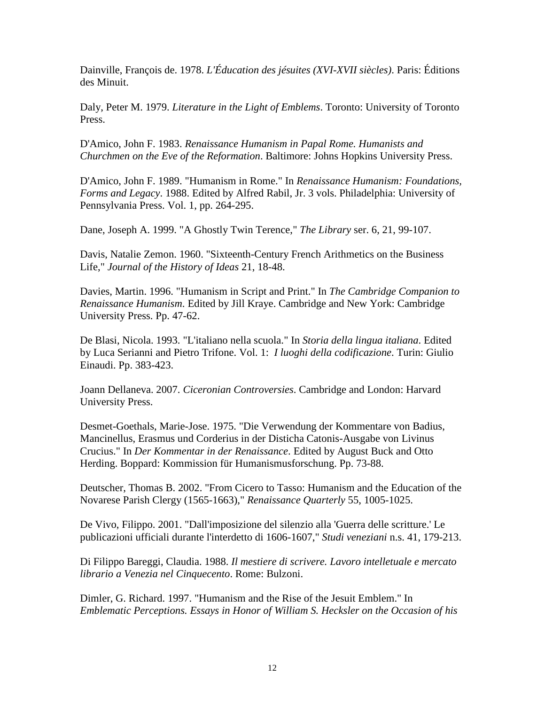Dainville, François de. 1978. *L'Éducation des jésuites (XVI-XVII siècles)*. Paris: Éditions des Minuit.

Daly, Peter M. 1979. *Literature in the Light of Emblems*. Toronto: University of Toronto Press.

D'Amico, John F. 1983. *Renaissance Humanism in Papal Rome. Humanists and Churchmen on the Eve of the Reformation*. Baltimore: Johns Hopkins University Press.

D'Amico, John F. 1989. "Humanism in Rome." In *Renaissance Humanism: Foundations, Forms and Legacy*. 1988. Edited by Alfred Rabil, Jr. 3 vols. Philadelphia: University of Pennsylvania Press. Vol. 1, pp. 264-295.

Dane, Joseph A. 1999. "A Ghostly Twin Terence," *The Library* ser. 6, 21, 99-107.

Davis, Natalie Zemon. 1960. "Sixteenth-Century French Arithmetics on the Business Life," *Journal of the History of Ideas* 21, 18-48.

Davies, Martin. 1996. "Humanism in Script and Print." In *The Cambridge Companion to Renaissance Humanism*. Edited by Jill Kraye. Cambridge and New York: Cambridge University Press. Pp. 47-62.

De Blasi, Nicola. 1993. "L'italiano nella scuola." In *Storia della lingua italiana*. Edited by Luca Serianni and Pietro Trifone. Vol. 1: *I luoghi della codificazione*. Turin: Giulio Einaudi. Pp. 383-423.

Joann Dellaneva. 2007. *Ciceronian Controversies*. Cambridge and London: Harvard University Press.

Desmet-Goethals, Marie-Jose. 1975. "Die Verwendung der Kommentare von Badius, Mancinellus, Erasmus und Corderius in der Disticha Catonis-Ausgabe von Livinus Crucius." In *Der Kommentar in der Renaissance*. Edited by August Buck and Otto Herding. Boppard: Kommission für Humanismusforschung. Pp. 73-88.

Deutscher, Thomas B. 2002. "From Cicero to Tasso: Humanism and the Education of the Novarese Parish Clergy (1565-1663)," *Renaissance Quarterly* 55, 1005-1025.

De Vivo, Filippo. 2001. "Dall'imposizione del silenzio alla 'Guerra delle scritture.' Le publicazioni ufficiali durante l'interdetto di 1606-1607," *Studi veneziani* n.s. 41, 179-213.

Di Filippo Bareggi, Claudia. 1988. *Il mestiere di scrivere. Lavoro intelletuale e mercato librario a Venezia nel Cinquecento*. Rome: Bulzoni.

Dimler, G. Richard. 1997. "Humanism and the Rise of the Jesuit Emblem." In *Emblematic Perceptions. Essays in Honor of William S. Hecksler on the Occasion of his*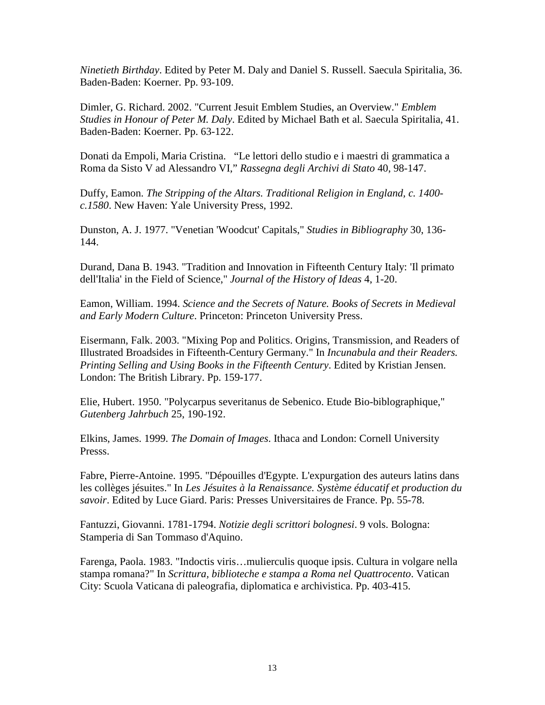*Ninetieth Birthday*. Edited by Peter M. Daly and Daniel S. Russell. Saecula Spiritalia, 36. Baden-Baden: Koerner. Pp. 93-109.

Dimler, G. Richard. 2002. "Current Jesuit Emblem Studies, an Overview." *Emblem Studies in Honour of Peter M. Daly*. Edited by Michael Bath et al. Saecula Spiritalia, 41. Baden-Baden: Koerner. Pp. 63-122.

Donati da Empoli, Maria Cristina. "Le lettori dello studio e i maestri di grammatica a Roma da Sisto V ad Alessandro VI," *Rassegna degli Archivi di Stato* 40, 98-147.

Duffy, Eamon. *The Stripping of the Altars. Traditional Religion in England, c. 1400 c.1580*. New Haven: Yale University Press, 1992.

Dunston, A. J. 1977. "Venetian 'Woodcut' Capitals," *Studies in Bibliography* 30, 136- 144.

Durand, Dana B. 1943. "Tradition and Innovation in Fifteenth Century Italy: 'Il primato dell'Italia' in the Field of Science," *Journal of the History of Ideas* 4, 1-20.

Eamon, William. 1994. *Science and the Secrets of Nature. Books of Secrets in Medieval and Early Modern Culture*. Princeton: Princeton University Press.

Eisermann, Falk. 2003. "Mixing Pop and Politics. Origins, Transmission, and Readers of Illustrated Broadsides in Fifteenth-Century Germany." In *Incunabula and their Readers. Printing Selling and Using Books in the Fifteenth Century*. Edited by Kristian Jensen. London: The British Library. Pp. 159-177.

Elie, Hubert. 1950. "Polycarpus severitanus de Sebenico. Etude Bio-biblographique," *Gutenberg Jahrbuch* 25, 190-192.

Elkins, James. 1999. *The Domain of Images*. Ithaca and London: Cornell University Presss.

Fabre, Pierre-Antoine. 1995. "Dépouilles d'Egypte. L'expurgation des auteurs latins dans les collèges jésuites." In *Les Jésuites à la Renaissance. Système éducatif et production du savoir*. Edited by Luce Giard. Paris: Presses Universitaires de France. Pp. 55-78.

Fantuzzi, Giovanni. 1781-1794. *Notizie degli scrittori bolognesi*. 9 vols. Bologna: Stamperia di San Tommaso d'Aquino.

Farenga, Paola. 1983. "Indoctis viris…mulierculis quoque ipsis. Cultura in volgare nella stampa romana?" In *Scrittura, biblioteche e stampa a Roma nel Quattrocento*. Vatican City: Scuola Vaticana di paleografia, diplomatica e archivistica. Pp. 403-415.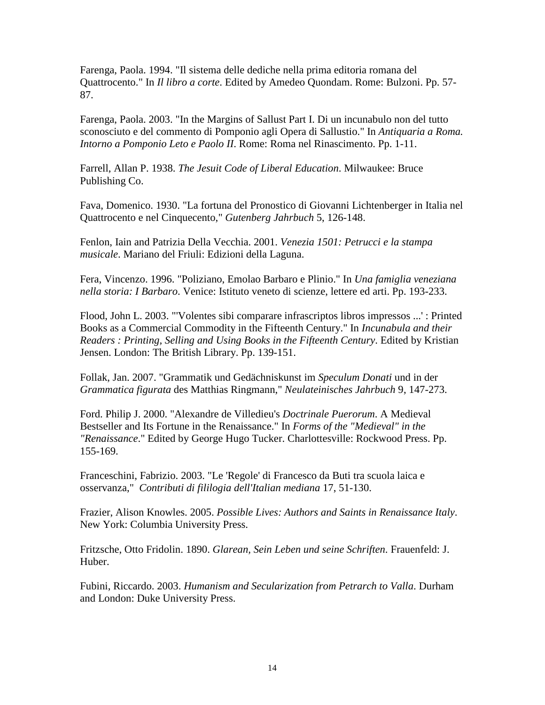Farenga, Paola. 1994. "Il sistema delle dediche nella prima editoria romana del Quattrocento." In *Il libro a corte*. Edited by Amedeo Quondam. Rome: Bulzoni. Pp. 57- 87.

Farenga, Paola. 2003. "In the Margins of Sallust Part I. Di un incunabulo non del tutto sconosciuto e del commento di Pomponio agli Opera di Sallustio." In *Antiquaria a Roma. Intorno a Pomponio Leto e Paolo II*. Rome: Roma nel Rinascimento. Pp. 1-11.

Farrell, Allan P. 1938. *The Jesuit Code of Liberal Education*. Milwaukee: Bruce Publishing Co.

Fava, Domenico. 1930. "La fortuna del Pronostico di Giovanni Lichtenberger in Italia nel Quattrocento e nel Cinquecento," *Gutenberg Jahrbuch* 5, 126-148.

Fenlon, Iain and Patrizia Della Vecchia. 2001. *Venezia 1501: Petrucci e la stampa musicale*. Mariano del Friuli: Edizioni della Laguna.

Fera, Vincenzo. 1996. "Poliziano, Emolao Barbaro e Plinio." In *Una famiglia veneziana nella storia: I Barbaro*. Venice: Istituto veneto di scienze, lettere ed arti. Pp. 193-233.

Flood, John L. 2003. "'Volentes sibi comparare infrascriptos libros impressos ...' : Printed Books as a Commercial Commodity in the Fifteenth Century." In *Incunabula and their Readers : Printing, Selling and Using Books in the Fifteenth Century*. Edited by Kristian Jensen. London: The British Library. Pp. 139-151.

Follak, Jan. 2007. "Grammatik und Gedächniskunst im *Speculum Donati* und in der *Grammatica figurata* des Matthias Ringmann," *Neulateinisches Jahrbuch* 9, 147-273.

Ford. Philip J. 2000. "Alexandre de Villedieu's *Doctrinale Puerorum*. A Medieval Bestseller and Its Fortune in the Renaissance." In *Forms of the "Medieval" in the "Renaissance*." Edited by George Hugo Tucker. Charlottesville: Rockwood Press. Pp. 155-169.

Franceschini, Fabrizio. 2003. "Le 'Regole' di Francesco da Buti tra scuola laica e osservanza," *Contributi di fililogia dell'Italian mediana* 17, 51-130.

Frazier, Alison Knowles. 2005. *Possible Lives: Authors and Saints in Renaissance Italy*. New York: Columbia University Press.

Fritzsche, Otto Fridolin. 1890. *Glarean, Sein Leben und seine Schriften*. Frauenfeld: J. Huber.

Fubini, Riccardo. 2003. *Humanism and Secularization from Petrarch to Valla*. Durham and London: Duke University Press.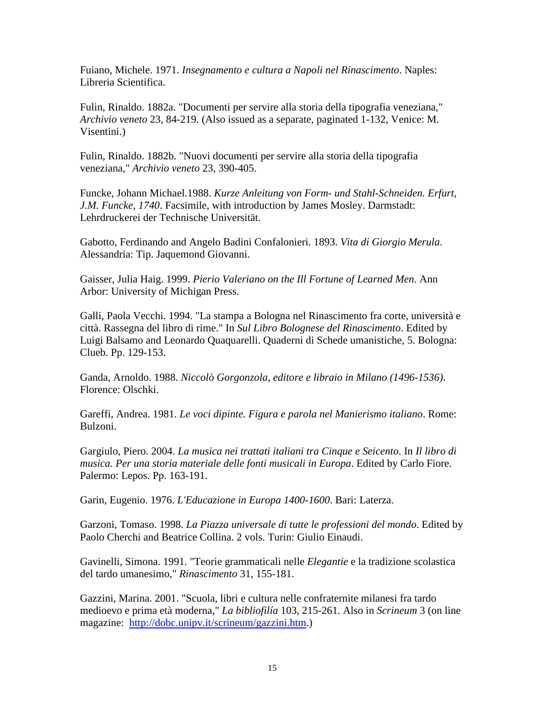Fuiano, Michele. 1971. *Insegnamento e cultura a Napoli nel Rinascimento*. Naples: Libreria Scientifica.

Fulin, Rinaldo. 1882a. "Documenti per servire alla storia della tipografia veneziana," *Archivio veneto* 23, 84-219. (Also issued as a separate, paginated 1-132, Venice: M. Visentini.)

Fulin, Rinaldo. 1882b. "Nuovi documenti per servire alla storia della tipografia veneziana," *Archivio veneto* 23, 390-405.

Funcke, Johann Michael.1988. *Kurze Anleitung von Form- und Stahl-Schneiden. Erfurt, J.M. Funcke, 1740*. Facsimile, with introduction by James Mosley. Darmstadt: Lehrdruckerei der Technische Universität.

Gabotto, Ferdinando and Angelo Badini Confalonieri. 1893. *Vita di Giorgio Merula*. Alessandria: Tip. Jaquemond Giovanni.

Gaisser, Julia Haig. 1999. *Pierio Valeriano on the Ill Fortune of Learned Men*. Ann Arbor: University of Michigan Press.

Galli, Paola Vecchi. 1994. "La stampa a Bologna nel Rinascimento fra corte, università e città. Rassegna del libro di rime." In *Sul Libro Bolognese del Rinascimento*. Edited by Luigi Balsamo and Leonardo Quaquarelli. Quaderni di Schede umanistiche, 5. Bologna: Clueb. Pp. 129-153.

Ganda, Arnoldo. 1988. *Niccolò Gorgonzola, editore e libraio in Milano (1496-1536)*. Florence: Olschki.

Gareffi, Andrea. 1981. *Le voci dipinte. Figura e parola nel Manierismo italiano*. Rome: Bulzoni.

Gargiulo, Piero. 2004. *La musica nei trattati italiani tra Cinque e Seicento*. In *Il libro di musica. Per una storia materiale delle fonti musicali in Europa*. Edited by Carlo Fiore. Palermo: Lepos. Pp. 163-191.

Garin, Eugenio. 1976. *L'Educazione in Europa 1400-1600*. Bari: Laterza.

Garzoni, Tomaso. 1998. *La Piazza universale di tutte le professioni del mondo*. Edited by Paolo Cherchi and Beatrice Collina. 2 vols. Turin: Giulio Einaudi.

Gavinelli, Simona. 1991. "Teorie grammaticali nelle *Elegantie* e la tradizione scolastica del tardo umanesimo," *Rinascimento* 31, 155-181.

Gazzini, Marina. 2001. "Scuola, libri e cultura nelle confraternite milanesi fra tardo medioevo e prima età moderna," *La bibliofilía* 103, 215-261. Also in *Scrineum* 3 (on line magazine: http://dobc.unipv.it/scrineum/gazzini.htm.)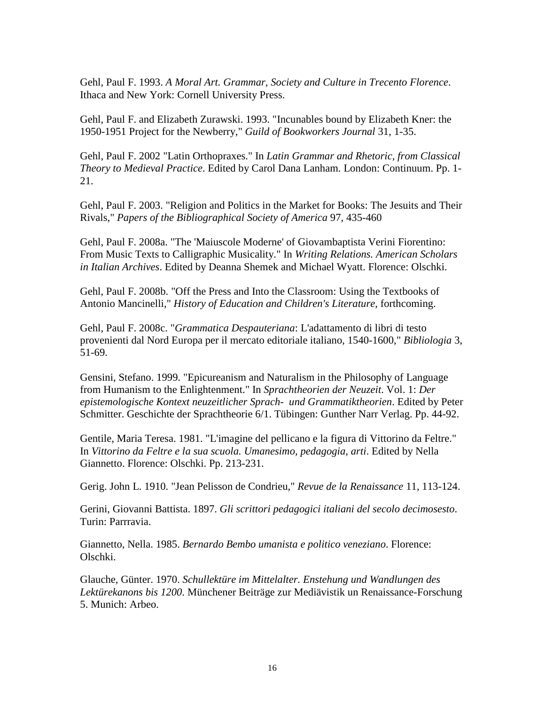Gehl, Paul F. 1993. *A Moral Art. Grammar, Society and Culture in Trecento Florence*. Ithaca and New York: Cornell University Press.

Gehl, Paul F. and Elizabeth Zurawski. 1993. "Incunables bound by Elizabeth Kner: the 1950-1951 Project for the Newberry," *Guild of Bookworkers Journal* 31, 1-35.

Gehl, Paul F. 2002 "Latin Orthopraxes." In *Latin Grammar and Rhetoric, from Classical Theory to Medieval Practice*. Edited by Carol Dana Lanham. London: Continuum. Pp. 1- 21.

Gehl, Paul F. 2003. "Religion and Politics in the Market for Books: The Jesuits and Their Rivals," *Papers of the Bibliographical Society of America* 97, 435-460

Gehl, Paul F. 2008a. "The 'Maiuscole Moderne' of Giovambaptista Verini Fiorentino: From Music Texts to Calligraphic Musicality." In *Writing Relations. American Scholars in Italian Archives*. Edited by Deanna Shemek and Michael Wyatt. Florence: Olschki.

Gehl, Paul F. 2008b. "Off the Press and Into the Classroom: Using the Textbooks of Antonio Mancinelli," *History of Education and Children's Literature*, forthcoming.

Gehl, Paul F. 2008c. "*Grammatica Despauteriana*: L'adattamento di libri di testo provenienti dal Nord Europa per il mercato editoriale italiano, 1540-1600," *Bibliologia* 3, 51-69.

Gensini, Stefano. 1999. "Epicureanism and Naturalism in the Philosophy of Language from Humanism to the Enlightenment." In *Sprachtheorien der Neuzeit*. Vol. 1: *Der epistemologische Kontext neuzeitlicher Sprach- und Grammatiktheorien*. Edited by Peter Schmitter. Geschichte der Sprachtheorie 6/1. Tübingen: Gunther Narr Verlag. Pp. 44-92.

Gentile, Maria Teresa. 1981. "L'imagine del pellicano e la figura di Vittorino da Feltre." In *Vittorino da Feltre e la sua scuola. Umanesimo, pedagogia, arti*. Edited by Nella Giannetto. Florence: Olschki. Pp. 213-231.

Gerig. John L. 1910. "Jean Pelisson de Condrieu," *Revue de la Renaissance* 11, 113-124.

Gerini, Giovanni Battista. 1897. *Gli scrittori pedagogici italiani del secolo decimosesto*. Turin: Parrravia.

Giannetto, Nella. 1985. *Bernardo Bembo umanista e politico veneziano*. Florence: Olschki.

Glauche, Günter. 1970. *Schullektüre im Mittelalter. Enstehung und Wandlungen des Lektürekanons bis 1200*. Münchener Beiträge zur Mediävistik un Renaissance-Forschung 5. Munich: Arbeo.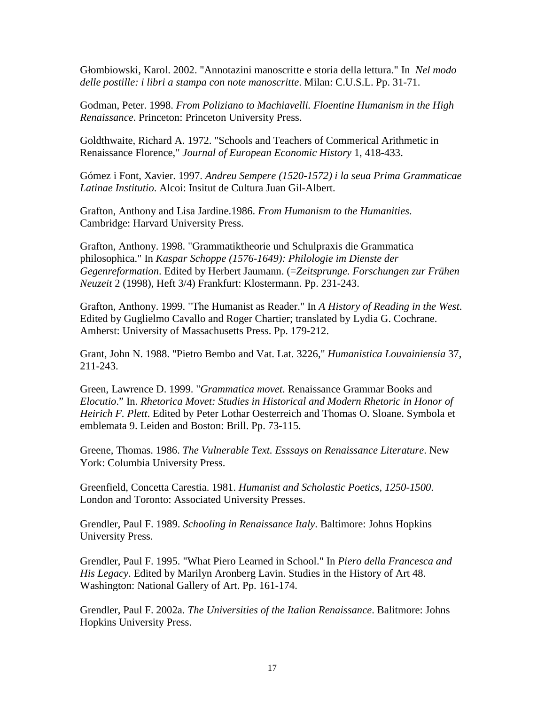Głombiowski, Karol. 2002. "Annotazini manoscritte e storia della lettura." In *Nel modo delle postille: i libri a stampa con note manoscritte*. Milan: C.U.S.L. Pp. 31-71.

Godman, Peter. 1998. *From Poliziano to Machiavelli. Floentine Humanism in the High Renaissance*. Princeton: Princeton University Press.

Goldthwaite, Richard A. 1972. "Schools and Teachers of Commerical Arithmetic in Renaissance Florence," *Journal of European Economic History* 1, 418-433.

Gómez i Font, Xavier. 1997. *Andreu Sempere (1520-1572) i la seua Prima Grammaticae Latinae Institutio*. Alcoi: Insitut de Cultura Juan Gil-Albert.

Grafton, Anthony and Lisa Jardine.1986. *From Humanism to the Humanities*. Cambridge: Harvard University Press.

Grafton, Anthony. 1998. "Grammatiktheorie und Schulpraxis die Grammatica philosophica." In *Kaspar Schoppe (1576-1649): Philologie im Dienste der Gegenreformation*. Edited by Herbert Jaumann. (=*Zeitsprunge. Forschungen zur Frühen Neuzeit* 2 (1998), Heft 3/4) Frankfurt: Klostermann. Pp. 231-243.

Grafton, Anthony. 1999. "The Humanist as Reader." In *A History of Reading in the West*. Edited by Guglielmo Cavallo and Roger Chartier; translated by Lydia G. Cochrane. Amherst: University of Massachusetts Press. Pp. 179-212.

Grant, John N. 1988. "Pietro Bembo and Vat. Lat. 3226," *Humanistica Louvainiensia* 37, 211-243.

Green, Lawrence D. 1999. "*Grammatica movet*. Renaissance Grammar Books and *Elocutio*." In. *Rhetorica Movet: Studies in Historical and Modern Rhetoric in Honor of Heirich F. Plett*. Edited by Peter Lothar Oesterreich and Thomas O. Sloane. Symbola et emblemata 9. Leiden and Boston: Brill. Pp. 73-115.

Greene, Thomas. 1986. *The Vulnerable Text. Esssays on Renaissance Literature*. New York: Columbia University Press.

Greenfield, Concetta Carestia. 1981. *Humanist and Scholastic Poetics, 1250-1500*. London and Toronto: Associated University Presses.

Grendler, Paul F. 1989. *Schooling in Renaissance Italy*. Baltimore: Johns Hopkins University Press.

Grendler, Paul F. 1995. "What Piero Learned in School." In *Piero della Francesca and His Legacy*. Edited by Marilyn Aronberg Lavin. Studies in the History of Art 48. Washington: National Gallery of Art. Pp. 161-174.

Grendler, Paul F. 2002a. *The Universities of the Italian Renaissance*. Balitmore: Johns Hopkins University Press.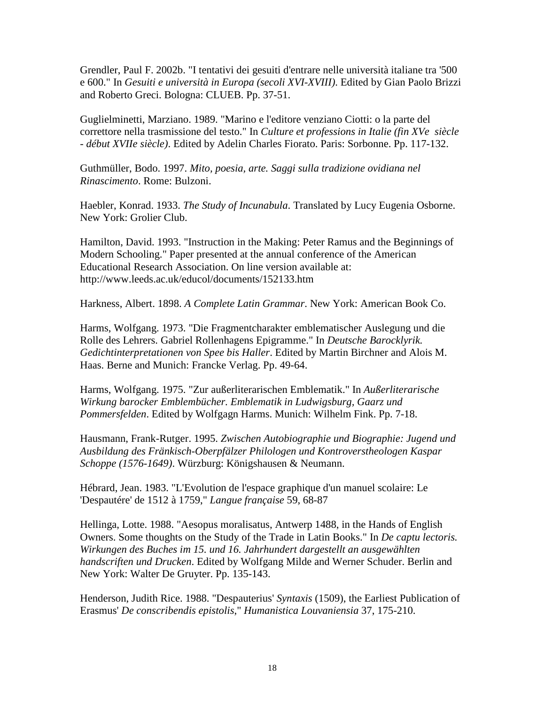Grendler, Paul F. 2002b. "I tentativi dei gesuiti d'entrare nelle università italiane tra '500 e 600." In *Gesuiti e università in Europa (secoli XVI-XVIII)*. Edited by Gian Paolo Brizzi and Roberto Greci. Bologna: CLUEB. Pp. 37-51.

Guglielminetti, Marziano. 1989. "Marino e l'editore venziano Ciotti: o la parte del correttore nella trasmissione del testo." In *Culture et professions in Italie (fin XVe siècle - début XVIIe siècle)*. Edited by Adelin Charles Fiorato. Paris: Sorbonne. Pp. 117-132.

Guthmüller, Bodo. 1997. *Mito, poesia, arte. Saggi sulla tradizione ovidiana nel Rinascimento*. Rome: Bulzoni.

Haebler, Konrad. 1933. *The Study of Incunabula*. Translated by Lucy Eugenia Osborne. New York: Grolier Club.

Hamilton, David. 1993. "Instruction in the Making: Peter Ramus and the Beginnings of Modern Schooling." Paper presented at the annual conference of the American Educational Research Association. On line version available at: http://www.leeds.ac.uk/educol/documents/152133.htm

Harkness, Albert. 1898. *A Complete Latin Grammar*. New York: American Book Co.

Harms, Wolfgang. 1973. "Die Fragmentcharakter emblematischer Auslegung und die Rolle des Lehrers. Gabriel Rollenhagens Epigramme." In *Deutsche Barocklyrik. Gedichtinterpretationen von Spee bis Haller*. Edited by Martin Birchner and Alois M. Haas. Berne and Munich: Francke Verlag. Pp. 49-64.

Harms, Wolfgang. 1975. "Zur außerliterarischen Emblematik." In *Außerliterarische Wirkung barocker Emblembücher. Emblematik in Ludwigsburg, Gaarz und Pommersfelden*. Edited by Wolfgagn Harms. Munich: Wilhelm Fink. Pp. 7-18.

Hausmann, Frank-Rutger. 1995. *Zwischen Autobiographie und Biographie: Jugend und Ausbildung des Fränkisch-Oberpfälzer Philologen und Kontroverstheologen Kaspar Schoppe (1576-1649)*. Würzburg: Königshausen & Neumann.

Hébrard, Jean. 1983. "L'Evolution de l'espace graphique d'un manuel scolaire: Le 'Despautére' de 1512 à 1759," *Langue française* 59, 68-87

Hellinga, Lotte. 1988. "Aesopus moralisatus, Antwerp 1488, in the Hands of English Owners. Some thoughts on the Study of the Trade in Latin Books." In *De captu lectoris. Wirkungen des Buches im 15. und 16. Jahrhundert dargestellt an ausgewählten handscriften und Drucken*. Edited by Wolfgang Milde and Werner Schuder. Berlin and New York: Walter De Gruyter. Pp. 135-143.

Henderson, Judith Rice. 1988. "Despauterius' *Syntaxis* (1509), the Earliest Publication of Erasmus' *De conscribendis epistolis*," *Humanistica Louvaniensia* 37, 175-210.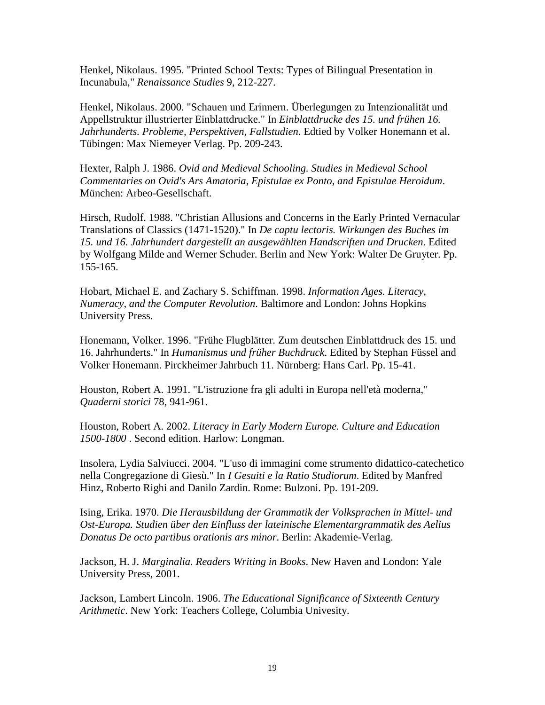Henkel, Nikolaus. 1995. "Printed School Texts: Types of Bilingual Presentation in Incunabula," *Renaissance Studies* 9, 212-227.

Henkel, Nikolaus. 2000. "Schauen und Erinnern. Überlegungen zu Intenzionalität und Appellstruktur illustrierter Einblattdrucke." In *Einblattdrucke des 15. und frühen 16. Jahrhunderts. Probleme, Perspektiven, Fallstudien*. Edtied by Volker Honemann et al. Tübingen: Max Niemeyer Verlag. Pp. 209-243.

Hexter, Ralph J. 1986. *Ovid and Medieval Schooling. Studies in Medieval School Commentaries on Ovid's Ars Amatoria, Epistulae ex Ponto, and Epistulae Heroidum*. München: Arbeo-Gesellschaft.

Hirsch, Rudolf. 1988. "Christian Allusions and Concerns in the Early Printed Vernacular Translations of Classics (1471-1520)." In *De captu lectoris. Wirkungen des Buches im 15. und 16. Jahrhundert dargestellt an ausgewählten Handscriften und Drucken*. Edited by Wolfgang Milde and Werner Schuder. Berlin and New York: Walter De Gruyter. Pp. 155-165.

Hobart, Michael E. and Zachary S. Schiffman. 1998. *Information Ages. Literacy, Numeracy, and the Computer Revolution*. Baltimore and London: Johns Hopkins University Press.

Honemann, Volker. 1996. "Frühe Flugblätter. Zum deutschen Einblattdruck des 15. und 16. Jahrhunderts." In *Humanismus und früher Buchdruck*. Edited by Stephan Füssel and Volker Honemann. Pirckheimer Jahrbuch 11. Nürnberg: Hans Carl. Pp. 15-41.

Houston, Robert A. 1991. "L'istruzione fra gli adulti in Europa nell'età moderna," *Quaderni storici* 78, 941-961.

Houston, Robert A. 2002. *Literacy in Early Modern Europe. Culture and Education 1500-1800* . Second edition. Harlow: Longman.

Insolera, Lydia Salviucci. 2004. "L'uso di immagini come strumento didattico-catechetico nella Congregazione di Giesù." In *I Gesuiti e la Ratio Studiorum*. Edited by Manfred Hinz, Roberto Righi and Danilo Zardin. Rome: Bulzoni. Pp. 191-209.

Ising, Erika. 1970. *Die Herausbildung der Grammatik der Volksprachen in Mittel- und Ost-Europa. Studien über den Einfluss der lateinische Elementargrammatik des Aelius Donatus De octo partibus orationis ars minor*. Berlin: Akademie-Verlag.

Jackson, H. J. *Marginalia. Readers Writing in Books*. New Haven and London: Yale University Press, 2001.

Jackson, Lambert Lincoln. 1906. *The Educational Significance of Sixteenth Century Arithmetic*. New York: Teachers College, Columbia Univesity.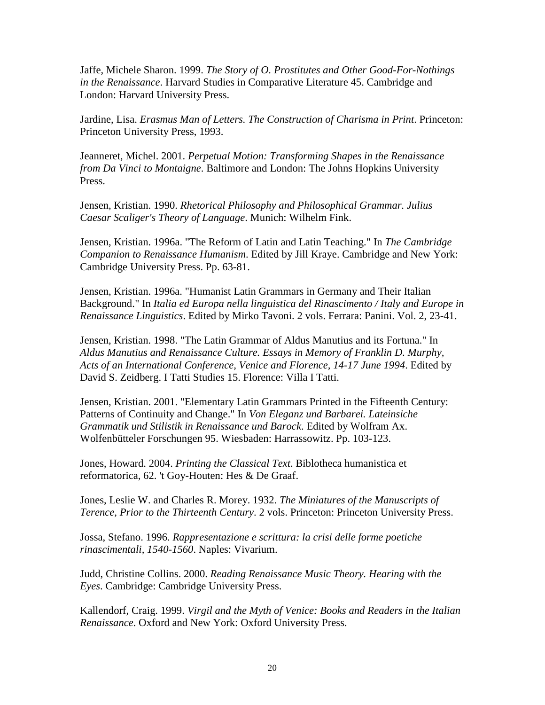Jaffe, Michele Sharon. 1999. *The Story of O. Prostitutes and Other Good-For-Nothings in the Renaissance*. Harvard Studies in Comparative Literature 45. Cambridge and London: Harvard University Press.

Jardine, Lisa. *Erasmus Man of Letters. The Construction of Charisma in Print*. Princeton: Princeton University Press, 1993.

Jeanneret, Michel. 2001. *Perpetual Motion: Transforming Shapes in the Renaissance from Da Vinci to Montaigne*. Baltimore and London: The Johns Hopkins University Press.

Jensen, Kristian. 1990. *Rhetorical Philosophy and Philosophical Grammar. Julius Caesar Scaliger's Theory of Language*. Munich: Wilhelm Fink.

Jensen, Kristian. 1996a. "The Reform of Latin and Latin Teaching." In *The Cambridge Companion to Renaissance Humanism*. Edited by Jill Kraye. Cambridge and New York: Cambridge University Press. Pp. 63-81.

Jensen, Kristian. 1996a. "Humanist Latin Grammars in Germany and Their Italian Background." In *Italia ed Europa nella linguistica del Rinascimento / Italy and Europe in Renaissance Linguistics*. Edited by Mirko Tavoni. 2 vols. Ferrara: Panini. Vol. 2, 23-41.

Jensen, Kristian. 1998. "The Latin Grammar of Aldus Manutius and its Fortuna." In *Aldus Manutius and Renaissance Culture. Essays in Memory of Franklin D. Murphy, Acts of an International Conference, Venice and Florence, 14-17 June 1994*. Edited by David S. Zeidberg. I Tatti Studies 15. Florence: Villa I Tatti.

Jensen, Kristian. 2001. "Elementary Latin Grammars Printed in the Fifteenth Century: Patterns of Continuity and Change." In *Von Eleganz und Barbarei. Lateinsiche Grammatik und Stilistik in Renaissance und Barock*. Edited by Wolfram Ax. Wolfenbütteler Forschungen 95. Wiesbaden: Harrassowitz. Pp. 103-123.

Jones, Howard. 2004. *Printing the Classical Text*. Biblotheca humanistica et reformatorica, 62. 't Goy-Houten: Hes & De Graaf.

Jones, Leslie W. and Charles R. Morey. 1932. *The Miniatures of the Manuscripts of Terence, Prior to the Thirteenth Century*. 2 vols. Princeton: Princeton University Press.

Jossa, Stefano. 1996. *Rappresentazione e scrittura: la crisi delle forme poetiche rinascimentali, 1540-1560*. Naples: Vivarium.

Judd, Christine Collins. 2000. *Reading Renaissance Music Theory. Hearing with the Eyes*. Cambridge: Cambridge University Press.

Kallendorf, Craig. 1999. *Virgil and the Myth of Venice: Books and Readers in the Italian Renaissance*. Oxford and New York: Oxford University Press.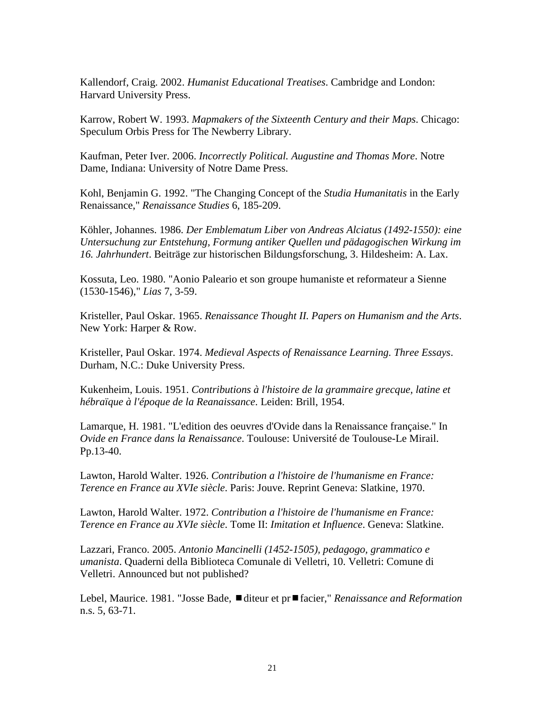Kallendorf, Craig. 2002. *Humanist Educational Treatises*. Cambridge and London: Harvard University Press.

Karrow, Robert W. 1993. *Mapmakers of the Sixteenth Century and their Maps*. Chicago: Speculum Orbis Press for The Newberry Library.

Kaufman, Peter Iver. 2006. *Incorrectly Political. Augustine and Thomas More*. Notre Dame, Indiana: University of Notre Dame Press.

Kohl, Benjamin G. 1992. "The Changing Concept of the *Studia Humanitatis* in the Early Renaissance," *Renaissance Studies* 6, 185-209.

Köhler, Johannes. 1986. *Der Emblematum Liber von Andreas Alciatus (1492-1550): eine Untersuchung zur Entstehung, Formung antiker Quellen und pädagogischen Wirkung im 16. Jahrhundert*. Beiträge zur historischen Bildungsforschung, 3. Hildesheim: A. Lax.

Kossuta, Leo. 1980. "Aonio Paleario et son groupe humaniste et reformateur a Sienne (1530-1546)," *Lias* 7, 3-59.

Kristeller, Paul Oskar. 1965. *Renaissance Thought II. Papers on Humanism and the Arts*. New York: Harper & Row.

Kristeller, Paul Oskar. 1974. *Medieval Aspects of Renaissance Learning. Three Essays*. Durham, N.C.: Duke University Press.

Kukenheim, Louis. 1951. *Contributions à l'histoire de la grammaire grecque, latine et hébraïque à l'époque de la Reanaissance*. Leiden: Brill, 1954.

Lamarque, H. 1981. "L'edition des oeuvres d'Ovide dans la Renaissance française." In *Ovide en France dans la Renaissance*. Toulouse: Université de Toulouse-Le Mirail. Pp.13-40.

Lawton, Harold Walter. 1926. *Contribution a l'histoire de l'humanisme en France: Terence en France au XVIe siècle*. Paris: Jouve. Reprint Geneva: Slatkine, 1970.

Lawton, Harold Walter. 1972. *Contribution a l'histoire de l'humanisme en France: Terence en France au XVIe siècle*. Tome II: *Imitation et Influence*. Geneva: Slatkine.

Lazzari, Franco. 2005. *Antonio Mancinelli (1452-1505), pedagogo, grammatico e umanista*. Quaderni della Biblioteca Comunale di Velletri, 10. Velletri: Comune di Velletri. Announced but not published?

Lebel, Maurice. 1981. "Josse Bade, ■diteur et pr■facier," *Renaissance and Reformation* n.s. 5, 63-71.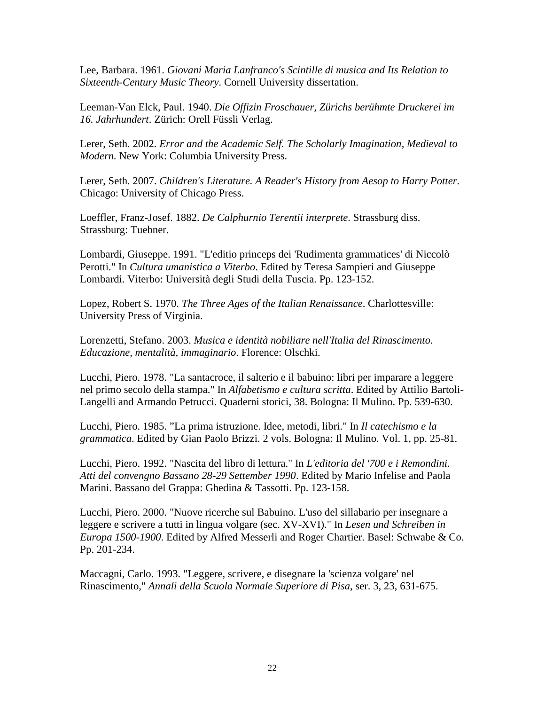Lee, Barbara. 1961. *Giovani Maria Lanfranco's Scintille di musica and Its Relation to Sixteenth-Century Music Theory*. Cornell University dissertation.

Leeman-Van Elck, Paul. 1940. *Die Offizin Froschauer, Zürichs berühmte Druckerei im 16. Jahrhundert*. Zürich: Orell Füssli Verlag.

Lerer, Seth. 2002. *Error and the Academic Self. The Scholarly Imagination, Medieval to Modern.* New York: Columbia University Press.

Lerer, Seth. 2007. *Children's Literature. A Reader's History from Aesop to Harry Potter*. Chicago: University of Chicago Press.

Loeffler, Franz-Josef. 1882. *De Calphurnio Terentii interprete*. Strassburg diss. Strassburg: Tuebner.

Lombardi, Giuseppe. 1991. "L'editio princeps dei 'Rudimenta grammatices' di Niccolò Perotti." In *Cultura umanistica a Viterbo*. Edited by Teresa Sampieri and Giuseppe Lombardi. Viterbo: Università degli Studi della Tuscia. Pp. 123-152.

Lopez, Robert S. 1970. *The Three Ages of the Italian Renaissance*. Charlottesville: University Press of Virginia.

Lorenzetti, Stefano. 2003. *Musica e identità nobiliare nell'Italia del Rinascimento. Educazione, mentalità, immaginario*. Florence: Olschki.

Lucchi, Piero. 1978. "La santacroce, il salterio e il babuino: libri per imparare a leggere nel primo secolo della stampa." In *Alfabetismo e cultura scritta*. Edited by Attilio Bartoli-Langelli and Armando Petrucci. Quaderni storici, 38. Bologna: Il Mulino. Pp. 539-630.

Lucchi, Piero. 1985. "La prima istruzione. Idee, metodi, libri." In *Il catechismo e la grammatica*. Edited by Gian Paolo Brizzi. 2 vols. Bologna: Il Mulino. Vol. 1, pp. 25-81.

Lucchi, Piero. 1992. "Nascita del libro di lettura." In *L'editoria del '700 e i Remondini. Atti del convengno Bassano 28-29 Settember 1990*. Edited by Mario Infelise and Paola Marini. Bassano del Grappa: Ghedina & Tassotti. Pp. 123-158.

Lucchi, Piero. 2000. "Nuove ricerche sul Babuino. L'uso del sillabario per insegnare a leggere e scrivere a tutti in lingua volgare (sec. XV-XVI)." In *Lesen und Schreiben in Europa 1500-1900*. Edited by Alfred Messerli and Roger Chartier. Basel: Schwabe & Co. Pp. 201-234.

Maccagni, Carlo. 1993. "Leggere, scrivere, e disegnare la 'scienza volgare' nel Rinascimento," *Annali della Scuola Normale Superiore di Pisa*, ser. 3, 23, 631-675.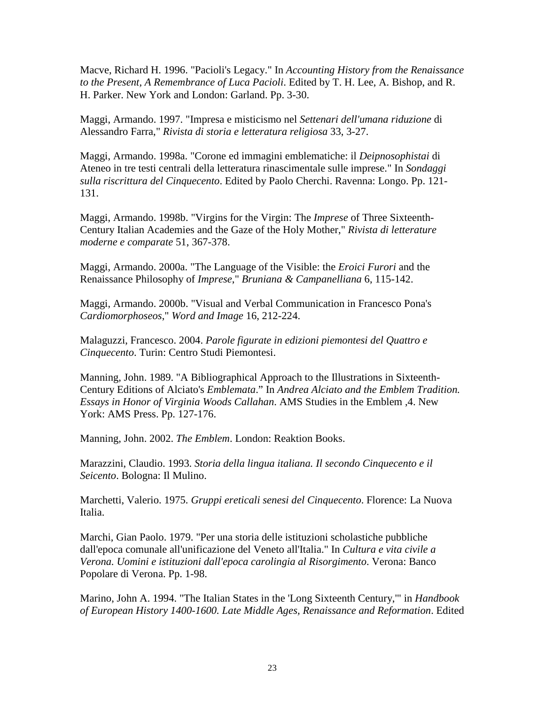Macve, Richard H. 1996. "Pacioli's Legacy." In *Accounting History from the Renaissance to the Present, A Remembrance of Luca Pacioli*. Edited by T. H. Lee, A. Bishop, and R. H. Parker. New York and London: Garland. Pp. 3-30.

Maggi, Armando. 1997. "Impresa e misticismo nel *Settenari dell'umana riduzione* di Alessandro Farra," *Rivista di storia e letteratura religiosa* 33, 3-27.

Maggi, Armando. 1998a. "Corone ed immagini emblematiche: il *Deipnosophistai* di Ateneo in tre testi centrali della letteratura rinascimentale sulle imprese." In *Sondaggi sulla riscrittura del Cinquecento*. Edited by Paolo Cherchi. Ravenna: Longo. Pp. 121- 131.

Maggi, Armando. 1998b. "Virgins for the Virgin: The *Imprese* of Three Sixteenth-Century Italian Academies and the Gaze of the Holy Mother," *Rivista di letterature moderne e comparate* 51, 367-378.

Maggi, Armando. 2000a. "The Language of the Visible: the *Eroici Furori* and the Renaissance Philosophy of *Imprese*," *Bruniana & Campanelliana* 6, 115-142.

Maggi, Armando. 2000b. "Visual and Verbal Communication in Francesco Pona's *Cardiomorphoseos*," *Word and Image* 16, 212-224.

Malaguzzi, Francesco. 2004. *Parole figurate in edizioni piemontesi del Quattro e Cinquecento*. Turin: Centro Studi Piemontesi.

Manning, John. 1989. "A Bibliographical Approach to the Illustrations in Sixteenth-Century Editions of Alciato's *Emblemata*." In *Andrea Alciato and the Emblem Tradition. Essays in Honor of Virginia Woods Callahan*. AMS Studies in the Emblem ,4. New York: AMS Press. Pp. 127-176.

Manning, John. 2002. *The Emblem*. London: Reaktion Books.

Marazzini, Claudio. 1993. *Storia della lingua italiana. Il secondo Cinquecento e il Seicento*. Bologna: Il Mulino.

Marchetti, Valerio. 1975. *Gruppi ereticali senesi del Cinquecento*. Florence: La Nuova Italia.

Marchi, Gian Paolo. 1979. "Per una storia delle istituzioni scholastiche pubbliche dall'epoca comunale all'unificazione del Veneto all'Italia." In *Cultura e vita civile a Verona. Uomini e istituzioni dall'epoca carolingia al Risorgimento*. Verona: Banco Popolare di Verona. Pp. 1-98.

Marino, John A. 1994. "The Italian States in the 'Long Sixteenth Century,'" in *Handbook of European History 1400-1600. Late Middle Ages, Renaissance and Reformation*. Edited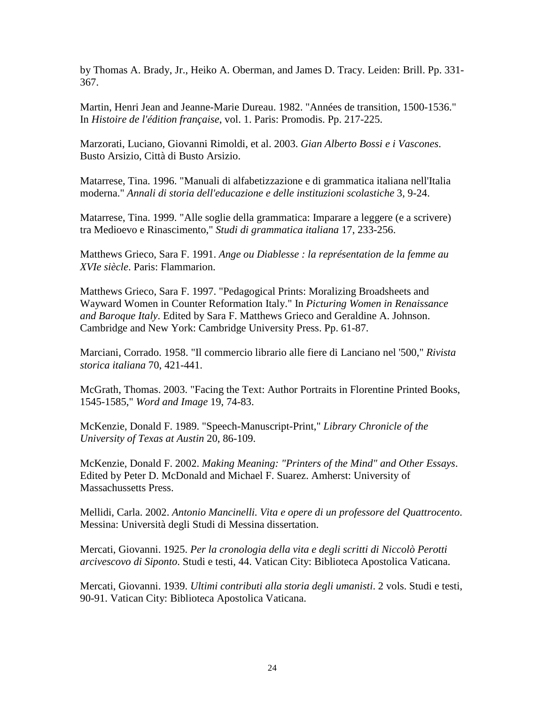by Thomas A. Brady, Jr., Heiko A. Oberman, and James D. Tracy. Leiden: Brill. Pp. 331- 367.

Martin, Henri Jean and Jeanne-Marie Dureau. 1982. "Années de transition, 1500-1536." In *Histoire de l'édition française*, vol. 1. Paris: Promodis. Pp. 217-225.

Marzorati, Luciano, Giovanni Rimoldi, et al. 2003. *Gian Alberto Bossi e i Vascones*. Busto Arsizio, Città di Busto Arsizio.

Matarrese, Tina. 1996. "Manuali di alfabetizzazione e di grammatica italiana nell'Italia moderna." *Annali di storia dell'educazione e delle instituzioni scolastiche* 3, 9-24.

Matarrese, Tina. 1999. "Alle soglie della grammatica: Imparare a leggere (e a scrivere) tra Medioevo e Rinascimento," *Studi di grammatica italiana* 17, 233-256.

Matthews Grieco, Sara F. 1991. *Ange ou Diablesse : la représentation de la femme au XVIe siècle*. Paris: Flammarion.

Matthews Grieco, Sara F. 1997. "Pedagogical Prints: Moralizing Broadsheets and Wayward Women in Counter Reformation Italy." In *Picturing Women in Renaissance and Baroque Italy*. Edited by Sara F. Matthews Grieco and Geraldine A. Johnson. Cambridge and New York: Cambridge University Press. Pp. 61-87.

Marciani, Corrado. 1958. "Il commercio librario alle fiere di Lanciano nel '500," *Rivista storica italiana* 70, 421-441.

McGrath, Thomas. 2003. "Facing the Text: Author Portraits in Florentine Printed Books, 1545-1585," *Word and Image* 19, 74-83.

McKenzie, Donald F. 1989. "Speech-Manuscript-Print," *Library Chronicle of the University of Texas at Austin* 20, 86-109.

McKenzie, Donald F. 2002. *Making Meaning: "Printers of the Mind" and Other Essays*. Edited by Peter D. McDonald and Michael F. Suarez. Amherst: University of Massachussetts Press.

Mellidi, Carla. 2002. *Antonio Mancinelli. Vita e opere di un professore del Quattrocento*. Messina: Università degli Studi di Messina dissertation.

Mercati, Giovanni. 1925. *Per la cronologia della vita e degli scritti di Niccolò Perotti arcivescovo di Siponto*. Studi e testi, 44. Vatican City: Biblioteca Apostolica Vaticana.

Mercati, Giovanni. 1939. *Ultimi contributi alla storia degli umanisti*. 2 vols. Studi e testi, 90-91. Vatican City: Biblioteca Apostolica Vaticana.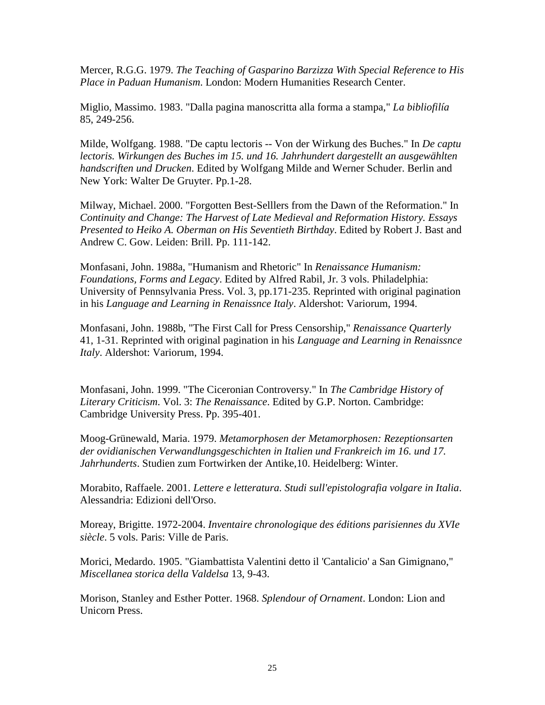Mercer, R.G.G. 1979. *The Teaching of Gasparino Barzizza With Special Reference to His Place in Paduan Humanism*. London: Modern Humanities Research Center.

Miglio, Massimo. 1983. "Dalla pagina manoscritta alla forma a stampa," *La bibliofilía* 85, 249-256.

Milde, Wolfgang. 1988. "De captu lectoris -- Von der Wirkung des Buches." In *De captu lectoris. Wirkungen des Buches im 15. und 16. Jahrhundert dargestellt an ausgewählten handscriften und Drucken*. Edited by Wolfgang Milde and Werner Schuder. Berlin and New York: Walter De Gruyter. Pp.1-28.

Milway, Michael. 2000. "Forgotten Best-Selllers from the Dawn of the Reformation." In *Continuity and Change: The Harvest of Late Medieval and Reformation History. Essays Presented to Heiko A. Oberman on His Seventieth Birthday*. Edited by Robert J. Bast and Andrew C. Gow. Leiden: Brill. Pp. 111-142.

Monfasani, John. 1988a, "Humanism and Rhetoric" In *Renaissance Humanism: Foundations, Forms and Legacy*. Edited by Alfred Rabil, Jr. 3 vols. Philadelphia: University of Pennsylvania Press. Vol. 3, pp.171-235. Reprinted with original pagination in his *Language and Learning in Renaissnce Italy*. Aldershot: Variorum, 1994.

Monfasani, John. 1988b, "The First Call for Press Censorship," *Renaissance Quarterly* 41, 1-31. Reprinted with original pagination in his *Language and Learning in Renaissnce Italy*. Aldershot: Variorum, 1994.

Monfasani, John. 1999. "The Ciceronian Controversy." In *The Cambridge History of Literary Criticism*. Vol. 3: *The Renaissance*. Edited by G.P. Norton. Cambridge: Cambridge University Press. Pp. 395-401.

Moog-Grünewald, Maria. 1979. *Metamorphosen der Metamorphosen: Rezeptionsarten der ovidianischen Verwandlungsgeschichten in Italien und Frankreich im 16. und 17. Jahrhunderts*. Studien zum Fortwirken der Antike,10. Heidelberg: Winter.

Morabito, Raffaele. 2001. *Lettere e letteratura. Studi sull'epistolografia volgare in Italia*. Alessandria: Edizioni dell'Orso.

Moreay, Brigitte. 1972-2004. *Inventaire chronologique des éditions parisiennes du XVIe siècle*. 5 vols. Paris: Ville de Paris.

Morici, Medardo. 1905. "Giambattista Valentini detto il 'Cantalicio' a San Gimignano," *Miscellanea storica della Valdelsa* 13, 9-43.

Morison, Stanley and Esther Potter. 1968. *Splendour of Ornament*. London: Lion and Unicorn Press.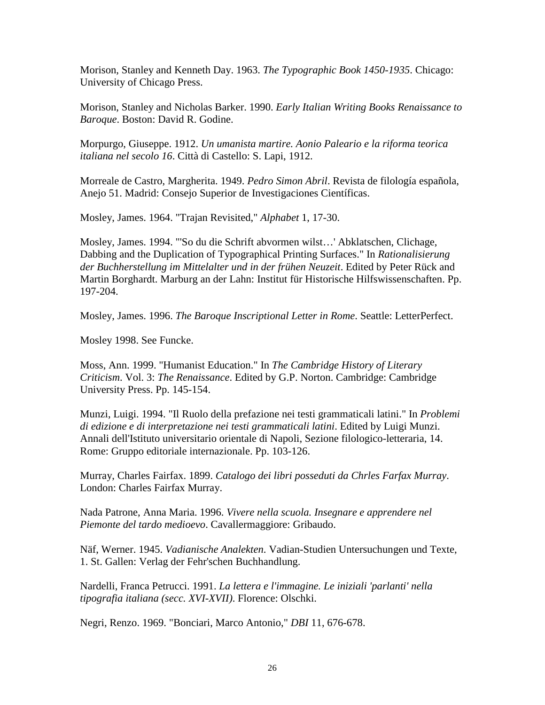Morison, Stanley and Kenneth Day. 1963. *The Typographic Book 1450-1935*. Chicago: University of Chicago Press.

Morison, Stanley and Nicholas Barker. 1990. *Early Italian Writing Books Renaissance to Baroque*. Boston: David R. Godine.

Morpurgo, Giuseppe. 1912. *Un umanista martire. Aonio Paleario e la riforma teorica italiana nel secolo 16*. Città di Castello: S. Lapi, 1912.

Morreale de Castro, Margherita. 1949. *Pedro Simon Abril*. Revista de filología española, Anejo 51. Madrid: Consejo Superior de Investigaciones Científicas.

Mosley, James. 1964. "Trajan Revisited," *Alphabet* 1, 17-30.

Mosley, James. 1994. "'So du die Schrift abvormen wilst…' Abklatschen, Clichage, Dabbing and the Duplication of Typographical Printing Surfaces." In *Rationalisierung der Buchherstellung im Mittelalter und in der frühen Neuzeit*. Edited by Peter Rück and Martin Borghardt. Marburg an der Lahn: Institut für Historische Hilfswissenschaften. Pp. 197-204.

Mosley, James. 1996. *The Baroque Inscriptional Letter in Rome*. Seattle: LetterPerfect.

Mosley 1998. See Funcke.

Moss, Ann. 1999. "Humanist Education." In *The Cambridge History of Literary Criticism*. Vol. 3: *The Renaissance*. Edited by G.P. Norton. Cambridge: Cambridge University Press. Pp. 145-154.

Munzi, Luigi. 1994. "Il Ruolo della prefazione nei testi grammaticali latini." In *Problemi di edizione e di interpretazione nei testi grammaticali latini*. Edited by Luigi Munzi. Annali dell'Istituto universitario orientale di Napoli, Sezione filologico-letteraria, 14. Rome: Gruppo editoriale internazionale. Pp. 103-126.

Murray, Charles Fairfax. 1899. *Catalogo dei libri posseduti da Chrles Farfax Murray*. London: Charles Fairfax Murray.

Nada Patrone, Anna Maria. 1996. *Vivere nella scuola. Insegnare e apprendere nel Piemonte del tardo medioevo*. Cavallermaggiore: Gribaudo.

Näf, Werner. 1945. *Vadianische Analekten*. Vadian-Studien Untersuchungen und Texte, 1. St. Gallen: Verlag der Fehr'schen Buchhandlung.

Nardelli, Franca Petrucci. 1991. *La lettera e l'immagine. Le iniziali 'parlanti' nella tipografia italiana (secc. XVI-XVII)*. Florence: Olschki.

Negri, Renzo. 1969. "Bonciari, Marco Antonio," *DBI* 11, 676-678.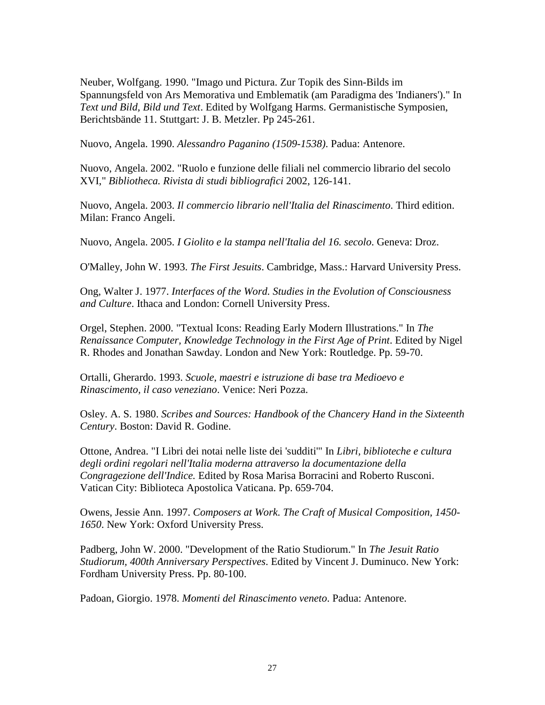Neuber, Wolfgang. 1990. "Imago und Pictura. Zur Topik des Sinn-Bilds im Spannungsfeld von Ars Memorativa und Emblematik (am Paradigma des 'Indianers')." In *Text und Bild, Bild und Text*. Edited by Wolfgang Harms. Germanistische Symposien, Berichtsbände 11. Stuttgart: J. B. Metzler. Pp 245-261.

Nuovo, Angela. 1990. *Alessandro Paganino (1509-1538)*. Padua: Antenore.

Nuovo, Angela. 2002. "Ruolo e funzione delle filiali nel commercio librario del secolo XVI," *Bibliotheca. Rivista di studi bibliografici* 2002, 126-141.

Nuovo, Angela. 2003. *Il commercio librario nell'Italia del Rinascimento*. Third edition. Milan: Franco Angeli.

Nuovo, Angela. 2005. *I Giolito e la stampa nell'Italia del 16. secolo*. Geneva: Droz.

O'Malley, John W. 1993. *The First Jesuits*. Cambridge, Mass.: Harvard University Press.

Ong, Walter J. 1977. *Interfaces of the Word. Studies in the Evolution of Consciousness and Culture*. Ithaca and London: Cornell University Press.

Orgel, Stephen. 2000. "Textual Icons: Reading Early Modern Illustrations." In *The Renaissance Computer, Knowledge Technology in the First Age of Print*. Edited by Nigel R. Rhodes and Jonathan Sawday. London and New York: Routledge. Pp. 59-70.

Ortalli, Gherardo. 1993. *Scuole, maestri e istruzione di base tra Medioevo e Rinascimento, il caso veneziano*. Venice: Neri Pozza.

Osley. A. S. 1980. *Scribes and Sources: Handbook of the Chancery Hand in the Sixteenth Century*. Boston: David R. Godine.

Ottone, Andrea. "I Libri dei notai nelle liste dei 'sudditi'" In *Libri, biblioteche e cultura degli ordini regolari nell'Italia moderna attraverso la documentazione della Congragezione dell'Indice.* Edited by Rosa Marisa Borracini and Roberto Rusconi. Vatican City: Biblioteca Apostolica Vaticana. Pp. 659-704.

Owens, Jessie Ann. 1997. *Composers at Work. The Craft of Musical Composition, 1450- 1650*. New York: Oxford University Press.

Padberg, John W. 2000. "Development of the Ratio Studiorum." In *The Jesuit Ratio Studiorum, 400th Anniversary Perspectives*. Edited by Vincent J. Duminuco. New York: Fordham University Press. Pp. 80-100.

Padoan, Giorgio. 1978. *Momenti del Rinascimento veneto*. Padua: Antenore.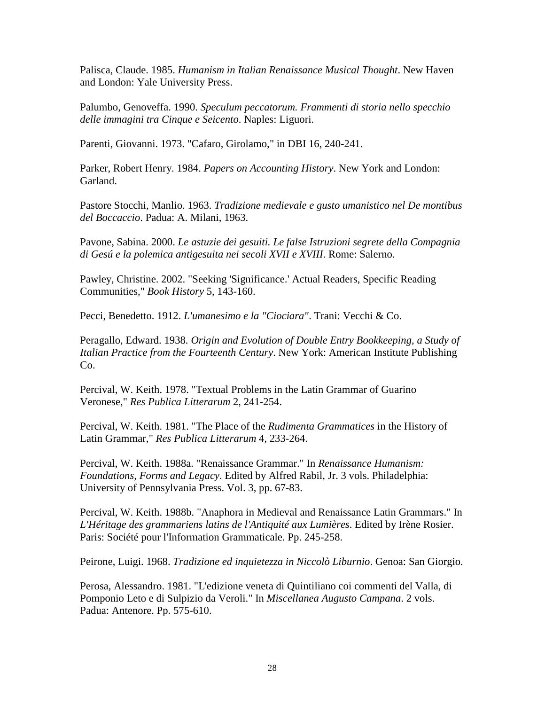Palisca, Claude. 1985. *Humanism in Italian Renaissance Musical Thought*. New Haven and London: Yale University Press.

Palumbo, Genoveffa. 1990. *Speculum peccatorum. Frammenti di storia nello specchio delle immagini tra Cinque e Seicento*. Naples: Liguori.

Parenti, Giovanni. 1973. "Cafaro, Girolamo," in DBI 16, 240-241.

Parker, Robert Henry. 1984. *Papers on Accounting History*. New York and London: Garland.

Pastore Stocchi, Manlio. 1963. *Tradizione medievale e gusto umanistico nel De montibus del Boccaccio*. Padua: A. Milani, 1963.

Pavone, Sabina. 2000. *Le astuzie dei gesuiti. Le false Istruzioni segrete della Compagnia di Gesú e la polemica antigesuita nei secoli XVII e XVIII*. Rome: Salerno.

Pawley, Christine. 2002. "Seeking 'Significance.' Actual Readers, Specific Reading Communities," *Book History* 5, 143-160.

Pecci, Benedetto. 1912. *L'umanesimo e la "Ciociara"*. Trani: Vecchi & Co.

Peragallo, Edward. 1938. *Origin and Evolution of Double Entry Bookkeeping, a Study of Italian Practice from the Fourteenth Century*. New York: American Institute Publishing Co.

Percival, W. Keith. 1978. "Textual Problems in the Latin Grammar of Guarino Veronese," *Res Publica Litterarum* 2, 241-254.

Percival, W. Keith. 1981. "The Place of the *Rudimenta Grammatices* in the History of Latin Grammar," *Res Publica Litterarum* 4, 233-264.

Percival, W. Keith. 1988a. "Renaissance Grammar." In *Renaissance Humanism: Foundations, Forms and Legacy*. Edited by Alfred Rabil, Jr. 3 vols. Philadelphia: University of Pennsylvania Press. Vol. 3, pp. 67-83.

Percival, W. Keith. 1988b. "Anaphora in Medieval and Renaissance Latin Grammars." In *L'Héritage des grammariens latins de l'Antiquité aux Lumières*. Edited by Irène Rosier. Paris: Société pour l'Information Grammaticale. Pp. 245-258.

Peirone, Luigi. 1968. *Tradizione ed inquietezza in Niccolò Liburnio*. Genoa: San Giorgio.

Perosa, Alessandro. 1981. "L'edizione veneta di Quintiliano coi commenti del Valla, di Pomponio Leto e di Sulpizio da Veroli." In *Miscellanea Augusto Campana*. 2 vols. Padua: Antenore. Pp. 575-610.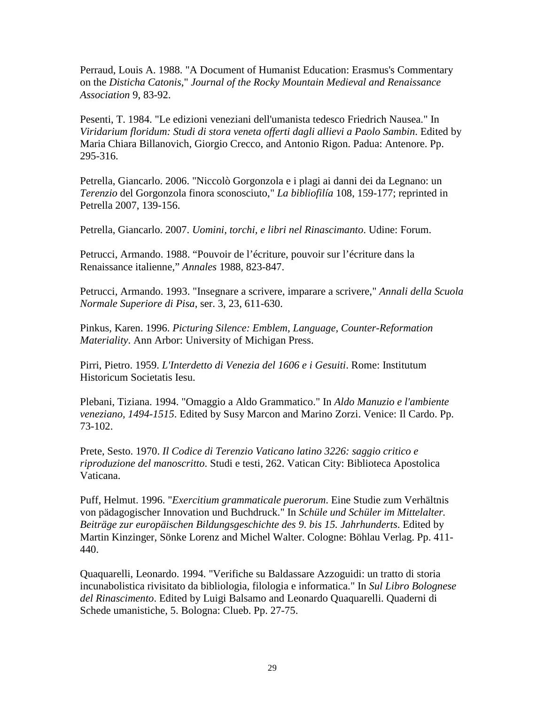Perraud, Louis A. 1988. "A Document of Humanist Education: Erasmus's Commentary on the *Disticha Catonis*," *Journal of the Rocky Mountain Medieval and Renaissance Association* 9, 83-92.

Pesenti, T. 1984. "Le edizioni veneziani dell'umanista tedesco Friedrich Nausea." In *Viridarium floridum: Studi di stora veneta offerti dagli allievi a Paolo Sambin*. Edited by Maria Chiara Billanovich, Giorgio Crecco, and Antonio Rigon. Padua: Antenore. Pp. 295-316.

Petrella, Giancarlo. 2006. "Niccolò Gorgonzola e i plagi ai danni dei da Legnano: un *Terenzio* del Gorgonzola finora sconosciuto," *La bibliofilía* 108, 159-177; reprinted in Petrella 2007, 139-156.

Petrella, Giancarlo. 2007. *Uomini, torchi, e libri nel Rinascimanto*. Udine: Forum.

Petrucci, Armando. 1988. "Pouvoir de l'écriture, pouvoir sur l'écriture dans la Renaissance italienne," *Annales* 1988, 823-847.

Petrucci, Armando. 1993. "Insegnare a scrivere, imparare a scrivere," *Annali della Scuola Normale Superiore di Pisa*, ser. 3, 23, 611-630.

Pinkus, Karen. 1996. *Picturing Silence: Emblem, Language, Counter-Reformation Materiality*. Ann Arbor: University of Michigan Press.

Pirri, Pietro. 1959. *L'Interdetto di Venezia del 1606 e i Gesuiti*. Rome: Institutum Historicum Societatis Iesu.

Plebani, Tiziana. 1994. "Omaggio a Aldo Grammatico." In *Aldo Manuzio e l'ambiente veneziano, 1494-1515*. Edited by Susy Marcon and Marino Zorzi. Venice: Il Cardo. Pp. 73-102.

Prete, Sesto. 1970. *Il Codice di Terenzio Vaticano latino 3226: saggio critico e riproduzione del manoscritto*. Studi e testi, 262. Vatican City: Biblioteca Apostolica Vaticana.

Puff, Helmut. 1996. "*Exercitium grammaticale puerorum*. Eine Studie zum Verhältnis von pädagogischer Innovation und Buchdruck." In *Schüle und Schüler im Mittelalter. Beiträge zur europäischen Bildungsgeschichte des 9. bis 15. Jahrhunderts*. Edited by Martin Kinzinger, Sönke Lorenz and Michel Walter. Cologne: Böhlau Verlag. Pp. 411- 440.

Quaquarelli, Leonardo. 1994. "Verifiche su Baldassare Azzoguidi: un tratto di storia incunabolistica rivisitato da bibliologia, filologia e informatica." In *Sul Libro Bolognese del Rinascimento*. Edited by Luigi Balsamo and Leonardo Quaquarelli. Quaderni di Schede umanistiche, 5. Bologna: Clueb. Pp. 27-75.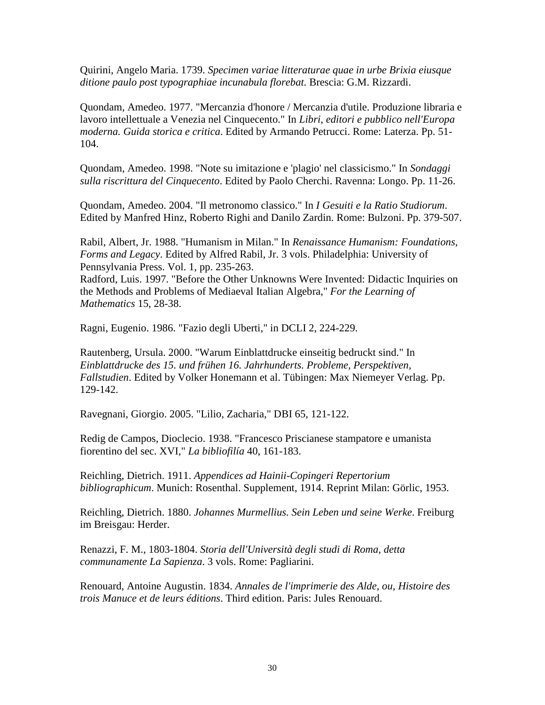Quirini, Angelo Maria. 1739. *Specimen variae litteraturae quae in urbe Brixia eiusque ditione paulo post typographiae incunabula florebat.* Brescia: G.M. Rizzardi.

Quondam, Amedeo. 1977. "Mercanzia d'honore / Mercanzia d'utile. Produzione libraria e lavoro intellettuale a Venezia nel Cinquecento." In *Libri, editori e pubblico nell'Europa moderna. Guida storica e critica*. Edited by Armando Petrucci. Rome: Laterza. Pp. 51- 104.

Quondam, Amedeo. 1998. "Note su imitazione e 'plagio' nel classicismo." In *Sondaggi sulla riscrittura del Cinquecento*. Edited by Paolo Cherchi. Ravenna: Longo. Pp. 11-26.

Quondam, Amedeo. 2004. "Il metronomo classico." In *I Gesuiti e la Ratio Studiorum*. Edited by Manfred Hinz, Roberto Righi and Danilo Zardin. Rome: Bulzoni. Pp. 379-507.

Rabil, Albert, Jr. 1988. "Humanism in Milan." In *Renaissance Humanism: Foundations, Forms and Legacy*. Edited by Alfred Rabil, Jr. 3 vols. Philadelphia: University of Pennsylvania Press. Vol. 1, pp. 235-263.

Radford, Luis. 1997. "Before the Other Unknowns Were Invented: Didactic Inquiries on the Methods and Problems of Mediaeval Italian Algebra," *For the Learning of Mathematics* 15, 28-38.

Ragni, Eugenio. 1986. "Fazio degli Uberti," in DCLI 2, 224-229.

Rautenberg, Ursula. 2000. "Warum Einblattdrucke einseitig bedruckt sind." In *Einblattdrucke des 15. und frühen 16. Jahrhunderts. Probleme, Perspektiven, Fallstudien*. Edited by Volker Honemann et al. Tübingen: Max Niemeyer Verlag. Pp. 129-142.

Ravegnani, Giorgio. 2005. "Lilio, Zacharia," DBI 65, 121-122.

Redig de Campos, Dioclecio. 1938. "Francesco Priscianese stampatore e umanista fiorentino del sec. XVI," *La bibliofilía* 40, 161-183.

Reichling, Dietrich. 1911. *Appendices ad Hainii-Copingeri Repertorium bibliographicum*. Munich: Rosenthal. Supplement, 1914. Reprint Milan: Görlic, 1953.

Reichling, Dietrich. 1880. *Johannes Murmellius. Sein Leben und seine Werke*. Freiburg im Breisgau: Herder.

Renazzi, F. M., 1803-1804. *Storia dell'Università degli studi di Roma, detta communamente La Sapienza*. 3 vols. Rome: Pagliarini.

Renouard, Antoine Augustin. 1834. *Annales de l'imprimerie des Alde, ou, Histoire des trois Manuce et de leurs éditions*. Third edition. Paris: Jules Renouard.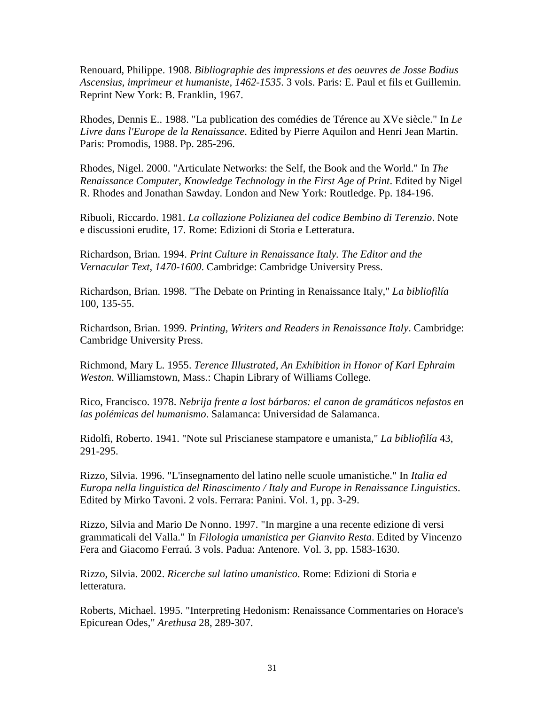Renouard, Philippe. 1908. *Bibliographie des impressions et des oeuvres de Josse Badius Ascensius, imprimeur et humaniste, 1462-1535*. 3 vols. Paris: E. Paul et fils et Guillemin. Reprint New York: B. Franklin, 1967.

Rhodes, Dennis E.. 1988. "La publication des comédies de Térence au XVe siècle." In *Le Livre dans l'Europe de la Renaissance*. Edited by Pierre Aquilon and Henri Jean Martin. Paris: Promodis, 1988. Pp. 285-296.

Rhodes, Nigel. 2000. "Articulate Networks: the Self, the Book and the World." In *The Renaissance Computer, Knowledge Technology in the First Age of Print*. Edited by Nigel R. Rhodes and Jonathan Sawday. London and New York: Routledge. Pp. 184-196.

Ribuoli, Riccardo. 1981. *La collazione Polizianea del codice Bembino di Terenzio*. Note e discussioni erudite, 17. Rome: Edizioni di Storia e Letteratura.

Richardson, Brian. 1994. *Print Culture in Renaissance Italy. The Editor and the Vernacular Text, 1470-1600*. Cambridge: Cambridge University Press.

Richardson, Brian. 1998. "The Debate on Printing in Renaissance Italy," *La bibliofilía* 100, 135-55.

Richardson, Brian. 1999. *Printing, Writers and Readers in Renaissance Italy*. Cambridge: Cambridge University Press.

Richmond, Mary L. 1955. *Terence Illustrated, An Exhibition in Honor of Karl Ephraim Weston*. Williamstown, Mass.: Chapin Library of Williams College.

Rico, Francisco. 1978. *Nebrija frente a lost bárbaros: el canon de gramáticos nefastos en las polémicas del humanismo*. Salamanca: Universidad de Salamanca.

Ridolfi, Roberto. 1941. "Note sul Priscianese stampatore e umanista," *La bibliofilía* 43, 291-295.

Rizzo, Silvia. 1996. "L'insegnamento del latino nelle scuole umanistiche." In *Italia ed Europa nella linguistica del Rinascimento / Italy and Europe in Renaissance Linguistics*. Edited by Mirko Tavoni. 2 vols. Ferrara: Panini. Vol. 1, pp. 3-29.

Rizzo, Silvia and Mario De Nonno. 1997. "In margine a una recente edizione di versi grammaticali del Valla." In *Filologia umanistica per Gianvito Resta*. Edited by Vincenzo Fera and Giacomo Ferraú. 3 vols. Padua: Antenore. Vol. 3, pp. 1583-1630.

Rizzo, Silvia. 2002. *Ricerche sul latino umanistico*. Rome: Edizioni di Storia e letteratura.

Roberts, Michael. 1995. "Interpreting Hedonism: Renaissance Commentaries on Horace's Epicurean Odes," *Arethusa* 28, 289-307.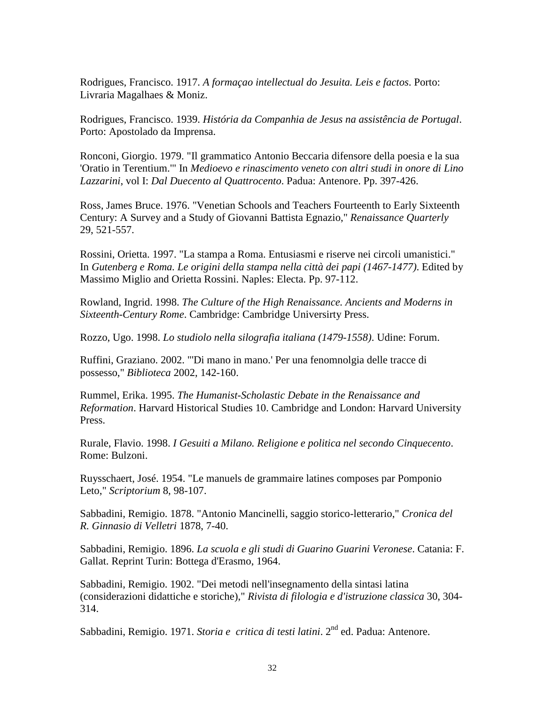Rodrigues, Francisco. 1917. *A formaçao intellectual do Jesuita. Leis e factos*. Porto: Livraria Magalhaes & Moniz.

Rodrigues, Francisco. 1939. *História da Companhia de Jesus na assistência de Portugal*. Porto: Apostolado da Imprensa.

Ronconi, Giorgio. 1979. "Il grammatico Antonio Beccaria difensore della poesia e la sua 'Oratio in Terentium.'" In *Medioevo e rinascimento veneto con altri studi in onore di Lino Lazzarini*, vol I: *Dal Duecento al Quattrocento*. Padua: Antenore. Pp. 397-426.

Ross, James Bruce. 1976. "Venetian Schools and Teachers Fourteenth to Early Sixteenth Century: A Survey and a Study of Giovanni Battista Egnazio," *Renaissance Quarterly* 29, 521-557.

Rossini, Orietta. 1997. "La stampa a Roma. Entusiasmi e riserve nei circoli umanistici." In *Gutenberg e Roma. Le origini della stampa nella città dei papi (1467-1477)*. Edited by Massimo Miglio and Orietta Rossini. Naples: Electa. Pp. 97-112.

Rowland, Ingrid. 1998. *The Culture of the High Renaissance. Ancients and Moderns in Sixteenth-Century Rome*. Cambridge: Cambridge Universirty Press.

Rozzo, Ugo. 1998. *Lo studiolo nella silografia italiana (1479-1558)*. Udine: Forum.

Ruffini, Graziano. 2002. "'Di mano in mano.' Per una fenomnolgia delle tracce di possesso," *Biblioteca* 2002, 142-160.

Rummel, Erika. 1995. *The Humanist-Scholastic Debate in the Renaissance and Reformation*. Harvard Historical Studies 10. Cambridge and London: Harvard University Press.

Rurale, Flavio. 1998. *I Gesuiti a Milano. Religione e politica nel secondo Cinquecento*. Rome: Bulzoni.

Ruysschaert, José. 1954. "Le manuels de grammaire latines composes par Pomponio Leto," *Scriptorium* 8, 98-107.

Sabbadini, Remigio. 1878. "Antonio Mancinelli, saggio storico-letterario," *Cronica del R. Ginnasio di Velletri* 1878, 7-40.

Sabbadini, Remigio. 1896. *La scuola e gli studi di Guarino Guarini Veronese*. Catania: F. Gallat. Reprint Turin: Bottega d'Erasmo, 1964.

Sabbadini, Remigio. 1902. "Dei metodi nell'insegnamento della sintasi latina (considerazioni didattiche e storiche)," *Rivista di filologia e d'istruzione classica* 30, 304- 314.

Sabbadini, Remigio. 1971. *Storia e critica di testi latini*. 2nd ed. Padua: Antenore.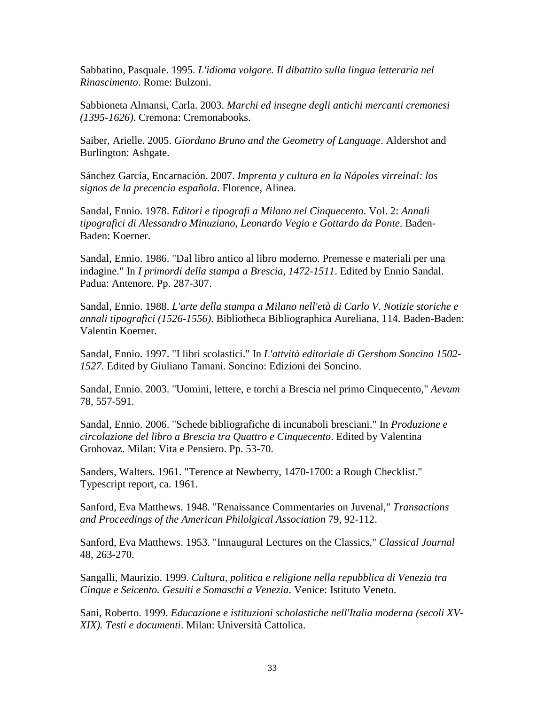Sabbatino, Pasquale. 1995. *L'idioma volgare. Il dibattito sulla lingua letteraria nel Rinascimento*. Rome: Bulzoni.

Sabbioneta Almansi, Carla. 2003. *Marchi ed insegne degli antichi mercanti cremonesi (1395-1626)*. Cremona: Cremonabooks.

Saiber, Arielle. 2005. *Giordano Bruno and the Geometry of Language*. Aldershot and Burlington: Ashgate.

Sánchez García, Encarnación. 2007. *Imprenta y cultura en la Nápoles virreinal: los signos de la precencia española*. Florence, Alinea.

Sandal, Ennio. 1978. *Editori e tipografi a Milano nel Cinquecento*. Vol. 2: *Annali tipografici di Alessandro Minuziano, Leonardo Vegio e Gottardo da Ponte*. Baden-Baden: Koerner.

Sandal, Ennio. 1986. "Dal libro antico al libro moderno. Premesse e materiali per una indagine." In *I primordi della stampa a Brescia, 1472-1511*. Edited by Ennio Sandal. Padua: Antenore. Pp. 287-307.

Sandal, Ennio. 1988. *L'arte della stampa a Milano nell'età di Carlo V. Notizie storiche e annali tipografici (1526-1556)*. Bibliotheca Bibliographica Aureliana, 114. Baden-Baden: Valentin Koerner.

Sandal, Ennio. 1997. "I libri scolastici." In *L'attvità editoriale di Gershom Soncino 1502- 1527*. Edited by Giuliano Tamani. Soncino: Edizioni dei Soncino.

Sandal, Ennio. 2003. "Uomini, lettere, e torchi a Brescia nel primo Cinquecento," *Aevum* 78, 557-591.

Sandal, Ennio. 2006. "Schede bibliografiche di incunaboli bresciani." In *Produzione e circolazione del libro a Brescia tra Quattro e Cinquecento*. Edited by Valentina Grohovaz. Milan: Vita e Pensiero. Pp. 53-70.

Sanders, Walters. 1961. "Terence at Newberry, 1470-1700: a Rough Checklist." Typescript report, ca. 1961.

Sanford, Eva Matthews. 1948. "Renaissance Commentaries on Juvenal," *Transactions and Proceedings of the American Philolgical Association* 79, 92-112.

Sanford, Eva Matthews. 1953. "Innaugural Lectures on the Classics," *Classical Journal* 48, 263-270.

Sangalli, Maurizio. 1999. *Cultura, politica e religione nella repubblica di Venezia tra Cinque e Seicento. Gesuiti e Somaschi a Venezia*. Venice: Istituto Veneto.

Sani, Roberto. 1999. *Educazione e istituzioni scholastiche nell'Italia moderna (secoli XV-XIX). Testi e documenti*. Milan: Università Cattolica.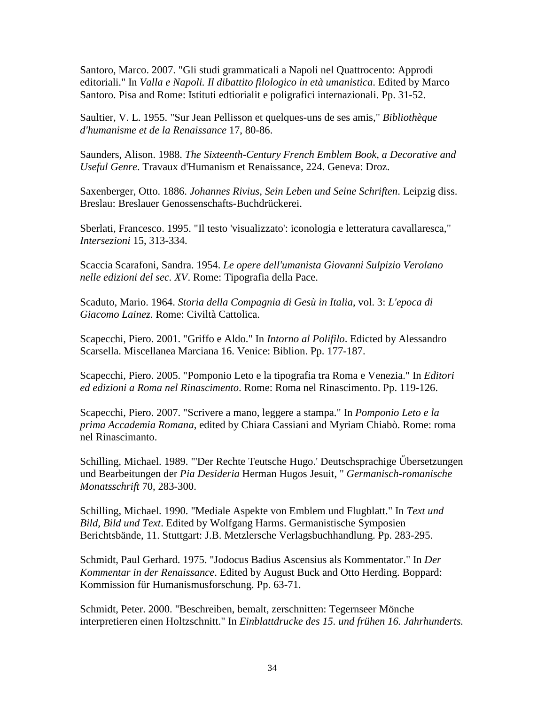Santoro, Marco. 2007. "Gli studi grammaticali a Napoli nel Quattrocento: Approdi editoriali." In *Valla e Napoli. Il dibattito filologico in età umanistica*. Edited by Marco Santoro. Pisa and Rome: Istituti edtiorialit e poligrafici internazionali. Pp. 31-52.

Saultier, V. L. 1955. "Sur Jean Pellisson et quelques-uns de ses amis," *Bibliothèque d'humanisme et de la Renaissance* 17, 80-86.

Saunders, Alison. 1988. *The Sixteenth-Century French Emblem Book, a Decorative and Useful Genre*. Travaux d'Humanism et Renaissance, 224. Geneva: Droz.

Saxenberger, Otto. 1886. *Johannes Rivius, Sein Leben und Seine Schriften*. Leipzig diss. Breslau: Breslauer Genossenschafts-Buchdrückerei.

Sberlati, Francesco. 1995. "Il testo 'visualizzato': iconologia e letteratura cavallaresca," *Intersezioni* 15, 313-334.

Scaccia Scarafoni, Sandra. 1954. *Le opere dell'umanista Giovanni Sulpizio Verolano nelle edizioni del sec. XV*. Rome: Tipografia della Pace.

Scaduto, Mario. 1964. *Storia della Compagnia di Gesù in Italia*, vol. 3: *L'epoca di Giacomo Lainez*. Rome: Civiltà Cattolica.

Scapecchi, Piero. 2001. "Griffo e Aldo." In *Intorno al Polifilo*. Edicted by Alessandro Scarsella. Miscellanea Marciana 16. Venice: Biblion. Pp. 177-187.

Scapecchi, Piero. 2005. "Pomponio Leto e la tipografia tra Roma e Venezia." In *Editori ed edizioni a Roma nel Rinascimento*. Rome: Roma nel Rinascimento. Pp. 119-126.

Scapecchi, Piero. 2007. "Scrivere a mano, leggere a stampa." In *Pomponio Leto e la prima Accademia Romana*, edited by Chiara Cassiani and Myriam Chiabò. Rome: roma nel Rinascimanto.

Schilling, Michael. 1989. "'Der Rechte Teutsche Hugo.' Deutschsprachige Őbersetzungen und Bearbeitungen der *Pia Desideria* Herman Hugos Jesuit, " *Germanisch-romanische Monatsschrift* 70, 283-300.

Schilling, Michael. 1990. "Mediale Aspekte von Emblem und Flugblatt." In *Text und Bild, Bild und Text*. Edited by Wolfgang Harms. Germanistische Symposien Berichtsbände, 11. Stuttgart: J.B. Metzlersche Verlagsbuchhandlung. Pp. 283-295.

Schmidt, Paul Gerhard. 1975. "Jodocus Badius Ascensius als Kommentator." In *Der Kommentar in der Renaissance*. Edited by August Buck and Otto Herding. Boppard: Kommission für Humanismusforschung. Pp. 63-71.

Schmidt, Peter. 2000. "Beschreiben, bemalt, zerschnitten: Tegernseer Mönche interpretieren einen Holtzschnitt." In *Einblattdrucke des 15. und frühen 16. Jahrhunderts.*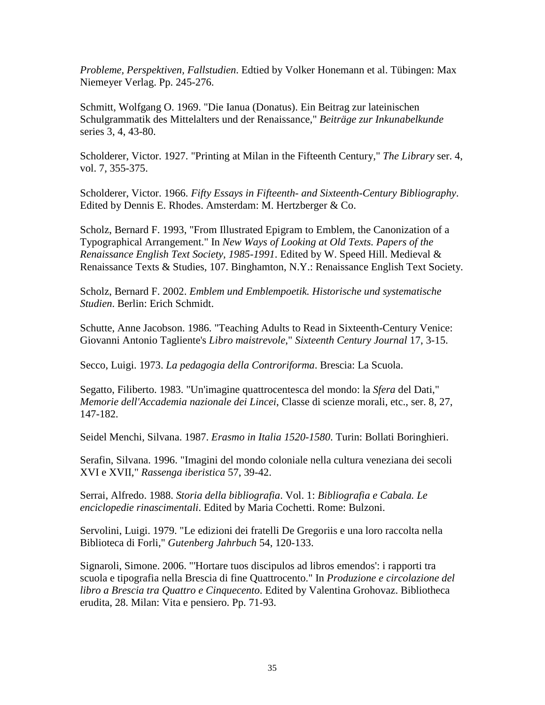*Probleme, Perspektiven, Fallstudien*. Edtied by Volker Honemann et al. Tübingen: Max Niemeyer Verlag. Pp. 245-276.

Schmitt, Wolfgang O. 1969. "Die Ianua (Donatus). Ein Beitrag zur lateinischen Schulgrammatik des Mittelalters und der Renaissance," *Beiträge zur Inkunabelkunde* series 3, 4, 43-80.

Scholderer, Victor. 1927. "Printing at Milan in the Fifteenth Century," *The Library* ser. 4, vol. 7, 355-375.

Scholderer, Victor. 1966. *Fifty Essays in Fifteenth- and Sixteenth-Century Bibliography*. Edited by Dennis E. Rhodes. Amsterdam: M. Hertzberger & Co.

Scholz, Bernard F. 1993, "From Illustrated Epigram to Emblem, the Canonization of a Typographical Arrangement." In *New Ways of Looking at Old Texts. Papers of the Renaissance English Text Society, 1985-1991*. Edited by W. Speed Hill. Medieval & Renaissance Texts & Studies, 107. Binghamton, N.Y.: Renaissance English Text Society.

Scholz, Bernard F. 2002. *Emblem und Emblempoetik. Historische und systematische Studien*. Berlin: Erich Schmidt.

Schutte, Anne Jacobson. 1986. "Teaching Adults to Read in Sixteenth-Century Venice: Giovanni Antonio Tagliente's *Libro maistrevole*," *Sixteenth Century Journal* 17, 3-15.

Secco, Luigi. 1973. *La pedagogia della Controriforma*. Brescia: La Scuola.

Segatto, Filiberto. 1983. "Un'imagine quattrocentesca del mondo: la *Sfera* del Dati," *Memorie dell'Accademia nazionale dei Lincei*, Classe di scienze morali, etc., ser. 8, 27, 147-182.

Seidel Menchi, Silvana. 1987. *Erasmo in Italia 1520-1580*. Turin: Bollati Boringhieri.

Serafin, Silvana. 1996. "Imagini del mondo coloniale nella cultura veneziana dei secoli XVI e XVII," *Rassenga iberistica* 57, 39-42.

Serrai, Alfredo. 1988. *Storia della bibliografia*. Vol. 1: *Bibliografia e Cabala. Le enciclopedie rinascimentali*. Edited by Maria Cochetti. Rome: Bulzoni.

Servolini, Luigi. 1979. "Le edizioni dei fratelli De Gregoriis e una loro raccolta nella Biblioteca di Forli," *Gutenberg Jahrbuch* 54, 120-133.

Signaroli, Simone. 2006. "'Hortare tuos discipulos ad libros emendos': i rapporti tra scuola e tipografia nella Brescia di fine Quattrocento." In *Produzione e circolazione del libro a Brescia tra Quattro e Cinquecento*. Edited by Valentina Grohovaz. Bibliotheca erudita, 28. Milan: Vita e pensiero. Pp. 71-93.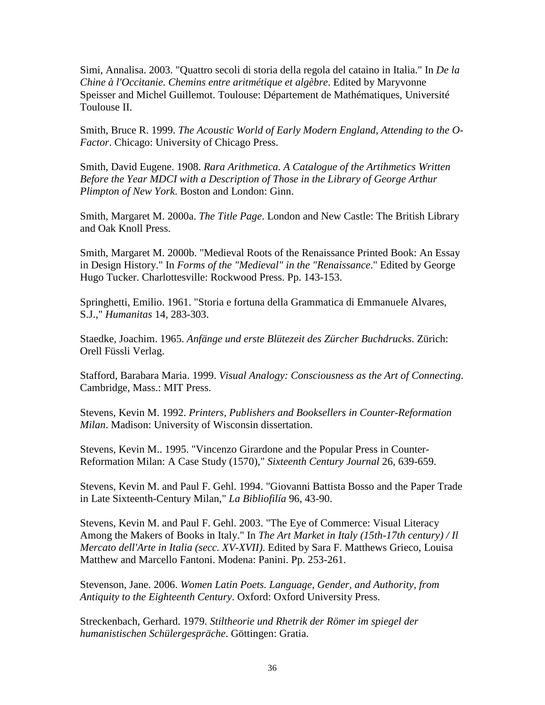Simi, Annalisa. 2003. "Quattro secoli di storia della regola del cataino in Italia." In *De la Chine à l'Occitanie. Chemins entre aritmétique et algèbre*. Edited by Maryvonne Speisser and Michel Guillemot. Toulouse: Département de Mathématiques, Université Toulouse II.

Smith, Bruce R. 1999. *The Acoustic World of Early Modern England, Attending to the O-Factor*. Chicago: University of Chicago Press.

Smith, David Eugene. 1908. *Rara Arithmetica. A Catalogue of the Artihmetics Written Before the Year MDCI with a Description of Those in the Library of George Arthur Plimpton of New York*. Boston and London: Ginn.

Smith, Margaret M. 2000a. *The Title Page*. London and New Castle: The British Library and Oak Knoll Press.

Smith, Margaret M. 2000b. "Medieval Roots of the Renaissance Printed Book: An Essay in Design History." In *Forms of the "Medieval" in the "Renaissance*." Edited by George Hugo Tucker. Charlottesville: Rockwood Press. Pp. 143-153.

Springhetti, Emilio. 1961. "Storia e fortuna della Grammatica di Emmanuele Alvares, S.J.," *Humanitas* 14, 283-303.

Staedke, Joachim. 1965. *Anfänge und erste Blütezeit des Zürcher Buchdrucks*. Zürich: Orell Füssli Verlag.

Stafford, Barabara Maria. 1999. *Visual Analogy: Consciousness as the Art of Connecting*. Cambridge, Mass.: MIT Press.

Stevens, Kevin M. 1992. *Printers, Publishers and Booksellers in Counter-Reformation Milan*. Madison: University of Wisconsin dissertation.

Stevens, Kevin M.. 1995. "Vincenzo Girardone and the Popular Press in Counter-Reformation Milan: A Case Study (1570)," *Sixteenth Century Journal* 26, 639-659.

Stevens, Kevin M. and Paul F. Gehl. 1994. "Giovanni Battista Bosso and the Paper Trade in Late Sixteenth-Century Milan," *La Bibliofilía* 96, 43-90.

Stevens, Kevin M. and Paul F. Gehl. 2003. "The Eye of Commerce: Visual Literacy Among the Makers of Books in Italy." In *The Art Market in Italy (15th-17th century) / Il Mercato dell'Arte in Italia (secc. XV-XVII)*. Edited by Sara F. Matthews Grieco, Louisa Matthew and Marcello Fantoni. Modena: Panini. Pp. 253-261.

Stevenson, Jane. 2006. *Women Latin Poets. Language, Gender, and Authority, from Antiquity to the Eighteenth Century*. Oxford: Oxford University Press.

Streckenbach, Gerhard. 1979. *Stiltheorie und Rhetrik der Römer im spiegel der humanistischen Schülergespräche*. Göttingen: Gratia.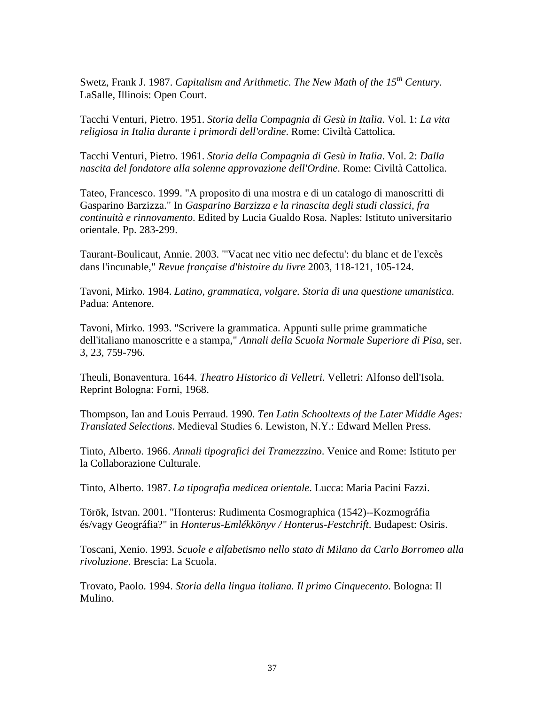Swetz, Frank J. 1987. *Capitalism and Arithmetic. The New Math of the 15th Century*. LaSalle, Illinois: Open Court.

Tacchi Venturi, Pietro. 1951. *Storia della Compagnia di Gesù in Italia*. Vol. 1: *La vita religiosa in Italia durante i primordi dell'ordine*. Rome: Civiltà Cattolica.

Tacchi Venturi, Pietro. 1961. *Storia della Compagnia di Gesù in Italia*. Vol. 2: *Dalla nascita del fondatore alla solenne approvazione dell'Ordine*. Rome: Civiltà Cattolica.

Tateo, Francesco. 1999. "A proposito di una mostra e di un catalogo di manoscritti di Gasparino Barzizza." In *Gasparino Barzizza e la rinascita degli studi classici, fra continuità e rinnovamento*. Edited by Lucia Gualdo Rosa. Naples: Istituto universitario orientale. Pp. 283-299.

Taurant-Boulicaut, Annie. 2003. "'Vacat nec vitio nec defectu': du blanc et de l'excès dans l'incunable," *Revue française d'histoire du livre* 2003, 118-121, 105-124.

Tavoni, Mirko. 1984. *Latino, grammatica, volgare. Storia di una questione umanistica*. Padua: Antenore.

Tavoni, Mirko. 1993. "Scrivere la grammatica. Appunti sulle prime grammatiche dell'italiano manoscritte e a stampa," *Annali della Scuola Normale Superiore di Pisa*, ser. 3, 23, 759-796.

Theuli, Bonaventura. 1644. *Theatro Historico di Velletri*. Velletri: Alfonso dell'Isola. Reprint Bologna: Forni, 1968.

Thompson, Ian and Louis Perraud. 1990. *Ten Latin Schooltexts of the Later Middle Ages: Translated Selections*. Medieval Studies 6. Lewiston, N.Y.: Edward Mellen Press.

Tinto, Alberto. 1966. *Annali tipografici dei Tramezzzino*. Venice and Rome: Istituto per la Collaborazione Culturale.

Tinto, Alberto. 1987. *La tipografia medicea orientale*. Lucca: Maria Pacini Fazzi.

Török, Istvan. 2001. "Honterus: Rudimenta Cosmographica (1542)--Kozmográfia és/vagy Geográfia?" in *Honterus-Emlékkönyv / Honterus-Festchrift*. Budapest: Osiris.

Toscani, Xenio. 1993. *Scuole e alfabetismo nello stato di Milano da Carlo Borromeo alla rivoluzione*. Brescia: La Scuola.

Trovato, Paolo. 1994. *Storia della lingua italiana. Il primo Cinquecento*. Bologna: Il Mulino.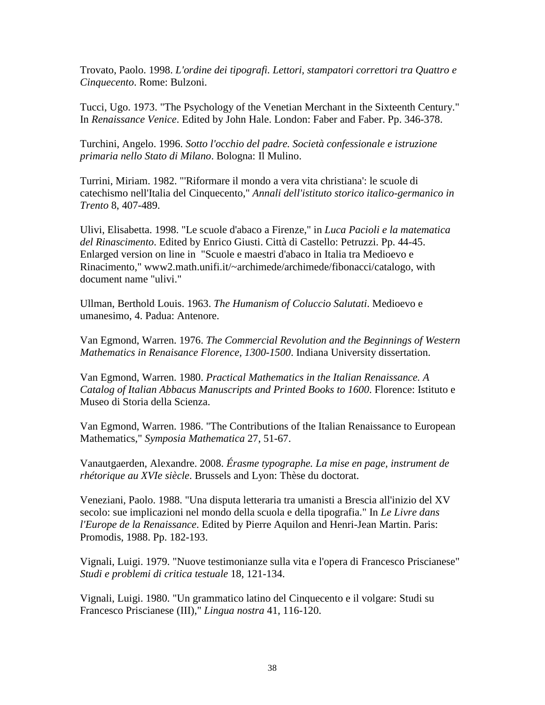Trovato, Paolo. 1998. *L'ordine dei tipografi. Lettori, stampatori correttori tra Quattro e Cinquecento*. Rome: Bulzoni.

Tucci, Ugo. 1973. "The Psychology of the Venetian Merchant in the Sixteenth Century." In *Renaissance Venice*. Edited by John Hale. London: Faber and Faber. Pp. 346-378.

Turchini, Angelo. 1996. *Sotto l'occhio del padre. Società confessionale e istruzione primaria nello Stato di Milano*. Bologna: Il Mulino.

Turrini, Miriam. 1982. "'Riformare il mondo a vera vita christiana': le scuole di catechismo nell'Italia del Cinquecento," *Annali dell'istituto storico italico-germanico in Trento* 8, 407-489.

Ulivi, Elisabetta. 1998. "Le scuole d'abaco a Firenze," in *Luca Pacioli e la matematica del Rinascimento*. Edited by Enrico Giusti. Città di Castello: Petruzzi. Pp. 44-45. Enlarged version on line in "Scuole e maestri d'abaco in Italia tra Medioevo e Rinacimento," www2.math.unifi.it/~archimede/archimede/fibonacci/catalogo, with document name "ulivi."

Ullman, Berthold Louis. 1963. *The Humanism of Coluccio Salutati*. Medioevo e umanesimo, 4. Padua: Antenore.

Van Egmond, Warren. 1976. *The Commercial Revolution and the Beginnings of Western Mathematics in Renaisance Florence, 1300-1500*. Indiana University dissertation.

Van Egmond, Warren. 1980. *Practical Mathematics in the Italian Renaissance. A Catalog of Italian Abbacus Manuscripts and Printed Books to 1600*. Florence: Istituto e Museo di Storia della Scienza.

Van Egmond, Warren. 1986. "The Contributions of the Italian Renaissance to European Mathematics," *Symposia Mathematica* 27, 51-67.

Vanautgaerden, Alexandre. 2008. *Érasme typographe. La mise en page, instrument de rhétorique au XVIe siècle*. Brussels and Lyon: Thèse du doctorat.

Veneziani, Paolo. 1988. "Una disputa letteraria tra umanisti a Brescia all'inizio del XV secolo: sue implicazioni nel mondo della scuola e della tipografia." In *Le Livre dans l'Europe de la Renaissance*. Edited by Pierre Aquilon and Henri-Jean Martin. Paris: Promodis, 1988. Pp. 182-193.

Vignali, Luigi. 1979. "Nuove testimonianze sulla vita e l'opera di Francesco Priscianese" *Studi e problemi di critica testuale* 18, 121-134.

Vignali, Luigi. 1980. "Un grammatico latino del Cinquecento e il volgare: Studi su Francesco Priscianese (III)," *Lingua nostra* 41, 116-120.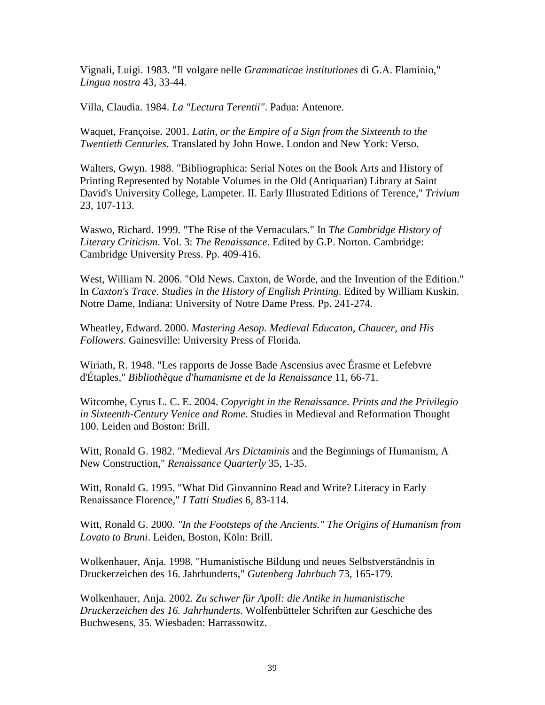Vignali, Luigi. 1983. "Il volgare nelle *Grammaticae institutiones* di G.A. Flaminio," *Lingua nostra* 43, 33-44.

Villa, Claudia. 1984. *La "Lectura Terentii"*. Padua: Antenore.

Waquet, Françoise. 2001. *Latin, or the Empire of a Sign from the Sixteenth to the Twentieth Centuries*. Translated by John Howe. London and New York: Verso.

Walters, Gwyn. 1988. "Bibliographica: Serial Notes on the Book Arts and History of Printing Represented by Notable Volumes in the Old (Antiquarian) Library at Saint David's University College, Lampeter. II. Early Illustrated Editions of Terence," *Trivium* 23, 107-113.

Waswo, Richard. 1999. "The Rise of the Vernaculars." In *The Cambridge History of Literary Criticism*. Vol. 3: *The Renaissance*. Edited by G.P. Norton. Cambridge: Cambridge University Press. Pp. 409-416.

West, William N. 2006. "Old News. Caxton, de Worde, and the Invention of the Edition." In *Caxton's Trace. Studies in the History of English Printing*. Edited by William Kuskin. Notre Dame, Indiana: University of Notre Dame Press. Pp. 241-274.

Wheatley, Edward. 2000. *Mastering Aesop. Medieval Educaton, Chaucer, and His Followers*. Gainesville: University Press of Florida.

Wiriath, R. 1948. "Les rapports de Josse Bade Ascensius avec Érasme et Lefebvre d'Étaples," *Bibliothèque d'humanisme et de la Renaissance* 11, 66-71.

Witcombe, Cyrus L. C. E. 2004. *Copyright in the Renaissance. Prints and the Privilegio in Sixteenth-Century Venice and Rome*. Studies in Medieval and Reformation Thought 100. Leiden and Boston: Brill.

Witt, Ronald G. 1982. "Medieval *Ars Dictaminis* and the Beginnings of Humanism, A New Construction," *Renaissance Quarterly* 35, 1-35.

Witt, Ronald G. 1995. "What Did Giovannino Read and Write? Literacy in Early Renaissance Florence," *I Tatti Studies* 6, 83-114.

Witt, Ronald G. 2000. *"In the Footsteps of the Ancients." The Origins of Humanism from Lovato to Bruni*. Leiden, Boston, Köln: Brill.

Wolkenhauer, Anja. 1998. "Humanistische Bildung und neues Selbstverständnis in Druckerzeichen des 16. Jahrhunderts," *Gutenberg Jahrbuch* 73, 165-179.

Wolkenhauer, Anja. 2002. *Zu schwer für Apoll: die Antike in humanistische Druckerzeichen des 16. Jahrhunderts*. Wolfenbütteler Schriften zur Geschiche des Buchwesens, 35. Wiesbaden: Harrassowitz.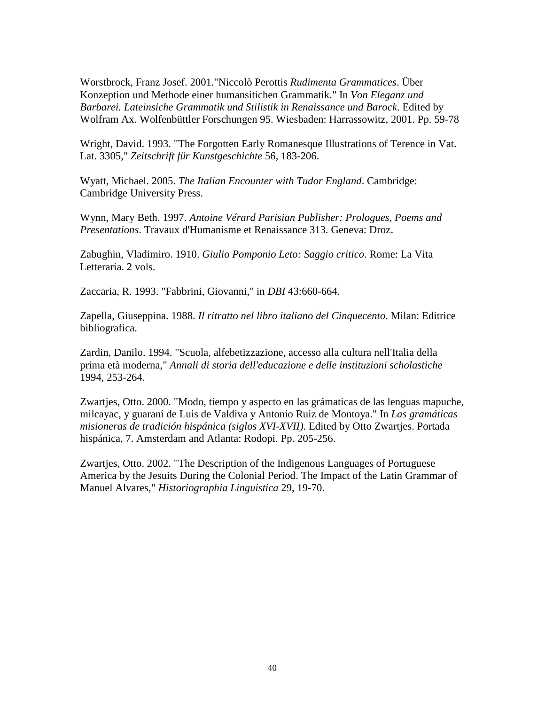Worstbrock, Franz Josef. 2001."Niccolò Perottis *Rudimenta Grammatices*. Über Konzeption und Methode einer humansitichen Grammatik." In *Von Eleganz und Barbarei. Lateinsiche Grammatik und Stilistik in Renaissance und Barock*. Edited by Wolfram Ax. Wolfenbüttler Forschungen 95. Wiesbaden: Harrassowitz, 2001. Pp. 59-78

Wright, David. 1993. "The Forgotten Early Romanesque Illustrations of Terence in Vat. Lat. 3305," *Zeitschrift für Kunstgeschichte* 56, 183-206.

Wyatt, Michael. 2005. *The Italian Encounter with Tudor England*. Cambridge: Cambridge University Press.

Wynn, Mary Beth. 1997. *Antoine Vérard Parisian Publisher: Prologues, Poems and Presentations*. Travaux d'Humanisme et Renaissance 313. Geneva: Droz.

Zabughin, Vladimiro. 1910. *Giulio Pomponio Leto: Saggio critico*. Rome: La Vita Letteraria. 2 vols.

Zaccaria, R. 1993. "Fabbrini, Giovanni," in *DBI* 43:660-664.

Zapella, Giuseppina. 1988. *Il ritratto nel libro italiano del Cinquecento*. Milan: Editrice bibliografica.

Zardin, Danilo. 1994. "Scuola, alfebetizzazione, accesso alla cultura nell'Italia della prima età moderna," *Annali di storia dell'educazione e delle instituzioni scholastiche* 1994, 253-264.

Zwartjes, Otto. 2000. "Modo, tiempo y aspecto en las grámaticas de las lenguas mapuche, milcayac, y guaraní de Luis de Valdiva y Antonio Ruiz de Montoya." In *Las gramáticas misioneras de tradición hispánica (siglos XVI-XVII)*. Edited by Otto Zwartjes. Portada hispánica, 7. Amsterdam and Atlanta: Rodopi. Pp. 205-256.

Zwartjes, Otto. 2002. "The Description of the Indigenous Languages of Portuguese America by the Jesuits During the Colonial Period. The Impact of the Latin Grammar of Manuel Alvares," *Historiographia Linguistica* 29, 19-70.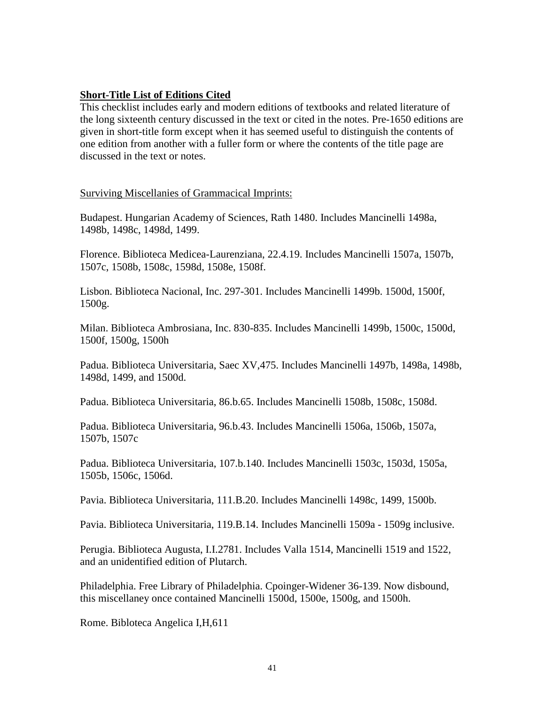## **Short-Title List of Editions Cited**

This checklist includes early and modern editions of textbooks and related literature of the long sixteenth century discussed in the text or cited in the notes. Pre-1650 editions are given in short-title form except when it has seemed useful to distinguish the contents of one edition from another with a fuller form or where the contents of the title page are discussed in the text or notes.

Surviving Miscellanies of Grammacical Imprints:

Budapest. Hungarian Academy of Sciences, Rath 1480. Includes Mancinelli 1498a, 1498b, 1498c, 1498d, 1499.

Florence. Biblioteca Medicea-Laurenziana, 22.4.19. Includes Mancinelli 1507a, 1507b, 1507c, 1508b, 1508c, 1598d, 1508e, 1508f.

Lisbon. Biblioteca Nacional, Inc. 297-301. Includes Mancinelli 1499b. 1500d, 1500f, 1500g.

Milan. Biblioteca Ambrosiana, Inc. 830-835. Includes Mancinelli 1499b, 1500c, 1500d, 1500f, 1500g, 1500h

Padua. Biblioteca Universitaria, Saec XV,475. Includes Mancinelli 1497b, 1498a, 1498b, 1498d, 1499, and 1500d.

Padua. Biblioteca Universitaria, 86.b.65. Includes Mancinelli 1508b, 1508c, 1508d.

Padua. Biblioteca Universitaria, 96.b.43. Includes Mancinelli 1506a, 1506b, 1507a, 1507b, 1507c

Padua. Biblioteca Universitaria, 107.b.140. Includes Mancinelli 1503c, 1503d, 1505a, 1505b, 1506c, 1506d.

Pavia. Biblioteca Universitaria, 111.B.20. Includes Mancinelli 1498c, 1499, 1500b.

Pavia. Biblioteca Universitaria, 119.B.14. Includes Mancinelli 1509a - 1509g inclusive.

Perugia. Biblioteca Augusta, I.I.2781. Includes Valla 1514, Mancinelli 1519 and 1522, and an unidentified edition of Plutarch.

Philadelphia. Free Library of Philadelphia. Cpoinger-Widener 36-139. Now disbound, this miscellaney once contained Mancinelli 1500d, 1500e, 1500g, and 1500h.

Rome. Bibloteca Angelica I,H,611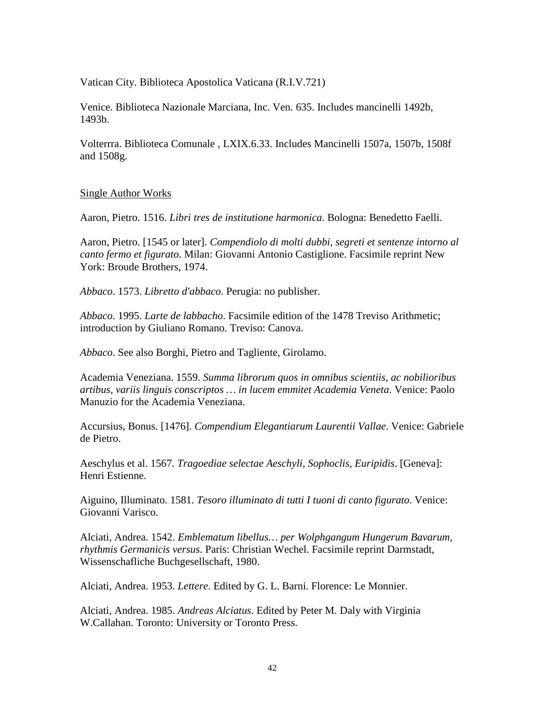Vatican City. Biblioteca Apostolica Vaticana (R.I.V.721)

Venice. Biblioteca Nazionale Marciana, Inc. Ven. 635. Includes mancinelli 1492b, 1493b.

Volterrra. Biblioteca Comunale , LXIX.6.33. Includes Mancinelli 1507a, 1507b, 1508f and 1508g.

## Single Author Works

Aaron, Pietro. 1516. *Libri tres de institutione harmonica*. Bologna: Benedetto Faelli.

Aaron, Pietro. [1545 or later]. *Compendiolo di molti dubbi, segreti et sentenze intorno al canto fermo et figurato*. Milan: Giovanni Antonio Castiglione. Facsimile reprint New York: Broude Brothers, 1974.

*Abbaco*. 1573. *Libretto d'abbaco*. Perugia: no publisher.

*Abbaco*. 1995. *Larte de labbacho*. Facsimile edition of the 1478 Treviso Arithmetic; introduction by Giuliano Romano. Treviso: Canova.

*Abbaco*. See also Borghi, Pietro and Tagliente, Girolamo.

Academia Veneziana. 1559. *Summa librorum quos in omnibus scientiis, ac nobilioribus artibus, variis linguis conscriptos … in lucem emmitet Academia Veneta*. Venice: Paolo Manuzio for the Academia Veneziana.

Accursius, Bonus. [1476]. *Compendium Elegantiarum Laurentii Vallae*. Venice: Gabriele de Pietro.

Aeschylus et al. 1567. *Tragoediae selectae Aeschyli, Sophoclis, Euripidis*. [Geneva]: Henri Estienne.

Aiguino, Illuminato. 1581. *Tesoro illuminato di tutti I tuoni di canto figurato*. Venice: Giovanni Varisco.

Alciati, Andrea. 1542. *Emblematum libellus… per Wolphgangum Hungerum Bavarum, rhythmis Germanicis versus*. Paris: Christian Wechel. Facsimile reprint Darmstadt, Wissenschafliche Buchgesellschaft, 1980.

Alciati, Andrea. 1953. *Lettere*. Edited by G. L. Barni. Florence: Le Monnier.

Alciati, Andrea. 1985. *Andreas Alciatus*. Edited by Peter M. Daly with Virginia W.Callahan. Toronto: University or Toronto Press.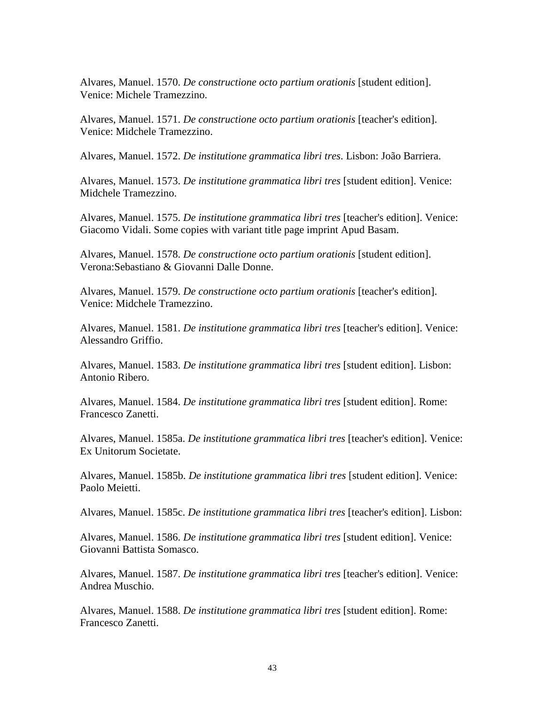Alvares, Manuel. 1570. *De constructione octo partium orationis* [student edition]. Venice: Michele Tramezzino.

Alvares, Manuel. 1571. *De constructione octo partium orationis* [teacher's edition]. Venice: Midchele Tramezzino.

Alvares, Manuel. 1572. *De institutione grammatica libri tres*. Lisbon: João Barriera.

Alvares, Manuel. 1573. *De institutione grammatica libri tres* [student edition]. Venice: Midchele Tramezzino.

Alvares, Manuel. 1575. *De institutione grammatica libri tres* [teacher's edition]. Venice: Giacomo Vidali. Some copies with variant title page imprint Apud Basam.

Alvares, Manuel. 1578. *De constructione octo partium orationis* [student edition]. Verona:Sebastiano & Giovanni Dalle Donne.

Alvares, Manuel. 1579. *De constructione octo partium orationis* [teacher's edition]. Venice: Midchele Tramezzino.

Alvares, Manuel. 1581. *De institutione grammatica libri tres* [teacher's edition]. Venice: Alessandro Griffio.

Alvares, Manuel. 1583. *De institutione grammatica libri tres* [student edition]. Lisbon: Antonio Ribero.

Alvares, Manuel. 1584. *De institutione grammatica libri tres* [student edition]. Rome: Francesco Zanetti.

Alvares, Manuel. 1585a. *De institutione grammatica libri tres* [teacher's edition]. Venice: Ex Unitorum Societate.

Alvares, Manuel. 1585b. *De institutione grammatica libri tres* [student edition]. Venice: Paolo Meietti.

Alvares, Manuel. 1585c. *De institutione grammatica libri tres* [teacher's edition]. Lisbon:

Alvares, Manuel. 1586. *De institutione grammatica libri tres* [student edition]. Venice: Giovanni Battista Somasco.

Alvares, Manuel. 1587. *De institutione grammatica libri tres* [teacher's edition]. Venice: Andrea Muschio.

Alvares, Manuel. 1588. *De institutione grammatica libri tres* [student edition]. Rome: Francesco Zanetti.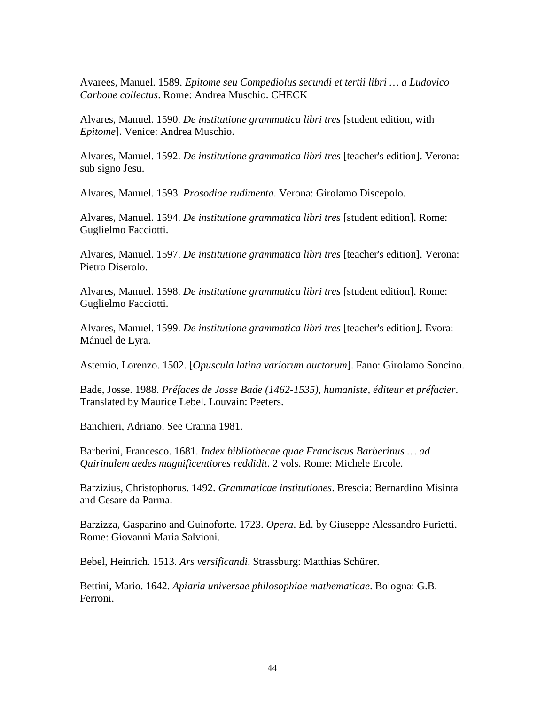Avarees, Manuel. 1589. *Epitome seu Compediolus secundi et tertii libri … a Ludovico Carbone collectus*. Rome: Andrea Muschio. CHECK

Alvares, Manuel. 1590. *De institutione grammatica libri tres* [student edition, with *Epitome*]. Venice: Andrea Muschio.

Alvares, Manuel. 1592. *De institutione grammatica libri tres* [teacher's edition]. Verona: sub signo Jesu.

Alvares, Manuel. 1593. *Prosodiae rudimenta*. Verona: Girolamo Discepolo.

Alvares, Manuel. 1594. *De institutione grammatica libri tres* [student edition]. Rome: Guglielmo Facciotti.

Alvares, Manuel. 1597. *De institutione grammatica libri tres* [teacher's edition]. Verona: Pietro Diserolo.

Alvares, Manuel. 1598. *De institutione grammatica libri tres* [student edition]. Rome: Guglielmo Facciotti.

Alvares, Manuel. 1599. *De institutione grammatica libri tres* [teacher's edition]. Evora: Mánuel de Lyra.

Astemio, Lorenzo. 1502. [*Opuscula latina variorum auctorum*]. Fano: Girolamo Soncino.

Bade, Josse. 1988. *Préfaces de Josse Bade (1462-1535), humaniste, éditeur et préfacier*. Translated by Maurice Lebel. Louvain: Peeters.

Banchieri, Adriano. See Cranna 1981.

Barberini, Francesco. 1681. *Index bibliothecae quae Franciscus Barberinus … ad Quirinalem aedes magnificentiores reddidit*. 2 vols. Rome: Michele Ercole.

Barzizius, Christophorus. 1492. *Grammaticae institutiones*. Brescia: Bernardino Misinta and Cesare da Parma.

Barzizza, Gasparino and Guinoforte. 1723. *Opera*. Ed. by Giuseppe Alessandro Furietti. Rome: Giovanni Maria Salvioni.

Bebel, Heinrich. 1513. *Ars versificandi*. Strassburg: Matthias Schürer.

Bettini, Mario. 1642. *Apiaria universae philosophiae mathematicae*. Bologna: G.B. Ferroni.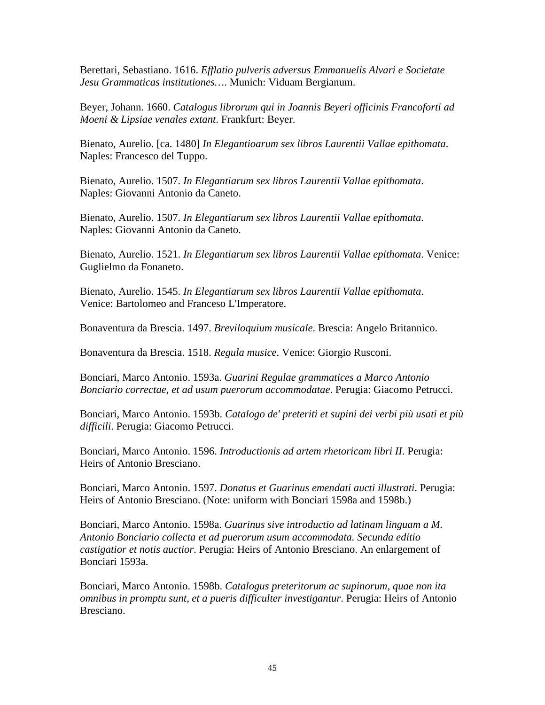Berettari, Sebastiano. 1616. *Efflatio pulveris adversus Emmanuelis Alvari e Societate Jesu Grammaticas institutiones…*. Munich: Viduam Bergianum.

Beyer, Johann. 1660. *Catalogus librorum qui in Joannis Beyeri officinis Francoforti ad Moeni & Lipsiae venales extant*. Frankfurt: Beyer.

Bienato, Aurelio. [ca. 1480] *In Elegantioarum sex libros Laurentii Vallae epithomata*. Naples: Francesco del Tuppo.

Bienato, Aurelio. 1507. *In Elegantiarum sex libros Laurentii Vallae epithomata*. Naples: Giovanni Antonio da Caneto.

Bienato, Aurelio. 1507. *In Elegantiarum sex libros Laurentii Vallae epithomata*. Naples: Giovanni Antonio da Caneto.

Bienato, Aurelio. 1521. *In Elegantiarum sex libros Laurentii Vallae epithomata*. Venice: Guglielmo da Fonaneto.

Bienato, Aurelio. 1545. *In Elegantiarum sex libros Laurentii Vallae epithomata*. Venice: Bartolomeo and Franceso L'Imperatore.

Bonaventura da Brescia. 1497. *Breviloquium musicale*. Brescia: Angelo Britannico.

Bonaventura da Brescia. 1518. *Regula musice*. Venice: Giorgio Rusconi.

Bonciari, Marco Antonio. 1593a. *Guarini Regulae grammatices a Marco Antonio Bonciario correctae, et ad usum puerorum accommodatae*. Perugia: Giacomo Petrucci.

Bonciari, Marco Antonio. 1593b. *Catalogo de' preteriti et supini dei verbi più usati et più difficili*. Perugia: Giacomo Petrucci.

Bonciari, Marco Antonio. 1596. *Introductionis ad artem rhetoricam libri II*. Perugia: Heirs of Antonio Bresciano.

Bonciari, Marco Antonio. 1597. *Donatus et Guarinus emendati aucti illustrati*. Perugia: Heirs of Antonio Bresciano. (Note: uniform with Bonciari 1598a and 1598b.)

Bonciari, Marco Antonio. 1598a. *Guarinus sive introductio ad latinam linguam a M. Antonio Bonciario collecta et ad puerorum usum accommodata. Secunda editio castigatior et notis auctior*. Perugia: Heirs of Antonio Bresciano. An enlargement of Bonciari 1593a.

Bonciari, Marco Antonio. 1598b. *Catalogus preteritorum ac supinorum, quae non ita omnibus in promptu sunt, et a pueris difficulter investigantur*. Perugia: Heirs of Antonio Bresciano.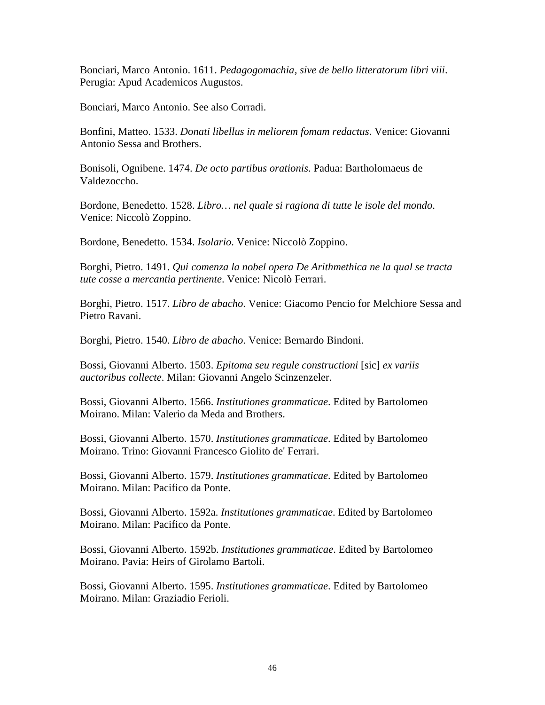Bonciari, Marco Antonio. 1611. *Pedagogomachia, sive de bello litteratorum libri viii*. Perugia: Apud Academicos Augustos.

Bonciari, Marco Antonio. See also Corradi.

Bonfini, Matteo. 1533. *Donati libellus in meliorem fomam redactus*. Venice: Giovanni Antonio Sessa and Brothers.

Bonisoli, Ognibene. 1474. *De octo partibus orationis*. Padua: Bartholomaeus de Valdezoccho.

Bordone, Benedetto. 1528. *Libro… nel quale si ragiona di tutte le isole del mondo*. Venice: Niccolò Zoppino.

Bordone, Benedetto. 1534. *Isolario*. Venice: Niccolò Zoppino.

Borghi, Pietro. 1491. *Qui comenza la nobel opera De Arithmethica ne la qual se tracta tute cosse a mercantia pertinente*. Venice: Nicolò Ferrari.

Borghi, Pietro. 1517. *Libro de abacho*. Venice: Giacomo Pencio for Melchiore Sessa and Pietro Ravani.

Borghi, Pietro. 1540. *Libro de abacho*. Venice: Bernardo Bindoni.

Bossi, Giovanni Alberto. 1503. *Epitoma seu regule constructioni* [sic] *ex variis auctoribus collecte*. Milan: Giovanni Angelo Scinzenzeler.

Bossi, Giovanni Alberto. 1566. *Institutiones grammaticae*. Edited by Bartolomeo Moirano. Milan: Valerio da Meda and Brothers.

Bossi, Giovanni Alberto. 1570. *Institutiones grammaticae*. Edited by Bartolomeo Moirano. Trino: Giovanni Francesco Giolito de' Ferrari.

Bossi, Giovanni Alberto. 1579. *Institutiones grammaticae*. Edited by Bartolomeo Moirano. Milan: Pacifico da Ponte.

Bossi, Giovanni Alberto. 1592a. *Institutiones grammaticae*. Edited by Bartolomeo Moirano. Milan: Pacifico da Ponte.

Bossi, Giovanni Alberto. 1592b. *Institutiones grammaticae*. Edited by Bartolomeo Moirano. Pavia: Heirs of Girolamo Bartoli.

Bossi, Giovanni Alberto. 1595. *Institutiones grammaticae*. Edited by Bartolomeo Moirano. Milan: Graziadio Ferioli.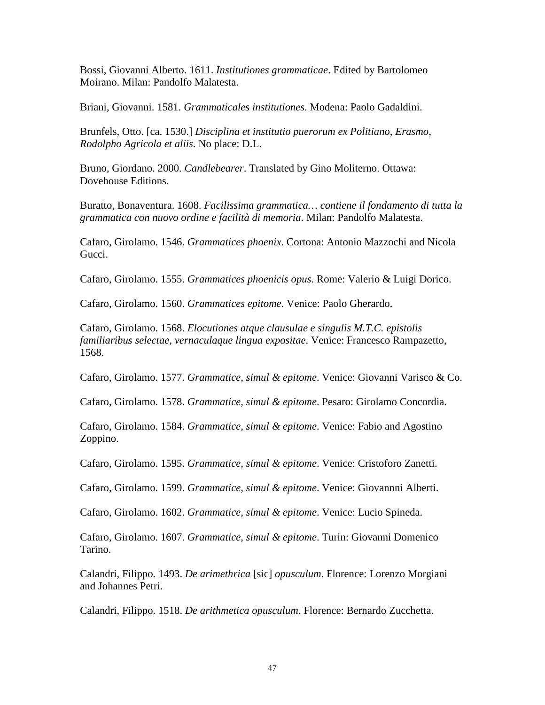Bossi, Giovanni Alberto. 1611. *Institutiones grammaticae*. Edited by Bartolomeo Moirano. Milan: Pandolfo Malatesta.

Briani, Giovanni. 1581. *Grammaticales institutiones*. Modena: Paolo Gadaldini.

Brunfels, Otto. [ca. 1530.] *Disciplina et institutio puerorum ex Politiano, Erasmo, Rodolpho Agricola et aliis*. No place: D.L.

Bruno, Giordano. 2000. *Candlebearer*. Translated by Gino Moliterno. Ottawa: Dovehouse Editions.

Buratto, Bonaventura. 1608. *Facilissima grammatica… contiene il fondamento di tutta la grammatica con nuovo ordine e facilità di memoria*. Milan: Pandolfo Malatesta.

Cafaro, Girolamo. 1546. *Grammatices phoenix*. Cortona: Antonio Mazzochi and Nicola Gucci.

Cafaro, Girolamo. 1555. *Grammatices phoenicis opus*. Rome: Valerio & Luigi Dorico.

Cafaro, Girolamo. 1560. *Grammatices epitome*. Venice: Paolo Gherardo.

Cafaro, Girolamo. 1568. *Elocutiones atque clausulae e singulis M.T.C. epistolis familiaribus selectae, vernaculaque lingua expositae*. Venice: Francesco Rampazetto, 1568.

Cafaro, Girolamo. 1577. *Grammatice, simul & epitome*. Venice: Giovanni Varisco & Co.

Cafaro, Girolamo. 1578. *Grammatice, simul & epitome*. Pesaro: Girolamo Concordia.

Cafaro, Girolamo. 1584. *Grammatice, simul & epitome*. Venice: Fabio and Agostino Zoppino.

Cafaro, Girolamo. 1595. *Grammatice, simul & epitome*. Venice: Cristoforo Zanetti.

Cafaro, Girolamo. 1599. *Grammatice, simul & epitome*. Venice: Giovannni Alberti.

Cafaro, Girolamo. 1602. *Grammatice, simul & epitome*. Venice: Lucio Spineda.

Cafaro, Girolamo. 1607. *Grammatice, simul & epitome*. Turin: Giovanni Domenico Tarino.

Calandri, Filippo. 1493. *De arimethrica* [sic] *opusculum*. Florence: Lorenzo Morgiani and Johannes Petri.

Calandri, Filippo. 1518. *De arithmetica opusculum*. Florence: Bernardo Zucchetta.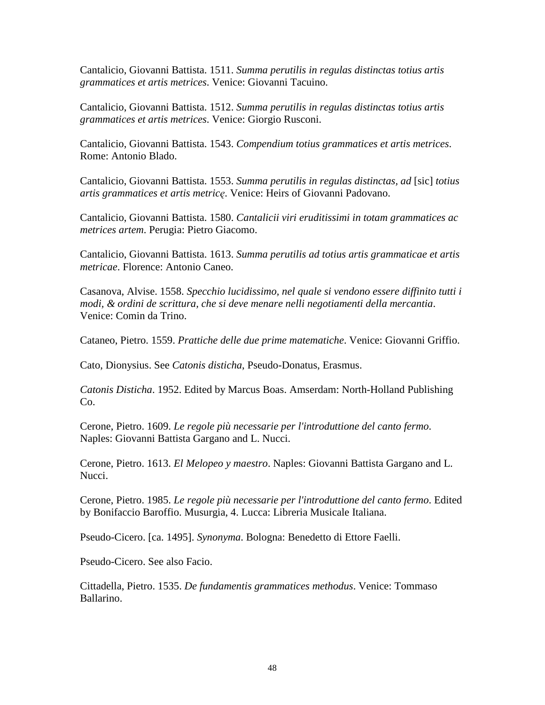Cantalicio, Giovanni Battista. 1511. *Summa perutilis in regulas distinctas totius artis grammatices et artis metrices*. Venice: Giovanni Tacuino.

Cantalicio, Giovanni Battista. 1512. *Summa perutilis in regulas distinctas totius artis grammatices et artis metrices*. Venice: Giorgio Rusconi.

Cantalicio, Giovanni Battista. 1543. *Compendium totius grammatices et artis metrices*. Rome: Antonio Blado.

Cantalicio, Giovanni Battista. 1553. *Summa perutilis in regulas distinctas, ad* [sic] *totius artis grammatices et artis metric*ę. Venice: Heirs of Giovanni Padovano.

Cantalicio, Giovanni Battista. 1580. *Cantalicii viri eruditissimi in totam grammatices ac metrices artem*. Perugia: Pietro Giacomo.

Cantalicio, Giovanni Battista. 1613. *Summa perutilis ad totius artis grammaticae et artis metricae*. Florence: Antonio Caneo.

Casanova, Alvise. 1558. *Specchio lucidissimo, nel quale si vendono essere diffinito tutti i modi, & ordini de scrittura, che si deve menare nelli negotiamenti della mercantia*. Venice: Comin da Trino.

Cataneo, Pietro. 1559. *Prattiche delle due prime matematiche*. Venice: Giovanni Griffio.

Cato, Dionysius. See *Catonis disticha*, Pseudo-Donatus, Erasmus.

*Catonis Disticha*. 1952. Edited by Marcus Boas. Amserdam: North-Holland Publishing Co.

Cerone, Pietro. 1609. *Le regole più necessarie per l'introduttione del canto fermo*. Naples: Giovanni Battista Gargano and L. Nucci.

Cerone, Pietro. 1613. *El Melopeo y maestro*. Naples: Giovanni Battista Gargano and L. Nucci.

Cerone, Pietro. 1985. *Le regole più necessarie per l'introduttione del canto fermo*. Edited by Bonifaccio Baroffio. Musurgia, 4. Lucca: Libreria Musicale Italiana.

Pseudo-Cicero. [ca. 1495]. *Synonyma*. Bologna: Benedetto di Ettore Faelli.

Pseudo-Cicero. See also Facio.

Cittadella, Pietro. 1535. *De fundamentis grammatices methodus*. Venice: Tommaso Ballarino.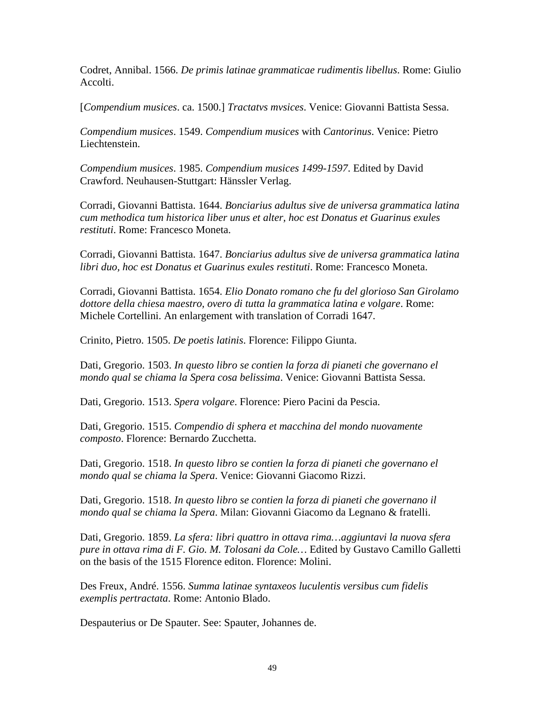Codret, Annibal. 1566. *De primis latinae grammaticae rudimentis libellus*. Rome: Giulio Accolti.

[*Compendium musices*. ca. 1500.] *Tractatvs mvsices*. Venice: Giovanni Battista Sessa.

*Compendium musices*. 1549. *Compendium musices* with *Cantorinus*. Venice: Pietro Liechtenstein.

*Compendium musices*. 1985. *Compendium musices 1499-1597*. Edited by David Crawford. Neuhausen-Stuttgart: Hänssler Verlag.

Corradi, Giovanni Battista. 1644. *Bonciarius adultus sive de universa grammatica latina cum methodica tum historica liber unus et alter, hoc est Donatus et Guarinus exules restituti*. Rome: Francesco Moneta.

Corradi, Giovanni Battista. 1647. *Bonciarius adultus sive de universa grammatica latina libri duo, hoc est Donatus et Guarinus exules restituti*. Rome: Francesco Moneta.

Corradi, Giovanni Battista. 1654. *Elio Donato romano che fu del glorioso San Girolamo dottore della chiesa maestro, overo di tutta la grammatica latina e volgare*. Rome: Michele Cortellini. An enlargement with translation of Corradi 1647.

Crinito, Pietro. 1505. *De poetis latinis*. Florence: Filippo Giunta.

Dati, Gregorio. 1503. *In questo libro se contien la forza di pianeti che governano el mondo qual se chiama la Spera cosa belissima*. Venice: Giovanni Battista Sessa.

Dati, Gregorio. 1513. *Spera volgare*. Florence: Piero Pacini da Pescia.

Dati, Gregorio. 1515. *Compendio di sphera et macchina del mondo nuovamente composto*. Florence: Bernardo Zucchetta.

Dati, Gregorio. 1518. *In questo libro se contien la forza di pianeti che governano el mondo qual se chiama la Spera*. Venice: Giovanni Giacomo Rizzi.

Dati, Gregorio. 1518. *In questo libro se contien la forza di pianeti che governano il mondo qual se chiama la Spera*. Milan: Giovanni Giacomo da Legnano & fratelli.

Dati, Gregorio. 1859. *La sfera: libri quattro in ottava rima…aggiuntavi la nuova sfera pure in ottava rima di F. Gio. M. Tolosani da Cole…* Edited by Gustavo Camillo Galletti on the basis of the 1515 Florence editon. Florence: Molini.

Des Freux, André. 1556. *Summa latinae syntaxeos luculentis versibus cum fidelis exemplis pertractata*. Rome: Antonio Blado.

Despauterius or De Spauter. See: Spauter, Johannes de.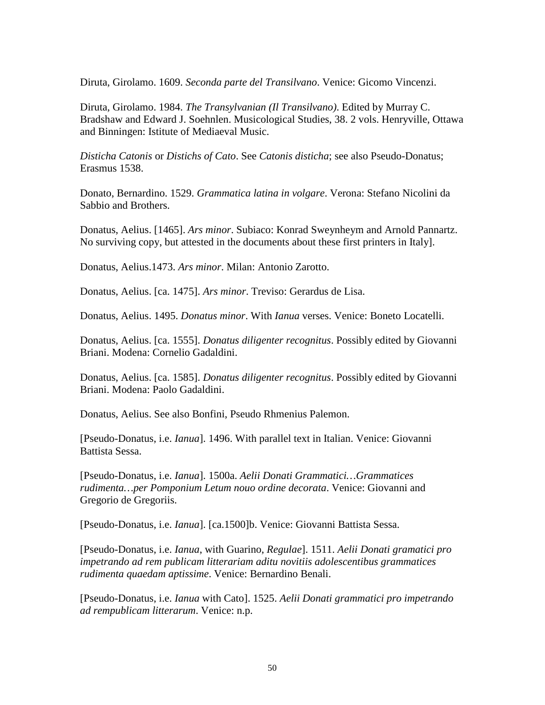Diruta, Girolamo. 1609. *Seconda parte del Transilvano*. Venice: Gicomo Vincenzi.

Diruta, Girolamo. 1984. *The Transylvanian (Il Transilvano)*. Edited by Murray C. Bradshaw and Edward J. Soehnlen. Musicological Studies, 38. 2 vols. Henryville, Ottawa and Binningen: Istitute of Mediaeval Music.

*Disticha Catonis* or *Distichs of Cato*. See *Catonis disticha*; see also Pseudo-Donatus; Erasmus 1538.

Donato, Bernardino. 1529. *Grammatica latina in volgare*. Verona: Stefano Nicolini da Sabbio and Brothers.

Donatus, Aelius. [1465]. *Ars minor*. Subiaco: Konrad Sweynheym and Arnold Pannartz. No surviving copy, but attested in the documents about these first printers in Italy].

Donatus, Aelius.1473. *Ars minor*. Milan: Antonio Zarotto.

Donatus, Aelius. [ca. 1475]. *Ars minor*. Treviso: Gerardus de Lisa.

Donatus, Aelius. 1495. *Donatus minor*. With *Ianua* verses. Venice: Boneto Locatelli.

Donatus, Aelius. [ca. 1555]. *Donatus diligenter recognitus*. Possibly edited by Giovanni Briani. Modena: Cornelio Gadaldini.

Donatus, Aelius. [ca. 1585]. *Donatus diligenter recognitus*. Possibly edited by Giovanni Briani. Modena: Paolo Gadaldini.

Donatus, Aelius. See also Bonfini, Pseudo Rhmenius Palemon.

[Pseudo-Donatus, i.e. *Ianua*]. 1496. With parallel text in Italian. Venice: Giovanni Battista Sessa.

[Pseudo-Donatus, i.e. *Ianua*]. 1500a. *Aelii Donati Grammatici…Grammatices rudimenta…per Pomponium Letum nouo ordine decorata*. Venice: Giovanni and Gregorio de Gregoriis.

[Pseudo-Donatus, i.e. *Ianua*]. [ca.1500]b. Venice: Giovanni Battista Sessa.

[Pseudo-Donatus, i.e. *Ianua*, with Guarino, *Regulae*]. 1511. *Aelii Donati gramatici pro impetrando ad rem publicam litterariam aditu novitiis adolescentibus grammatices rudimenta quaedam aptissime*. Venice: Bernardino Benali.

[Pseudo-Donatus, i.e. *Ianua* with Cato]. 1525. *Aelii Donati grammatici pro impetrando ad rempublicam litterarum*. Venice: n.p.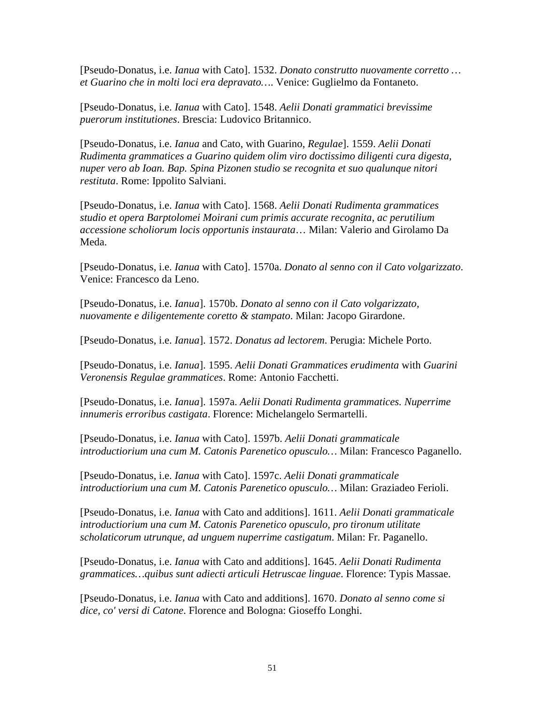[Pseudo-Donatus, i.e. *Ianua* with Cato]. 1532. *Donato construtto nuovamente corretto … et Guarino che in molti loci era depravato…*. Venice: Guglielmo da Fontaneto.

[Pseudo-Donatus, i.e. *Ianua* with Cato]. 1548. *Aelii Donati grammatici brevissime puerorum institutiones*. Brescia: Ludovico Britannico.

[Pseudo-Donatus, i.e. *Ianua* and Cato, with Guarino, *Regulae*]. 1559. *Aelii Donati Rudimenta grammatices a Guarino quidem olim viro doctissimo diligenti cura digesta, nuper vero ab Ioan. Bap. Spina Pizonen studio se recognita et suo qualunque nitori restituta*. Rome: Ippolito Salviani.

[Pseudo-Donatus, i.e. *Ianua* with Cato]. 1568. *Aelii Donati Rudimenta grammatices studio et opera Barptolomei Moirani cum primis accurate recognita, ac perutilium accessione scholiorum locis opportunis instaurata*… Milan: Valerio and Girolamo Da Meda.

[Pseudo-Donatus, i.e. *Ianua* with Cato]. 1570a. *Donato al senno con il Cato volgarizzato*. Venice: Francesco da Leno.

[Pseudo-Donatus, i.e. *Ianua*]. 1570b. *Donato al senno con il Cato volgarizzato, nuovamente e diligentemente coretto & stampato*. Milan: Jacopo Girardone.

[Pseudo-Donatus, i.e. *Ianua*]. 1572. *Donatus ad lectorem*. Perugia: Michele Porto.

[Pseudo-Donatus, i.e. *Ianua*]. 1595. *Aelii Donati Grammatices erudimenta* with *Guarini Veronensis Regulae grammatices*. Rome: Antonio Facchetti.

[Pseudo-Donatus, i.e. *Ianua*]. 1597a. *Aelii Donati Rudimenta grammatices. Nuperrime innumeris erroribus castigata*. Florence: Michelangelo Sermartelli.

[Pseudo-Donatus, i.e. *Ianua* with Cato]. 1597b. *Aelii Donati grammaticale introductiorium una cum M. Catonis Parenetico opusculo…* Milan: Francesco Paganello.

[Pseudo-Donatus, i.e. *Ianua* with Cato]. 1597c. *Aelii Donati grammaticale introductiorium una cum M. Catonis Parenetico opusculo…* Milan: Graziadeo Ferioli.

[Pseudo-Donatus, i.e. *Ianua* with Cato and additions]. 1611. *Aelii Donati grammaticale introductiorium una cum M. Catonis Parenetico opusculo, pro tironum utilitate scholaticorum utrunque, ad unguem nuperrime castigatum*. Milan: Fr. Paganello.

[Pseudo-Donatus, i.e. *Ianua* with Cato and additions]. 1645. *Aelii Donati Rudimenta grammatices…quibus sunt adiecti articuli Hetruscae linguae*. Florence: Typis Massae.

[Pseudo-Donatus, i.e. *Ianua* with Cato and additions]. 1670. *Donato al senno come si dice, co' versi di Catone*. Florence and Bologna: Gioseffo Longhi.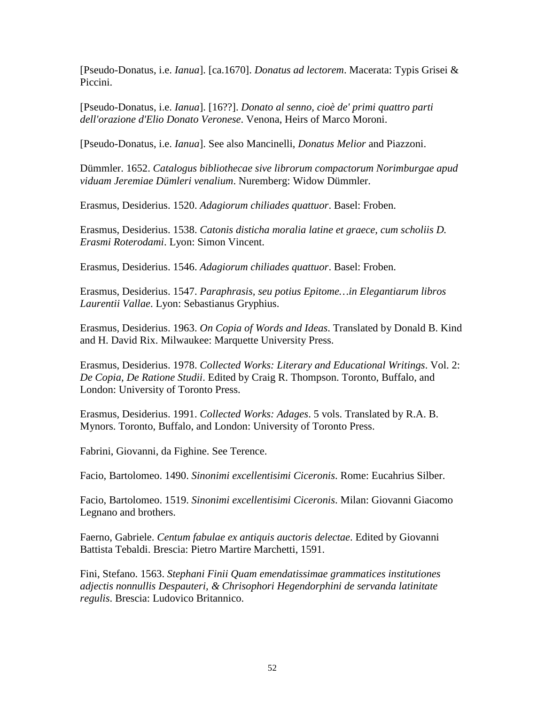[Pseudo-Donatus, i.e. *Ianua*]. [ca.1670]. *Donatus ad lectorem*. Macerata: Typis Grisei & Piccini.

[Pseudo-Donatus, i.e. *Ianua*]. [16??]. *Donato al senno, cioè de' primi quattro parti dell'orazione d'Elio Donato Veronese*. Venona, Heirs of Marco Moroni.

[Pseudo-Donatus, i.e. *Ianua*]. See also Mancinelli, *Donatus Melior* and Piazzoni.

Dümmler. 1652. *Catalogus bibliothecae sive librorum compactorum Norimburgae apud viduam Jeremiae Dümleri venalium*. Nuremberg: Widow Dümmler.

Erasmus, Desiderius. 1520. *Adagiorum chiliades quattuor*. Basel: Froben.

Erasmus, Desiderius. 1538. *Catonis disticha moralia latine et graece, cum scholiis D. Erasmi Roterodami*. Lyon: Simon Vincent.

Erasmus, Desiderius. 1546. *Adagiorum chiliades quattuor*. Basel: Froben.

Erasmus, Desiderius. 1547. *Paraphrasis, seu potius Epitome…in Elegantiarum libros Laurentii Vallae*. Lyon: Sebastianus Gryphius.

Erasmus, Desiderius. 1963. *On Copia of Words and Ideas*. Translated by Donald B. Kind and H. David Rix. Milwaukee: Marquette University Press.

Erasmus, Desiderius. 1978. *Collected Works: Literary and Educational Writings*. Vol. 2: *De Copia, De Ratione Studii*. Edited by Craig R. Thompson. Toronto, Buffalo, and London: University of Toronto Press.

Erasmus, Desiderius. 1991. *Collected Works: Adages*. 5 vols. Translated by R.A. B. Mynors. Toronto, Buffalo, and London: University of Toronto Press.

Fabrini, Giovanni, da Fighine. See Terence.

Facio, Bartolomeo. 1490. *Sinonimi excellentisimi Ciceronis*. Rome: Eucahrius Silber.

Facio, Bartolomeo. 1519. *Sinonimi excellentisimi Ciceronis*. Milan: Giovanni Giacomo Legnano and brothers.

Faerno, Gabriele. *Centum fabulae ex antiquis auctoris delectae*. Edited by Giovanni Battista Tebaldi. Brescia: Pietro Martire Marchetti, 1591.

Fini, Stefano. 1563. *Stephani Finii Quam emendatissimae grammatices institutiones adjectis nonnullis Despauteri, & Chrisophori Hegendorphini de servanda latinitate regulis*. Brescia: Ludovico Britannico.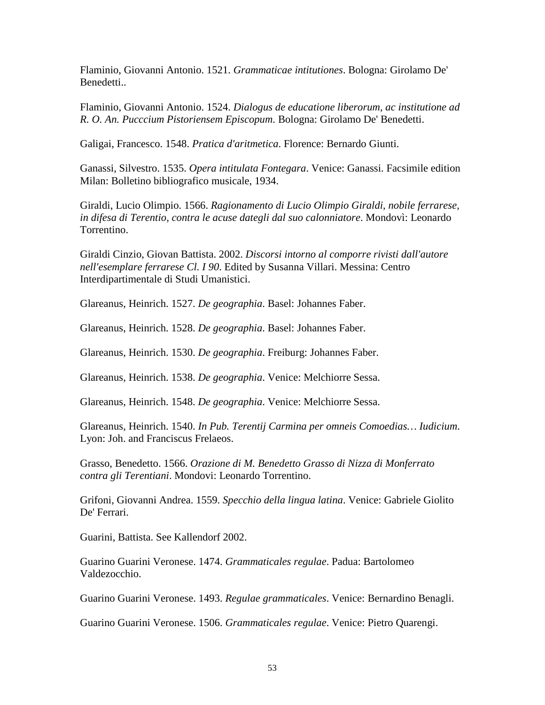Flaminio, Giovanni Antonio. 1521. *Grammaticae intitutiones*. Bologna: Girolamo De' Benedetti..

Flaminio, Giovanni Antonio. 1524. *Dialogus de educatione liberorum, ac institutione ad R. O. An. Pucccium Pistoriensem Episcopum*. Bologna: Girolamo De' Benedetti.

Galigai, Francesco. 1548. *Pratica d'aritmetica*. Florence: Bernardo Giunti.

Ganassi, Silvestro. 1535. *Opera intitulata Fontegara*. Venice: Ganassi. Facsimile edition Milan: Bolletino bibliografico musicale, 1934.

Giraldi, Lucio Olimpio. 1566. *Ragionamento di Lucio Olimpio Giraldi, nobile ferrarese, in difesa di Terentio, contra le acuse dategli dal suo calonniatore*. Mondovì: Leonardo Torrentino.

Giraldi Cinzio, Giovan Battista. 2002. *Discorsi intorno al comporre rivisti dall'autore nell'esemplare ferrarese Cl. I 90*. Edited by Susanna Villari. Messina: Centro Interdipartimentale di Studi Umanistici.

Glareanus, Heinrich. 1527. *De geographia*. Basel: Johannes Faber.

Glareanus, Heinrich. 1528. *De geographia*. Basel: Johannes Faber.

Glareanus, Heinrich. 1530. *De geographia*. Freiburg: Johannes Faber.

Glareanus, Heinrich. 1538. *De geographia*. Venice: Melchiorre Sessa.

Glareanus, Heinrich. 1548. *De geographia*. Venice: Melchiorre Sessa.

Glareanus, Heinrich. 1540. *In Pub. Terentij Carmina per omneis Comoedias… Iudicium*. Lyon: Joh. and Franciscus Frelaeos.

Grasso, Benedetto. 1566. *Orazione di M. Benedetto Grasso di Nizza di Monferrato contra gli Terentiani*. Mondovi: Leonardo Torrentino.

Grifoni, Giovanni Andrea. 1559. *Specchio della lingua latina*. Venice: Gabriele Giolito De' Ferrari.

Guarini, Battista. See Kallendorf 2002.

Guarino Guarini Veronese. 1474. *Grammaticales regulae*. Padua: Bartolomeo Valdezocchio.

Guarino Guarini Veronese. 1493. *Regulae grammaticales*. Venice: Bernardino Benagli.

Guarino Guarini Veronese. 1506. *Grammaticales regulae*. Venice: Pietro Quarengi.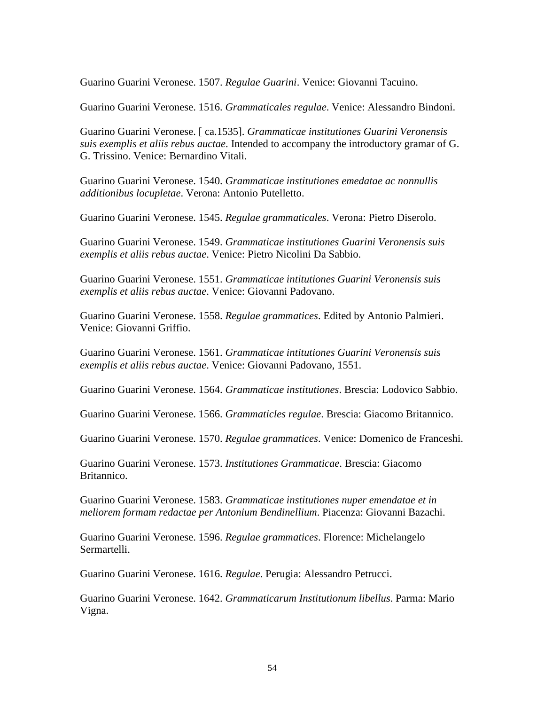Guarino Guarini Veronese. 1507. *Regulae Guarini*. Venice: Giovanni Tacuino.

Guarino Guarini Veronese. 1516. *Grammaticales regulae*. Venice: Alessandro Bindoni.

Guarino Guarini Veronese. [ ca.1535]. *Grammaticae institutiones Guarini Veronensis suis exemplis et aliis rebus auctae*. Intended to accompany the introductory gramar of G. G. Trissino. Venice: Bernardino Vitali.

Guarino Guarini Veronese. 1540. *Grammaticae institutiones emedatae ac nonnullis additionibus locupletae*. Verona: Antonio Putelletto.

Guarino Guarini Veronese. 1545. *Regulae grammaticales*. Verona: Pietro Diserolo.

Guarino Guarini Veronese. 1549. *Grammaticae institutiones Guarini Veronensis suis exemplis et aliis rebus auctae*. Venice: Pietro Nicolini Da Sabbio.

Guarino Guarini Veronese. 1551. *Grammaticae intitutiones Guarini Veronensis suis exemplis et aliis rebus auctae*. Venice: Giovanni Padovano.

Guarino Guarini Veronese. 1558. *Regulae grammatices*. Edited by Antonio Palmieri. Venice: Giovanni Griffio.

Guarino Guarini Veronese. 1561. *Grammaticae intitutiones Guarini Veronensis suis exemplis et aliis rebus auctae*. Venice: Giovanni Padovano, 1551.

Guarino Guarini Veronese. 1564. *Grammaticae institutiones*. Brescia: Lodovico Sabbio.

Guarino Guarini Veronese. 1566. *Grammaticles regulae*. Brescia: Giacomo Britannico.

Guarino Guarini Veronese. 1570. *Regulae grammatices*. Venice: Domenico de Franceshi.

Guarino Guarini Veronese. 1573. *Institutiones Grammaticae*. Brescia: Giacomo Britannico.

Guarino Guarini Veronese. 1583. *Grammaticae institutiones nuper emendatae et in meliorem formam redactae per Antonium Bendinellium*. Piacenza: Giovanni Bazachi.

Guarino Guarini Veronese. 1596. *Regulae grammatices*. Florence: Michelangelo Sermartelli.

Guarino Guarini Veronese. 1616. *Regulae*. Perugia: Alessandro Petrucci.

Guarino Guarini Veronese. 1642. *Grammaticarum Institutionum libellus*. Parma: Mario Vigna.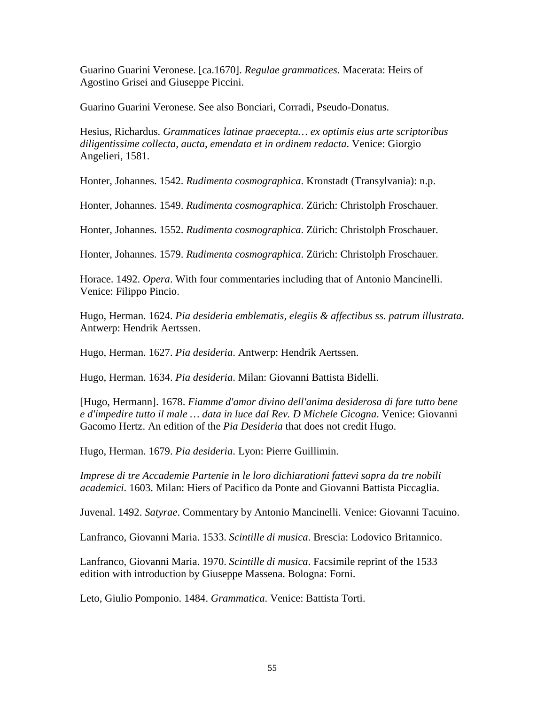Guarino Guarini Veronese. [ca.1670]. *Regulae grammatices*. Macerata: Heirs of Agostino Grisei and Giuseppe Piccini.

Guarino Guarini Veronese. See also Bonciari, Corradi, Pseudo-Donatus.

Hesius, Richardus. *Grammatices latinae praecepta… ex optimis eius arte scriptoribus diligentissime collecta, aucta, emendata et in ordinem redacta*. Venice: Giorgio Angelieri, 1581.

Honter, Johannes. 1542. *Rudimenta cosmographica*. Kronstadt (Transylvania): n.p.

Honter, Johannes. 1549. *Rudimenta cosmographica*. Zürich: Christolph Froschauer.

Honter, Johannes. 1552. *Rudimenta cosmographica*. Zürich: Christolph Froschauer.

Honter, Johannes. 1579. *Rudimenta cosmographica*. Zürich: Christolph Froschauer.

Horace. 1492. *Opera*. With four commentaries including that of Antonio Mancinelli. Venice: Filippo Pincio.

Hugo, Herman. 1624. *Pia desideria emblematis, elegiis & affectibus ss. patrum illustrata*. Antwerp: Hendrik Aertssen.

Hugo, Herman. 1627. *Pia desideria*. Antwerp: Hendrik Aertssen.

Hugo, Herman. 1634. *Pia desideria*. Milan: Giovanni Battista Bidelli.

[Hugo, Hermann]. 1678. *Fiamme d'amor divino dell'anima desiderosa di fare tutto bene e d'impedire tutto il male … data in luce dal Rev. D Michele Cicogna*. Venice: Giovanni Gacomo Hertz. An edition of the *Pia Desideria* that does not credit Hugo.

Hugo, Herman. 1679. *Pia desideria*. Lyon: Pierre Guillimin.

*Imprese di tre Accademie Partenie in le loro dichiarationi fattevi sopra da tre nobili academici*. 1603. Milan: Hiers of Pacifico da Ponte and Giovanni Battista Piccaglia.

Juvenal. 1492. *Satyrae*. Commentary by Antonio Mancinelli. Venice: Giovanni Tacuino.

Lanfranco, Giovanni Maria. 1533. *Scintille di musica*. Brescia: Lodovico Britannico.

Lanfranco, Giovanni Maria. 1970. *Scintille di musica*. Facsimile reprint of the 1533 edition with introduction by Giuseppe Massena. Bologna: Forni.

Leto, Giulio Pomponio. 1484. *Grammatica*. Venice: Battista Torti.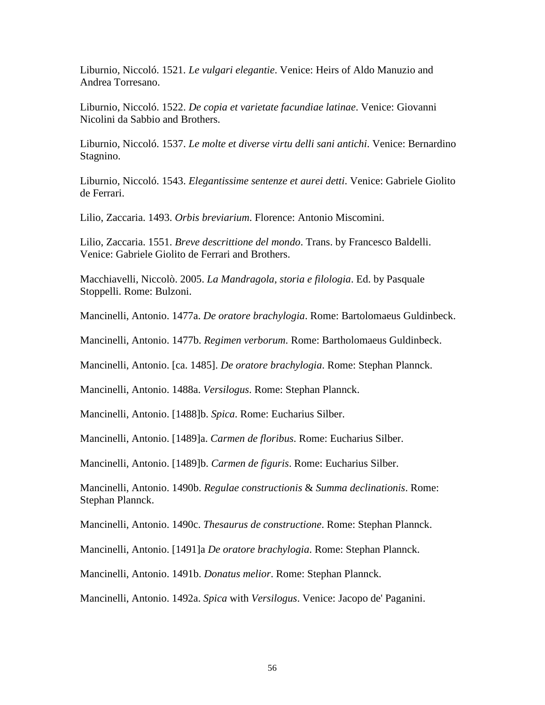Liburnio, Niccoló. 1521. *Le vulgari elegantie*. Venice: Heirs of Aldo Manuzio and Andrea Torresano.

Liburnio, Niccoló. 1522. *De copia et varietate facundiae latinae*. Venice: Giovanni Nicolini da Sabbio and Brothers.

Liburnio, Niccoló. 1537. *Le molte et diverse virtu delli sani antichi*. Venice: Bernardino Stagnino.

Liburnio, Niccoló. 1543. *Elegantissime sentenze et aurei detti*. Venice: Gabriele Giolito de Ferrari.

Lilio, Zaccaria. 1493. *Orbis breviarium*. Florence: Antonio Miscomini.

Lilio, Zaccaria. 1551. *Breve descrittione del mondo*. Trans. by Francesco Baldelli. Venice: Gabriele Giolito de Ferrari and Brothers.

Macchiavelli, Niccolò. 2005. *La Mandragola, storia e filologia*. Ed. by Pasquale Stoppelli. Rome: Bulzoni.

Mancinelli, Antonio. 1477a. *De oratore brachylogia*. Rome: Bartolomaeus Guldinbeck.

Mancinelli, Antonio. 1477b. *Regimen verborum*. Rome: Bartholomaeus Guldinbeck.

Mancinelli, Antonio. [ca. 1485]. *De oratore brachylogia*. Rome: Stephan Plannck.

Mancinelli, Antonio. 1488a. *Versilogus*. Rome: Stephan Plannck.

Mancinelli, Antonio. [1488]b. *Spica*. Rome: Eucharius Silber.

Mancinelli, Antonio. [1489]a. *Carmen de floribus*. Rome: Eucharius Silber.

Mancinelli, Antonio. [1489]b. *Carmen de figuris*. Rome: Eucharius Silber.

Mancinelli, Antonio. 1490b. *Regulae constructionis* & *Summa declinationis*. Rome: Stephan Plannck.

Mancinelli, Antonio. 1490c. *Thesaurus de constructione*. Rome: Stephan Plannck.

Mancinelli, Antonio. [1491]a *De oratore brachylogia*. Rome: Stephan Plannck.

Mancinelli, Antonio. 1491b. *Donatus melior*. Rome: Stephan Plannck.

Mancinelli, Antonio. 1492a. *Spica* with *Versilogus*. Venice: Jacopo de' Paganini.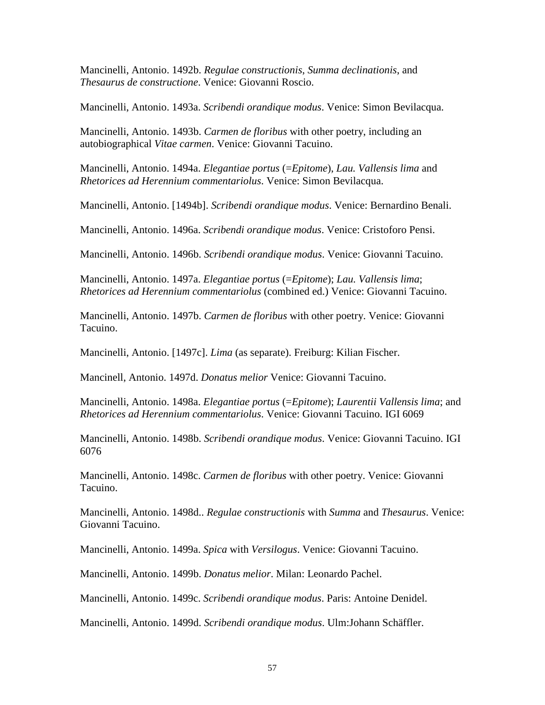Mancinelli, Antonio. 1492b. *Regulae constructionis*, *Summa declinationis*, and *Thesaurus de constructione*. Venice: Giovanni Roscio.

Mancinelli, Antonio. 1493a. *Scribendi orandique modus*. Venice: Simon Bevilacqua.

Mancinelli, Antonio. 1493b. *Carmen de floribus* with other poetry, including an autobiographical *Vitae carmen*. Venice: Giovanni Tacuino.

Mancinelli, Antonio. 1494a. *Elegantiae portus* (=*Epitome*), *Lau. Vallensis lima* and *Rhetorices ad Herennium commentariolus*. Venice: Simon Bevilacqua.

Mancinelli, Antonio. [1494b]. *Scribendi orandique modus*. Venice: Bernardino Benali.

Mancinelli, Antonio. 1496a. *Scribendi orandique modus*. Venice: Cristoforo Pensi.

Mancinelli, Antonio. 1496b. *Scribendi orandique modus*. Venice: Giovanni Tacuino.

Mancinelli, Antonio. 1497a. *Elegantiae portus* (=*Epitome*); *Lau. Vallensis lima*; *Rhetorices ad Herennium commentariolus* (combined ed.) Venice: Giovanni Tacuino.

Mancinelli, Antonio. 1497b. *Carmen de floribus* with other poetry. Venice: Giovanni Tacuino.

Mancinelli, Antonio. [1497c]. *Lima* (as separate). Freiburg: Kilian Fischer.

Mancinell, Antonio. 1497d. *Donatus melior* Venice: Giovanni Tacuino.

Mancinelli, Antonio. 1498a. *Elegantiae portus* (=*Epitome*); *Laurentii Vallensis lima*; and *Rhetorices ad Herennium commentariolus*. Venice: Giovanni Tacuino. IGI 6069

Mancinelli, Antonio. 1498b. *Scribendi orandique modus*. Venice: Giovanni Tacuino. IGI 6076

Mancinelli, Antonio. 1498c. *Carmen de floribus* with other poetry. Venice: Giovanni Tacuino.

Mancinelli, Antonio. 1498d.. *Regulae constructionis* with *Summa* and *Thesaurus*. Venice: Giovanni Tacuino.

Mancinelli, Antonio. 1499a. *Spica* with *Versilogus*. Venice: Giovanni Tacuino.

Mancinelli, Antonio. 1499b. *Donatus melior*. Milan: Leonardo Pachel.

Mancinelli, Antonio. 1499c. *Scribendi orandique modus*. Paris: Antoine Denidel.

Mancinelli, Antonio. 1499d. *Scribendi orandique modus*. Ulm:Johann Schäffler.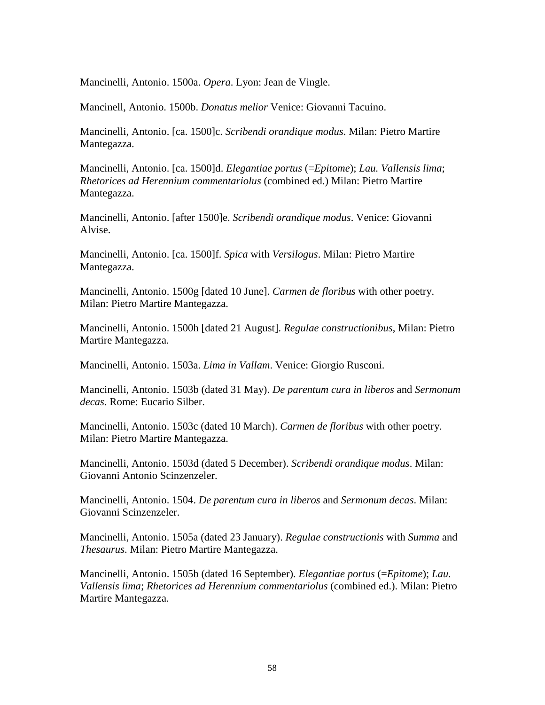Mancinelli, Antonio. 1500a. *Opera*. Lyon: Jean de Vingle.

Mancinell, Antonio. 1500b. *Donatus melior* Venice: Giovanni Tacuino.

Mancinelli, Antonio. [ca. 1500]c. *Scribendi orandique modus*. Milan: Pietro Martire Mantegazza.

Mancinelli, Antonio. [ca. 1500]d. *Elegantiae portus* (=*Epitome*); *Lau. Vallensis lima*; *Rhetorices ad Herennium commentariolus* (combined ed.) Milan: Pietro Martire Mantegazza.

Mancinelli, Antonio. [after 1500]e. *Scribendi orandique modus*. Venice: Giovanni Alvise.

Mancinelli, Antonio. [ca. 1500]f. *Spica* with *Versilogus*. Milan: Pietro Martire Mantegazza.

Mancinelli, Antonio. 1500g [dated 10 June]. *Carmen de floribus* with other poetry. Milan: Pietro Martire Mantegazza.

Mancinelli, Antonio. 1500h [dated 21 August]. *Regulae constructionibus*, Milan: Pietro Martire Mantegazza.

Mancinelli, Antonio. 1503a. *Lima in Vallam*. Venice: Giorgio Rusconi.

Mancinelli, Antonio. 1503b (dated 31 May). *De parentum cura in liberos* and *Sermonum decas*. Rome: Eucario Silber.

Mancinelli, Antonio. 1503c (dated 10 March). *Carmen de floribus* with other poetry. Milan: Pietro Martire Mantegazza.

Mancinelli, Antonio. 1503d (dated 5 December). *Scribendi orandique modus*. Milan: Giovanni Antonio Scinzenzeler.

Mancinelli, Antonio. 1504. *De parentum cura in liberos* and *Sermonum decas*. Milan: Giovanni Scinzenzeler.

Mancinelli, Antonio. 1505a (dated 23 January). *Regulae constructionis* with *Summa* and *Thesaurus*. Milan: Pietro Martire Mantegazza.

Mancinelli, Antonio. 1505b (dated 16 September). *Elegantiae portus* (=*Epitome*); *Lau. Vallensis lima*; *Rhetorices ad Herennium commentariolus* (combined ed.). Milan: Pietro Martire Mantegazza.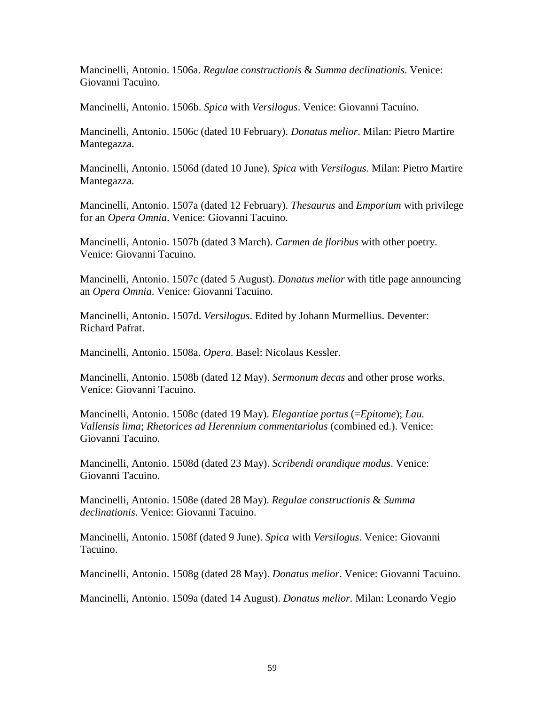Mancinelli, Antonio. 1506a. *Regulae constructionis* & *Summa declinationis*. Venice: Giovanni Tacuino.

Mancinelli, Antonio. 1506b. *Spica* with *Versilogus*. Venice: Giovanni Tacuino.

Mancinelli, Antonio. 1506c (dated 10 February). *Donatus melior*. Milan: Pietro Martire Mantegazza.

Mancinelli, Antonio. 1506d (dated 10 June). *Spica* with *Versilogus*. Milan: Pietro Martire Mantegazza.

Mancinelli, Antonio. 1507a (dated 12 February). *Thesaurus* and *Emporium* with privilege for an *Opera Omnia*. Venice: Giovanni Tacuino.

Mancinelli, Antonio. 1507b (dated 3 March). *Carmen de floribus* with other poetry. Venice: Giovanni Tacuino.

Mancinelli, Antonio. 1507c (dated 5 August). *Donatus melior* with title page announcing an *Opera Omnia*. Venice: Giovanni Tacuino.

Mancinelli, Antonio. 1507d. *Versilogus*. Edited by Johann Murmellius. Deventer: Richard Pafrat.

Mancinelli, Antonio. 1508a. *Opera*. Basel: Nicolaus Kessler.

Mancinelli, Antonio. 1508b (dated 12 May). *Sermonum decas* and other prose works. Venice: Giovanni Tacuino.

Mancinelli, Antonio. 1508c (dated 19 May). *Elegantiae portus* (=*Epitome*); *Lau. Vallensis lima*; *Rhetorices ad Herennium commentariolus* (combined ed.). Venice: Giovanni Tacuino.

Mancinelli, Antonio. 1508d (dated 23 May). *Scribendi orandique modus*. Venice: Giovanni Tacuino.

Mancinelli, Antonio. 1508e (dated 28 May). *Regulae constructionis* & *Summa declinationis*. Venice: Giovanni Tacuino.

Mancinelli, Antonio. 1508f (dated 9 June). *Spica* with *Versilogus*. Venice: Giovanni Tacuino.

Mancinelli, Antonio. 1508g (dated 28 May). *Donatus melior*. Venice: Giovanni Tacuino.

Mancinelli, Antonio. 1509a (dated 14 August). *Donatus melior*. Milan: Leonardo Vegio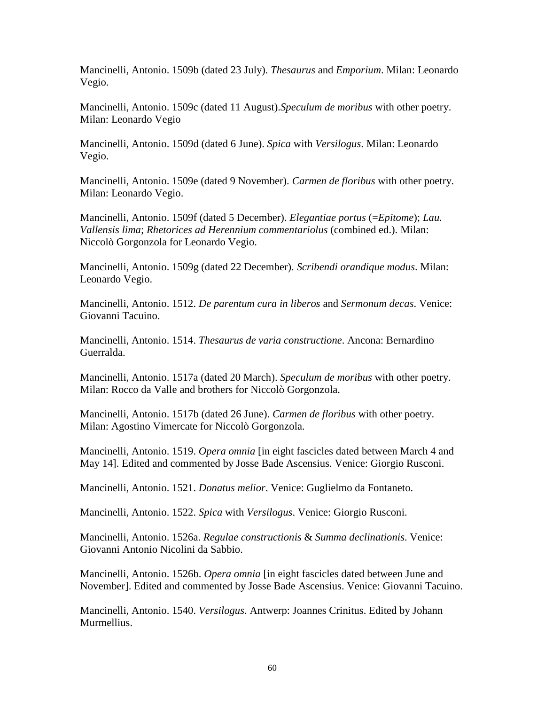Mancinelli, Antonio. 1509b (dated 23 July). *Thesaurus* and *Emporium*. Milan: Leonardo Vegio.

Mancinelli, Antonio. 1509c (dated 11 August).*Speculum de moribus* with other poetry. Milan: Leonardo Vegio

Mancinelli, Antonio. 1509d (dated 6 June). *Spica* with *Versilogus*. Milan: Leonardo Vegio.

Mancinelli, Antonio. 1509e (dated 9 November). *Carmen de floribus* with other poetry. Milan: Leonardo Vegio.

Mancinelli, Antonio. 1509f (dated 5 December). *Elegantiae portus* (=*Epitome*); *Lau. Vallensis lima*; *Rhetorices ad Herennium commentariolus* (combined ed.). Milan: Niccolò Gorgonzola for Leonardo Vegio.

Mancinelli, Antonio. 1509g (dated 22 December). *Scribendi orandique modus*. Milan: Leonardo Vegio.

Mancinelli, Antonio. 1512. *De parentum cura in liberos* and *Sermonum decas*. Venice: Giovanni Tacuino.

Mancinelli, Antonio. 1514. *Thesaurus de varia constructione*. Ancona: Bernardino Guerralda.

Mancinelli, Antonio. 1517a (dated 20 March). *Speculum de moribus* with other poetry. Milan: Rocco da Valle and brothers for Niccolò Gorgonzola.

Mancinelli, Antonio. 1517b (dated 26 June). *Carmen de floribus* with other poetry. Milan: Agostino Vimercate for Niccolò Gorgonzola.

Mancinelli, Antonio. 1519. *Opera omnia* [in eight fascicles dated between March 4 and May 14]. Edited and commented by Josse Bade Ascensius. Venice: Giorgio Rusconi.

Mancinelli, Antonio. 1521. *Donatus melior*. Venice: Guglielmo da Fontaneto.

Mancinelli, Antonio. 1522. *Spica* with *Versilogus*. Venice: Giorgio Rusconi.

Mancinelli, Antonio. 1526a. *Regulae constructionis* & *Summa declinationis*. Venice: Giovanni Antonio Nicolini da Sabbio.

Mancinelli, Antonio. 1526b. *Opera omnia* [in eight fascicles dated between June and November]. Edited and commented by Josse Bade Ascensius. Venice: Giovanni Tacuino.

Mancinelli, Antonio. 1540. *Versilogus*. Antwerp: Joannes Crinitus. Edited by Johann Murmellius.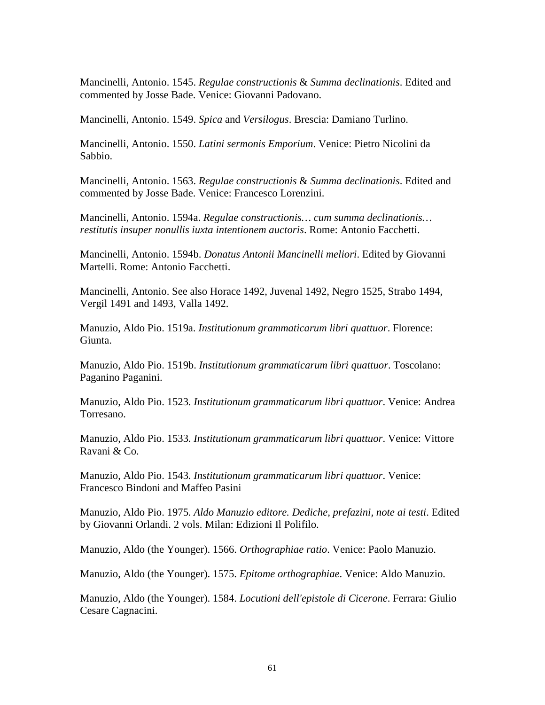Mancinelli, Antonio. 1545. *Regulae constructionis* & *Summa declinationis*. Edited and commented by Josse Bade. Venice: Giovanni Padovano.

Mancinelli, Antonio. 1549. *Spica* and *Versilogus*. Brescia: Damiano Turlino.

Mancinelli, Antonio. 1550. *Latini sermonis Emporium*. Venice: Pietro Nicolini da Sabbio.

Mancinelli, Antonio. 1563. *Regulae constructionis* & *Summa declinationis*. Edited and commented by Josse Bade. Venice: Francesco Lorenzini.

Mancinelli, Antonio. 1594a. *Regulae constructionis… cum summa declinationis… restitutis insuper nonullis iuxta intentionem auctoris*. Rome: Antonio Facchetti.

Mancinelli, Antonio. 1594b. *Donatus Antonii Mancinelli meliori*. Edited by Giovanni Martelli. Rome: Antonio Facchetti.

Mancinelli, Antonio. See also Horace 1492, Juvenal 1492, Negro 1525, Strabo 1494, Vergil 1491 and 1493, Valla 1492.

Manuzio, Aldo Pio. 1519a. *Institutionum grammaticarum libri quattuor*. Florence: Giunta.

Manuzio, Aldo Pio. 1519b. *Institutionum grammaticarum libri quattuor*. Toscolano: Paganino Paganini.

Manuzio, Aldo Pio. 1523. *Institutionum grammaticarum libri quattuor*. Venice: Andrea Torresano.

Manuzio, Aldo Pio. 1533. *Institutionum grammaticarum libri quattuor*. Venice: Vittore Ravani & Co.

Manuzio, Aldo Pio. 1543. *Institutionum grammaticarum libri quattuor*. Venice: Francesco Bindoni and Maffeo Pasini

Manuzio, Aldo Pio. 1975. *Aldo Manuzio editore. Dediche, prefazini, note ai testi*. Edited by Giovanni Orlandi. 2 vols. Milan: Edizioni Il Polifilo.

Manuzio, Aldo (the Younger). 1566. *Orthographiae ratio*. Venice: Paolo Manuzio.

Manuzio, Aldo (the Younger). 1575. *Epitome orthographiae*. Venice: Aldo Manuzio.

Manuzio, Aldo (the Younger). 1584. *Locutioni dell'epistole di Cicerone*. Ferrara: Giulio Cesare Cagnacini.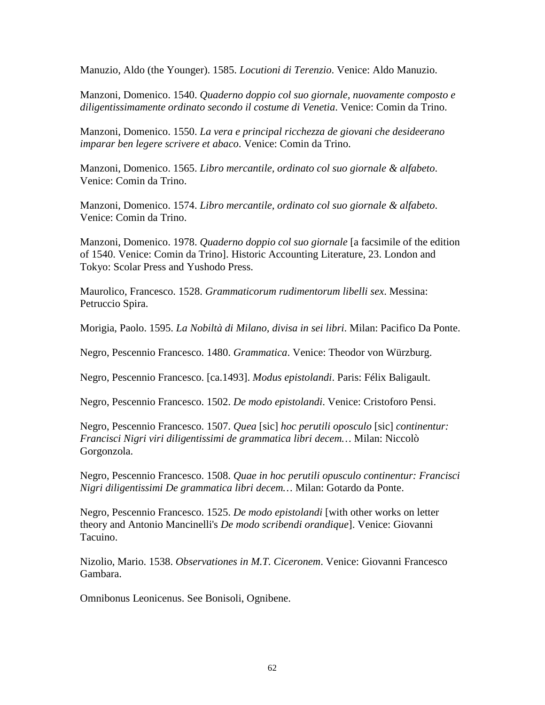Manuzio, Aldo (the Younger). 1585. *Locutioni di Terenzio*. Venice: Aldo Manuzio.

Manzoni, Domenico. 1540. *Quaderno doppio col suo giornale, nuovamente composto e diligentissimamente ordinato secondo il costume di Venetia*. Venice: Comin da Trino.

Manzoni, Domenico. 1550. *La vera e principal ricchezza de giovani che desideerano imparar ben legere scrivere et abaco*. Venice: Comin da Trino.

Manzoni, Domenico. 1565. *Libro mercantile, ordinato col suo giornale & alfabeto*. Venice: Comin da Trino.

Manzoni, Domenico. 1574. *Libro mercantile, ordinato col suo giornale & alfabeto*. Venice: Comin da Trino.

Manzoni, Domenico. 1978. *Quaderno doppio col suo giornale* [a facsimile of the edition of 1540. Venice: Comin da Trino]. Historic Accounting Literature, 23. London and Tokyo: Scolar Press and Yushodo Press.

Maurolico, Francesco. 1528. *Grammaticorum rudimentorum libelli sex*. Messina: Petruccio Spira.

Morigia, Paolo. 1595. *La Nobiltà di Milano, divisa in sei libri*. Milan: Pacifico Da Ponte.

Negro, Pescennio Francesco. 1480. *Grammatica*. Venice: Theodor von Würzburg.

Negro, Pescennio Francesco. [ca.1493]. *Modus epistolandi*. Paris: Félix Baligault.

Negro, Pescennio Francesco. 1502. *De modo epistolandi*. Venice: Cristoforo Pensi.

Negro, Pescennio Francesco. 1507. *Quea* [sic] *hoc perutili oposculo* [sic] *continentur: Francisci Nigri viri diligentissimi de grammatica libri decem…* Milan: Niccolò Gorgonzola.

Negro, Pescennio Francesco. 1508. *Quae in hoc perutili opusculo continentur: Francisci Nigri diligentissimi De grammatica libri decem…* Milan: Gotardo da Ponte.

Negro, Pescennio Francesco. 1525. *De modo epistolandi* [with other works on letter theory and Antonio Mancinelli's *De modo scribendi orandique*]. Venice: Giovanni Tacuino.

Nizolio, Mario. 1538. *Observationes in M.T. Ciceronem*. Venice: Giovanni Francesco Gambara.

Omnibonus Leonicenus. See Bonisoli, Ognibene.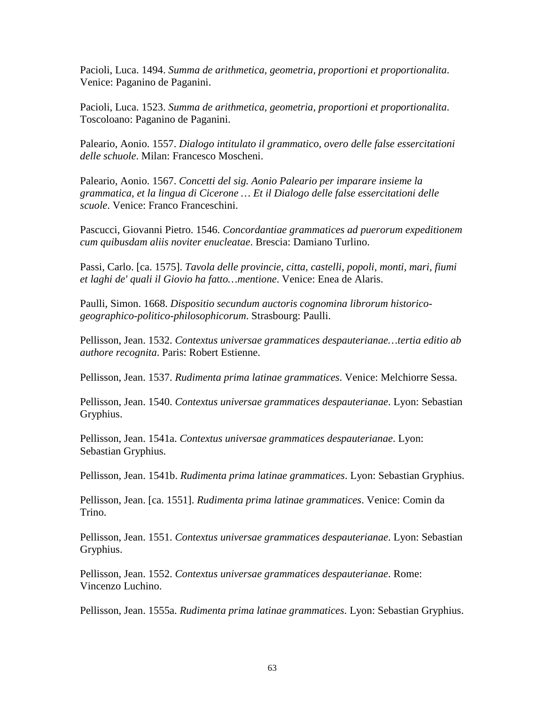Pacioli, Luca. 1494. *Summa de arithmetica, geometria, proportioni et proportionalita*. Venice: Paganino de Paganini.

Pacioli, Luca. 1523. *Summa de arithmetica, geometria, proportioni et proportionalita*. Toscoloano: Paganino de Paganini.

Paleario, Aonio. 1557. *Dialogo intitulato il grammatico, overo delle false essercitationi delle schuole*. Milan: Francesco Moscheni.

Paleario, Aonio. 1567. *Concetti del sig. Aonio Paleario per imparare insieme la grammatica, et la lingua di Cicerone … Et il Dialogo delle false essercitationi delle scuole*. Venice: Franco Franceschini.

Pascucci, Giovanni Pietro. 1546. *Concordantiae grammatices ad puerorum expeditionem cum quibusdam aliis noviter enucleatae*. Brescia: Damiano Turlino.

Passi, Carlo. [ca. 1575]. *Tavola delle provincie, citta, castelli, popoli, monti, mari, fiumi et laghi de' quali il Giovio ha fatto…mentione*. Venice: Enea de Alaris.

Paulli, Simon. 1668. *Dispositio secundum auctoris cognomina librorum historicogeographico-politico-philosophicorum*. Strasbourg: Paulli.

Pellisson, Jean. 1532. *Contextus universae grammatices despauterianae…tertia editio ab authore recognita*. Paris: Robert Estienne.

Pellisson, Jean. 1537. *Rudimenta prima latinae grammatices*. Venice: Melchiorre Sessa.

Pellisson, Jean. 1540. *Contextus universae grammatices despauterianae*. Lyon: Sebastian Gryphius.

Pellisson, Jean. 1541a. *Contextus universae grammatices despauterianae*. Lyon: Sebastian Gryphius.

Pellisson, Jean. 1541b. *Rudimenta prima latinae grammatices*. Lyon: Sebastian Gryphius.

Pellisson, Jean. [ca. 1551]. *Rudimenta prima latinae grammatices*. Venice: Comin da Trino.

Pellisson, Jean. 1551. *Contextus universae grammatices despauterianae*. Lyon: Sebastian Gryphius.

Pellisson, Jean. 1552. *Contextus universae grammatices despauterianae*. Rome: Vincenzo Luchino.

Pellisson, Jean. 1555a. *Rudimenta prima latinae grammatices*. Lyon: Sebastian Gryphius.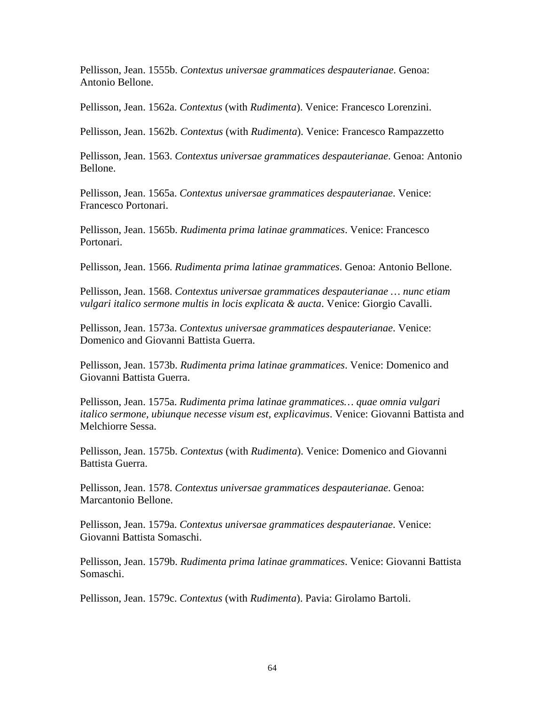Pellisson, Jean. 1555b. *Contextus universae grammatices despauterianae*. Genoa: Antonio Bellone.

Pellisson, Jean. 1562a. *Contextus* (with *Rudimenta*). Venice: Francesco Lorenzini.

Pellisson, Jean. 1562b. *Contextus* (with *Rudimenta*). Venice: Francesco Rampazzetto

Pellisson, Jean. 1563. *Contextus universae grammatices despauterianae*. Genoa: Antonio Bellone.

Pellisson, Jean. 1565a. *Contextus universae grammatices despauterianae*. Venice: Francesco Portonari.

Pellisson, Jean. 1565b. *Rudimenta prima latinae grammatices*. Venice: Francesco Portonari.

Pellisson, Jean. 1566. *Rudimenta prima latinae grammatices*. Genoa: Antonio Bellone.

Pellisson, Jean. 1568. *Contextus universae grammatices despauterianae … nunc etiam vulgari italico sermone multis in locis explicata & aucta*. Venice: Giorgio Cavalli.

Pellisson, Jean. 1573a. *Contextus universae grammatices despauterianae*. Venice: Domenico and Giovanni Battista Guerra.

Pellisson, Jean. 1573b. *Rudimenta prima latinae grammatices*. Venice: Domenico and Giovanni Battista Guerra.

Pellisson, Jean. 1575a. *Rudimenta prima latinae grammatices… quae omnia vulgari italico sermone, ubiunque necesse visum est, explicavimus*. Venice: Giovanni Battista and Melchiorre Sessa.

Pellisson, Jean. 1575b. *Contextus* (with *Rudimenta*). Venice: Domenico and Giovanni Battista Guerra.

Pellisson, Jean. 1578. *Contextus universae grammatices despauterianae*. Genoa: Marcantonio Bellone.

Pellisson, Jean. 1579a. *Contextus universae grammatices despauterianae*. Venice: Giovanni Battista Somaschi.

Pellisson, Jean. 1579b. *Rudimenta prima latinae grammatices*. Venice: Giovanni Battista Somaschi.

Pellisson, Jean. 1579c. *Contextus* (with *Rudimenta*). Pavia: Girolamo Bartoli.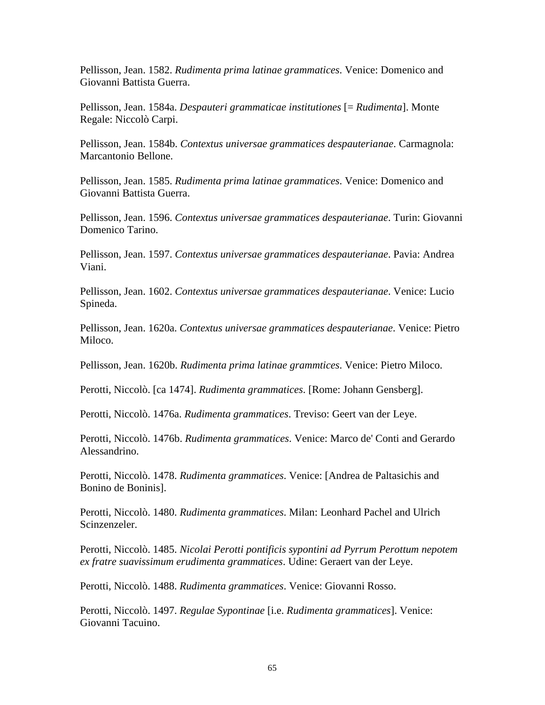Pellisson, Jean. 1582. *Rudimenta prima latinae grammatices*. Venice: Domenico and Giovanni Battista Guerra.

Pellisson, Jean. 1584a. *Despauteri grammaticae institutiones* [= *Rudimenta*]. Monte Regale: Niccolò Carpi.

Pellisson, Jean. 1584b. *Contextus universae grammatices despauterianae*. Carmagnola: Marcantonio Bellone.

Pellisson, Jean. 1585. *Rudimenta prima latinae grammatices*. Venice: Domenico and Giovanni Battista Guerra.

Pellisson, Jean. 1596. *Contextus universae grammatices despauterianae*. Turin: Giovanni Domenico Tarino.

Pellisson, Jean. 1597. *Contextus universae grammatices despauterianae*. Pavia: Andrea Viani.

Pellisson, Jean. 1602. *Contextus universae grammatices despauterianae*. Venice: Lucio Spineda.

Pellisson, Jean. 1620a. *Contextus universae grammatices despauterianae*. Venice: Pietro Miloco.

Pellisson, Jean. 1620b. *Rudimenta prima latinae grammtices*. Venice: Pietro Miloco.

Perotti, Niccolò. [ca 1474]. *Rudimenta grammatices*. [Rome: Johann Gensberg].

Perotti, Niccolò. 1476a. *Rudimenta grammatices*. Treviso: Geert van der Leye.

Perotti, Niccolò. 1476b. *Rudimenta grammatices*. Venice: Marco de' Conti and Gerardo Alessandrino.

Perotti, Niccolò. 1478. *Rudimenta grammatices*. Venice: [Andrea de Paltasichis and Bonino de Boninis].

Perotti, Niccolò. 1480. *Rudimenta grammatices*. Milan: Leonhard Pachel and Ulrich Scinzenzeler.

Perotti, Niccolò. 1485. *Nicolai Perotti pontificis sypontini ad Pyrrum Perottum nepotem ex fratre suavissimum erudimenta grammatices*. Udine: Geraert van der Leye.

Perotti, Niccolò. 1488. *Rudimenta grammatices*. Venice: Giovanni Rosso.

Perotti, Niccolò. 1497. *Regulae Sypontinae* [i.e. *Rudimenta grammatices*]. Venice: Giovanni Tacuino.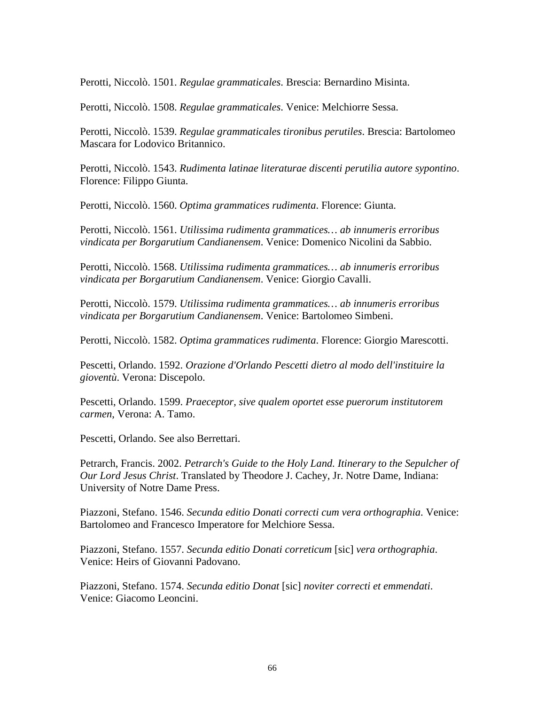Perotti, Niccolò. 1501. *Regulae grammaticales*. Brescia: Bernardino Misinta.

Perotti, Niccolò. 1508. *Regulae grammaticales*. Venice: Melchiorre Sessa.

Perotti, Niccolò. 1539. *Regulae grammaticales tironibus perutiles*. Brescia: Bartolomeo Mascara for Lodovico Britannico.

Perotti, Niccolò. 1543. *Rudimenta latinae literaturae discenti perutilia autore sypontino*. Florence: Filippo Giunta.

Perotti, Niccolò. 1560. *Optima grammatices rudimenta*. Florence: Giunta.

Perotti, Niccolò. 1561. *Utilissima rudimenta grammatices… ab innumeris erroribus vindicata per Borgarutium Candianensem*. Venice: Domenico Nicolini da Sabbio.

Perotti, Niccolò. 1568. *Utilissima rudimenta grammatices… ab innumeris erroribus vindicata per Borgarutium Candianensem*. Venice: Giorgio Cavalli.

Perotti, Niccolò. 1579. *Utilissima rudimenta grammatices… ab innumeris erroribus vindicata per Borgarutium Candianensem*. Venice: Bartolomeo Simbeni.

Perotti, Niccolò. 1582. *Optima grammatices rudimenta*. Florence: Giorgio Marescotti.

Pescetti, Orlando. 1592. *Orazione d'Orlando Pescetti dietro al modo dell'instituire la gioventù*. Verona: Discepolo.

Pescetti, Orlando. 1599. *Praeceptor, sive qualem oportet esse puerorum institutorem carmen*, Verona: A. Tamo.

Pescetti, Orlando. See also Berrettari.

Petrarch, Francis. 2002. *Petrarch's Guide to the Holy Land. Itinerary to the Sepulcher of Our Lord Jesus Christ*. Translated by Theodore J. Cachey, Jr. Notre Dame, Indiana: University of Notre Dame Press.

Piazzoni, Stefano. 1546. *Secunda editio Donati correcti cum vera orthographia*. Venice: Bartolomeo and Francesco Imperatore for Melchiore Sessa.

Piazzoni, Stefano. 1557. *Secunda editio Donati correticum* [sic] *vera orthographia*. Venice: Heirs of Giovanni Padovano.

Piazzoni, Stefano. 1574. *Secunda editio Donat* [sic] *noviter correcti et emmendati*. Venice: Giacomo Leoncini.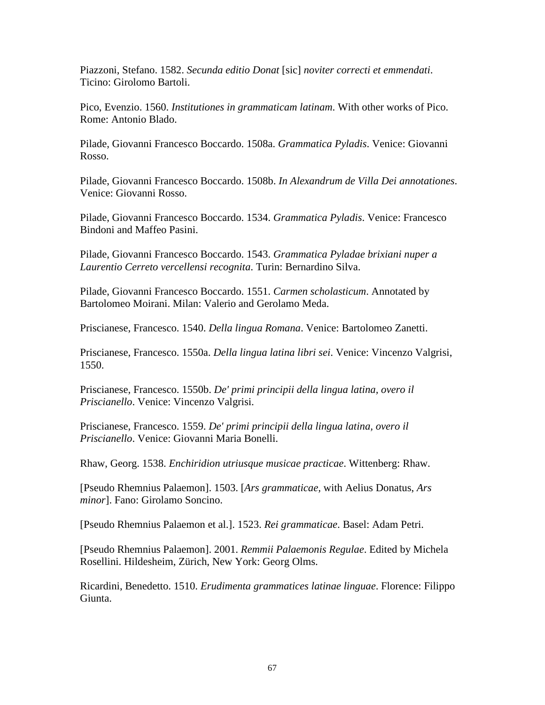Piazzoni, Stefano. 1582. *Secunda editio Donat* [sic] *noviter correcti et emmendati*. Ticino: Girolomo Bartoli.

Pico, Evenzio. 1560. *Institutiones in grammaticam latinam*. With other works of Pico. Rome: Antonio Blado.

Pilade, Giovanni Francesco Boccardo. 1508a. *Grammatica Pyladis*. Venice: Giovanni Rosso.

Pilade, Giovanni Francesco Boccardo. 1508b. *In Alexandrum de Villa Dei annotationes*. Venice: Giovanni Rosso.

Pilade, Giovanni Francesco Boccardo. 1534. *Grammatica Pyladis*. Venice: Francesco Bindoni and Maffeo Pasini.

Pilade, Giovanni Francesco Boccardo. 1543. *Grammatica Pyladae brixiani nuper a Laurentio Cerreto vercellensi recognita*. Turin: Bernardino Silva.

Pilade, Giovanni Francesco Boccardo. 1551. *Carmen scholasticum*. Annotated by Bartolomeo Moirani. Milan: Valerio and Gerolamo Meda.

Priscianese, Francesco. 1540. *Della lingua Romana*. Venice: Bartolomeo Zanetti.

Priscianese, Francesco. 1550a. *Della lingua latina libri sei*. Venice: Vincenzo Valgrisi, 1550.

Priscianese, Francesco. 1550b. *De' primi principii della lingua latina, overo il Priscianello*. Venice: Vincenzo Valgrisi.

Priscianese, Francesco. 1559. *De' primi principii della lingua latina, overo il Priscianello*. Venice: Giovanni Maria Bonelli.

Rhaw, Georg. 1538. *Enchiridion utriusque musicae practicae*. Wittenberg: Rhaw.

[Pseudo Rhemnius Palaemon]. 1503. [*Ars grammaticae,* with Aelius Donatus, *Ars minor*]. Fano: Girolamo Soncino.

[Pseudo Rhemnius Palaemon et al.]. 1523. *Rei grammaticae*. Basel: Adam Petri.

[Pseudo Rhemnius Palaemon]. 2001. *Remmii Palaemonis Regulae*. Edited by Michela Rosellini. Hildesheim, Zürich, New York: Georg Olms.

Ricardini, Benedetto. 1510. *Erudimenta grammatices latinae linguae*. Florence: Filippo Giunta.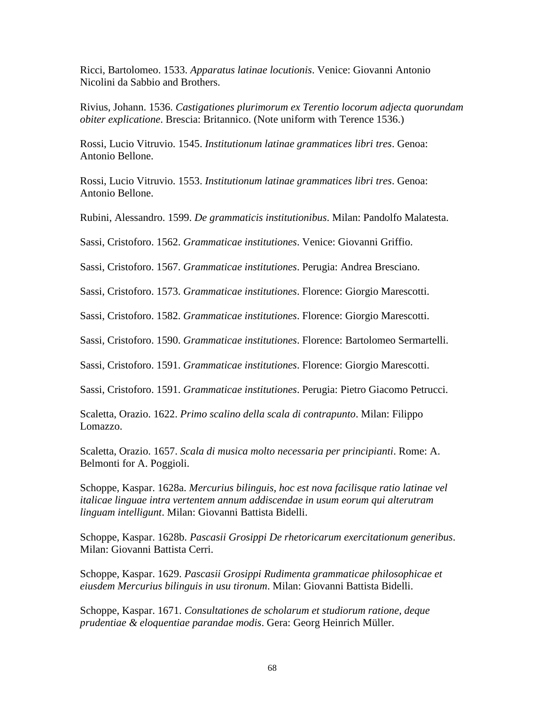Ricci, Bartolomeo. 1533. *Apparatus latinae locutionis*. Venice: Giovanni Antonio Nicolini da Sabbio and Brothers.

Rivius, Johann. 1536. *Castigationes plurimorum ex Terentio locorum adjecta quorundam obiter explicatione*. Brescia: Britannico. (Note uniform with Terence 1536.)

Rossi, Lucio Vitruvio. 1545. *Institutionum latinae grammatices libri tres*. Genoa: Antonio Bellone.

Rossi, Lucio Vitruvio. 1553. *Institutionum latinae grammatices libri tres*. Genoa: Antonio Bellone.

Rubini, Alessandro. 1599. *De grammaticis institutionibus*. Milan: Pandolfo Malatesta.

Sassi, Cristoforo. 1562. *Grammaticae institutiones*. Venice: Giovanni Griffio.

Sassi, Cristoforo. 1567. *Grammaticae institutiones*. Perugia: Andrea Bresciano.

Sassi, Cristoforo. 1573. *Grammaticae institutiones*. Florence: Giorgio Marescotti.

Sassi, Cristoforo. 1582. *Grammaticae institutiones*. Florence: Giorgio Marescotti.

Sassi, Cristoforo. 1590. *Grammaticae institutiones*. Florence: Bartolomeo Sermartelli.

Sassi, Cristoforo. 1591. *Grammaticae institutiones*. Florence: Giorgio Marescotti.

Sassi, Cristoforo. 1591. *Grammaticae institutiones*. Perugia: Pietro Giacomo Petrucci.

Scaletta, Orazio. 1622. *Primo scalino della scala di contrapunto*. Milan: Filippo Lomazzo.

Scaletta, Orazio. 1657. *Scala di musica molto necessaria per principianti*. Rome: A. Belmonti for A. Poggioli.

Schoppe, Kaspar. 1628a. *Mercurius bilinguis, hoc est nova facilisque ratio latinae vel italicae linguae intra vertentem annum addiscendae in usum eorum qui alterutram linguam intelligunt*. Milan: Giovanni Battista Bidelli.

Schoppe, Kaspar. 1628b. *Pascasii Grosippi De rhetoricarum exercitationum generibus*. Milan: Giovanni Battista Cerri.

Schoppe, Kaspar. 1629. *Pascasii Grosippi Rudimenta grammaticae philosophicae et eiusdem Mercurius bilinguis in usu tironum*. Milan: Giovanni Battista Bidelli.

Schoppe, Kaspar. 1671. *Consultationes de scholarum et studiorum ratione, deque prudentiae & eloquentiae parandae modis*. Gera: Georg Heinrich Müller.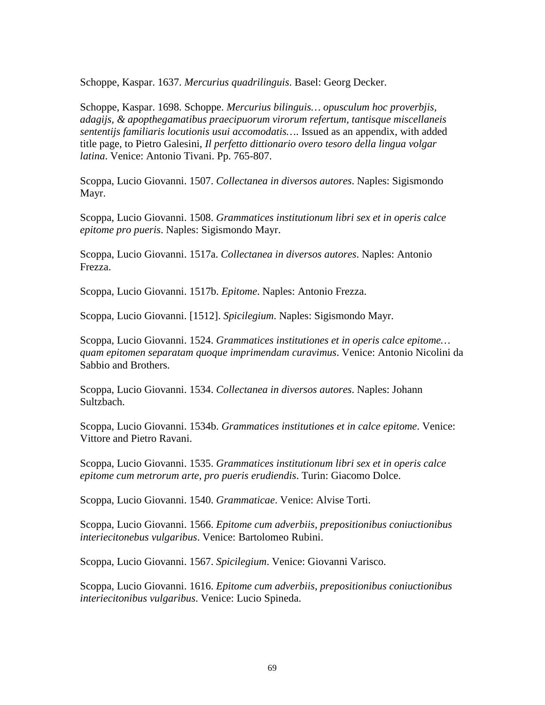Schoppe, Kaspar. 1637. *Mercurius quadrilinguis*. Basel: Georg Decker.

Schoppe, Kaspar. 1698. Schoppe. *Mercurius bilinguis… opusculum hoc proverbjis, adagijs, & apopthegamatibus praecipuorum virorum refertum, tantisque miscellaneis sententijs familiaris locutionis usui accomodatis…*. Issued as an appendix, with added title page, to Pietro Galesini, *Il perfetto dittionario overo tesoro della lingua volgar latina*. Venice: Antonio Tivani. Pp. 765-807.

Scoppa, Lucio Giovanni. 1507. *Collectanea in diversos autores*. Naples: Sigismondo Mayr.

Scoppa, Lucio Giovanni. 1508. *Grammatices institutionum libri sex et in operis calce epitome pro pueris*. Naples: Sigismondo Mayr.

Scoppa, Lucio Giovanni. 1517a. *Collectanea in diversos autores*. Naples: Antonio Frezza.

Scoppa, Lucio Giovanni. 1517b. *Epitome*. Naples: Antonio Frezza.

Scoppa, Lucio Giovanni. [1512]. *Spicilegium*. Naples: Sigismondo Mayr.

Scoppa, Lucio Giovanni. 1524. *Grammatices institutiones et in operis calce epitome… quam epitomen separatam quoque imprimendam curavimus*. Venice: Antonio Nicolini da Sabbio and Brothers.

Scoppa, Lucio Giovanni. 1534. *Collectanea in diversos autores*. Naples: Johann Sultzbach.

Scoppa, Lucio Giovanni. 1534b. *Grammatices institutiones et in calce epitome*. Venice: Vittore and Pietro Ravani.

Scoppa, Lucio Giovanni. 1535. *Grammatices institutionum libri sex et in operis calce epitome cum metrorum arte, pro pueris erudiendis*. Turin: Giacomo Dolce.

Scoppa, Lucio Giovanni. 1540. *Grammaticae*. Venice: Alvise Torti.

Scoppa, Lucio Giovanni. 1566. *Epitome cum adverbiis, prepositionibus coniuctionibus interiecitonebus vulgaribus*. Venice: Bartolomeo Rubini.

Scoppa, Lucio Giovanni. 1567. *Spicilegium*. Venice: Giovanni Varisco.

Scoppa, Lucio Giovanni. 1616. *Epitome cum adverbiis, prepositionibus coniuctionibus interiecitonibus vulgaribus*. Venice: Lucio Spineda.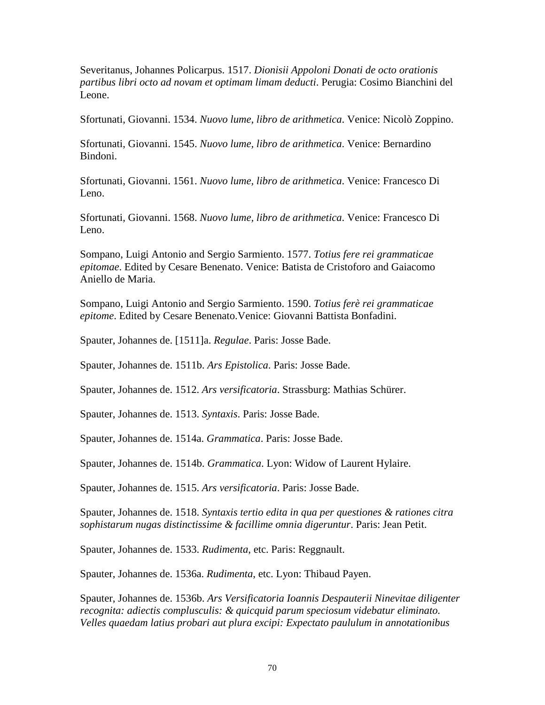Severitanus, Johannes Policarpus. 1517. *Dionisii Appoloni Donati de octo orationis partibus libri octo ad novam et optimam limam deducti*. Perugia: Cosimo Bianchini del Leone.

Sfortunati, Giovanni. 1534. *Nuovo lume, libro de arithmetica*. Venice: Nicolò Zoppino.

Sfortunati, Giovanni. 1545. *Nuovo lume, libro de arithmetica*. Venice: Bernardino Bindoni.

Sfortunati, Giovanni. 1561. *Nuovo lume, libro de arithmetica*. Venice: Francesco Di Leno.

Sfortunati, Giovanni. 1568. *Nuovo lume, libro de arithmetica*. Venice: Francesco Di Leno.

Sompano, Luigi Antonio and Sergio Sarmiento. 1577. *Totius fere rei grammaticae epitomae*. Edited by Cesare Benenato. Venice: Batista de Cristoforo and Gaiacomo Aniello de Maria.

Sompano, Luigi Antonio and Sergio Sarmiento. 1590. *Totius ferè rei grammaticae epitome*. Edited by Cesare Benenato.Venice: Giovanni Battista Bonfadini.

Spauter, Johannes de. [1511]a. *Regulae*. Paris: Josse Bade.

Spauter, Johannes de. 1511b. *Ars Epistolica*. Paris: Josse Bade.

Spauter, Johannes de. 1512. *Ars versificatoria*. Strassburg: Mathias Schürer.

Spauter, Johannes de. 1513. *Syntaxis*. Paris: Josse Bade.

Spauter, Johannes de. 1514a. *Grammatica*. Paris: Josse Bade.

Spauter, Johannes de. 1514b. *Grammatica*. Lyon: Widow of Laurent Hylaire.

Spauter, Johannes de. 1515. *Ars versificatoria*. Paris: Josse Bade.

Spauter, Johannes de. 1518. *Syntaxis tertio edita in qua per questiones & rationes citra sophistarum nugas distinctissime & facillime omnia digeruntur*. Paris: Jean Petit.

Spauter, Johannes de. 1533. *Rudimenta*, etc. Paris: Reggnault.

Spauter, Johannes de. 1536a. *Rudimenta*, etc. Lyon: Thibaud Payen.

Spauter, Johannes de. 1536b. *Ars Versificatoria Ioannis Despauterii Ninevitae diligenter recognita: adiectis complusculis: & quicquid parum speciosum videbatur eliminato. Velles quaedam latius probari aut plura excipi: Expectato paululum in annotationibus*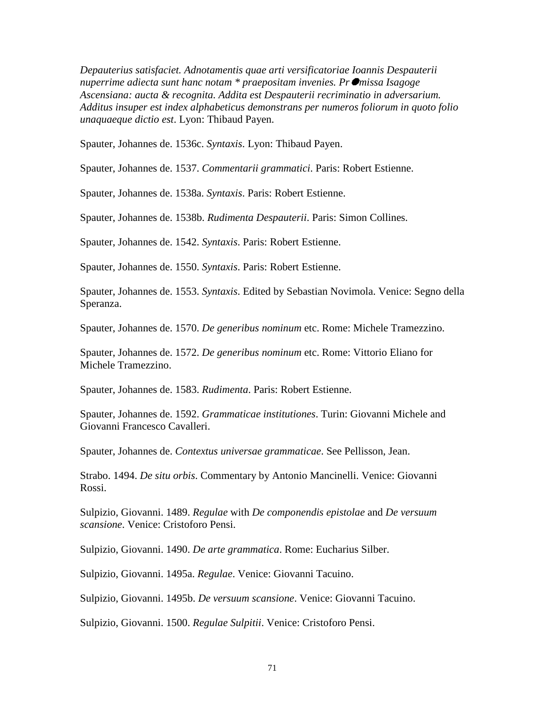*Depauterius satisfaciet. Adnotamentis quae arti versificatoriae Ioannis Despauterii nuperrime adiecta sunt hanc notam \* praepositam invenies. Pr*-*missa Isagoge Ascensiana: aucta & recognita. Addita est Despauterii recriminatio in adversarium. Additus insuper est index alphabeticus demonstrans per numeros foliorum in quoto folio unaquaeque dictio est*. Lyon: Thibaud Payen.

Spauter, Johannes de. 1536c. *Syntaxis*. Lyon: Thibaud Payen.

Spauter, Johannes de. 1537. *Commentarii grammatici*. Paris: Robert Estienne.

Spauter, Johannes de. 1538a. *Syntaxis*. Paris: Robert Estienne.

Spauter, Johannes de. 1538b. *Rudimenta Despauterii*. Paris: Simon Collines.

Spauter, Johannes de. 1542. *Syntaxis*. Paris: Robert Estienne.

Spauter, Johannes de. 1550. *Syntaxis*. Paris: Robert Estienne.

Spauter, Johannes de. 1553. *Syntaxis*. Edited by Sebastian Novimola. Venice: Segno della Speranza.

Spauter, Johannes de. 1570. *De generibus nominum* etc. Rome: Michele Tramezzino.

Spauter, Johannes de. 1572. *De generibus nominum* etc. Rome: Vittorio Eliano for Michele Tramezzino.

Spauter, Johannes de. 1583. *Rudimenta*. Paris: Robert Estienne.

Spauter, Johannes de. 1592. *Grammaticae institutiones*. Turin: Giovanni Michele and Giovanni Francesco Cavalleri.

Spauter, Johannes de. *Contextus universae grammaticae*. See Pellisson, Jean.

Strabo. 1494. *De situ orbis*. Commentary by Antonio Mancinelli. Venice: Giovanni Rossi.

Sulpizio, Giovanni. 1489. *Regulae* with *De componendis epistolae* and *De versuum scansione*. Venice: Cristoforo Pensi.

Sulpizio, Giovanni. 1490. *De arte grammatica*. Rome: Eucharius Silber.

Sulpizio, Giovanni. 1495a. *Regulae*. Venice: Giovanni Tacuino.

Sulpizio, Giovanni. 1495b. *De versuum scansione*. Venice: Giovanni Tacuino.

Sulpizio, Giovanni. 1500. *Regulae Sulpitii*. Venice: Cristoforo Pensi.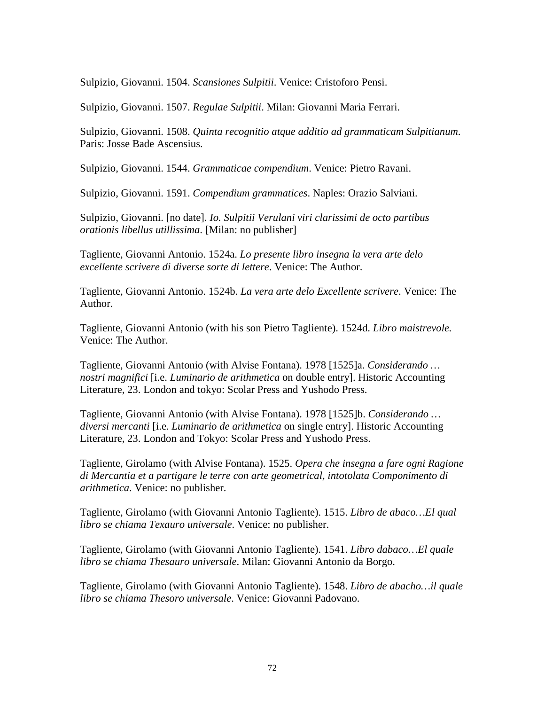Sulpizio, Giovanni. 1504. *Scansiones Sulpitii*. Venice: Cristoforo Pensi.

Sulpizio, Giovanni. 1507. *Regulae Sulpitii*. Milan: Giovanni Maria Ferrari.

Sulpizio, Giovanni. 1508. *Quinta recognitio atque additio ad grammaticam Sulpitianum*. Paris: Josse Bade Ascensius.

Sulpizio, Giovanni. 1544. *Grammaticae compendium*. Venice: Pietro Ravani.

Sulpizio, Giovanni. 1591. *Compendium grammatices*. Naples: Orazio Salviani.

Sulpizio, Giovanni. [no date]. *Io. Sulpitii Verulani viri clarissimi de octo partibus orationis libellus utillissima*. [Milan: no publisher]

Tagliente, Giovanni Antonio. 1524a. *Lo presente libro insegna la vera arte delo excellente scrivere di diverse sorte di lettere*. Venice: The Author.

Tagliente, Giovanni Antonio. 1524b. *La vera arte delo Excellente scrivere*. Venice: The Author.

Tagliente, Giovanni Antonio (with his son Pietro Tagliente). 1524d. *Libro maistrevole.* Venice: The Author.

Tagliente, Giovanni Antonio (with Alvise Fontana). 1978 [1525]a. *Considerando … nostri magnifici* [i.e. *Luminario de arithmetica* on double entry]. Historic Accounting Literature, 23. London and tokyo: Scolar Press and Yushodo Press.

Tagliente, Giovanni Antonio (with Alvise Fontana). 1978 [1525]b. *Considerando … diversi mercanti* [i.e. *Luminario de arithmetica* on single entry]. Historic Accounting Literature, 23. London and Tokyo: Scolar Press and Yushodo Press.

Tagliente, Girolamo (with Alvise Fontana). 1525. *Opera che insegna a fare ogni Ragione di Mercantia et a partigare le terre con arte geometrical, intotolata Componimento di arithmetica*. Venice: no publisher.

Tagliente, Girolamo (with Giovanni Antonio Tagliente). 1515. *Libro de abaco…El qual libro se chiama Texauro universale*. Venice: no publisher.

Tagliente, Girolamo (with Giovanni Antonio Tagliente). 1541. *Libro dabaco…El quale libro se chiama Thesauro universale*. Milan: Giovanni Antonio da Borgo.

Tagliente, Girolamo (with Giovanni Antonio Tagliente). 1548. *Libro de abacho…il quale libro se chiama Thesoro universale*. Venice: Giovanni Padovano.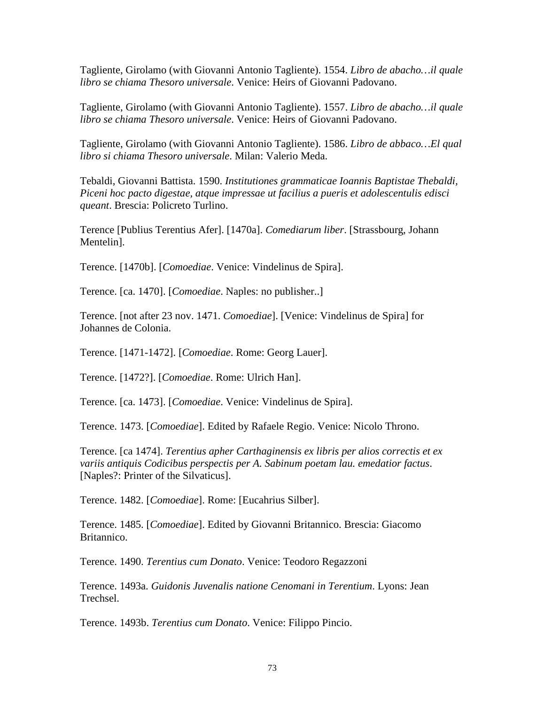Tagliente, Girolamo (with Giovanni Antonio Tagliente). 1554. *Libro de abacho…il quale libro se chiama Thesoro universale*. Venice: Heirs of Giovanni Padovano.

Tagliente, Girolamo (with Giovanni Antonio Tagliente). 1557. *Libro de abacho…il quale libro se chiama Thesoro universale*. Venice: Heirs of Giovanni Padovano.

Tagliente, Girolamo (with Giovanni Antonio Tagliente). 1586. *Libro de abbaco…El qual libro si chiama Thesoro universale*. Milan: Valerio Meda.

Tebaldi, Giovanni Battista. 1590. *Institutiones grammaticae Ioannis Baptistae Thebaldi, Piceni hoc pacto digestae, atque impressae ut facilius a pueris et adolescentulis edisci queant*. Brescia: Policreto Turlino.

Terence [Publius Terentius Afer]. [1470a]. *Comediarum liber*. [Strassbourg, Johann Mentelin].

Terence. [1470b]. [*Comoediae*. Venice: Vindelinus de Spira].

Terence. [ca. 1470]. [*Comoediae*. Naples: no publisher..]

Terence. [not after 23 nov. 1471. *Comoediae*]. [Venice: Vindelinus de Spira] for Johannes de Colonia.

Terence. [1471-1472]. [*Comoediae*. Rome: Georg Lauer].

Terence. [1472?]. [*Comoediae*. Rome: Ulrich Han].

Terence. [ca. 1473]. [*Comoediae*. Venice: Vindelinus de Spira].

Terence. 1473. [*Comoediae*]. Edited by Rafaele Regio. Venice: Nicolo Throno.

Terence. [ca 1474]. *Terentius apher Carthaginensis ex libris per alios correctis et ex variis antiquis Codicibus perspectis per A. Sabinum poetam lau. emedatior factus*. [Naples?: Printer of the Silvaticus].

Terence. 1482. [*Comoediae*]. Rome: [Eucahrius Silber].

Terence. 1485. [*Comoediae*]. Edited by Giovanni Britannico. Brescia: Giacomo Britannico.

Terence. 1490. *Terentius cum Donato*. Venice: Teodoro Regazzoni

Terence. 1493a. *Guidonis Juvenalis natione Cenomani in Terentium*. Lyons: Jean Trechsel.

Terence. 1493b. *Terentius cum Donato*. Venice: Filippo Pincio.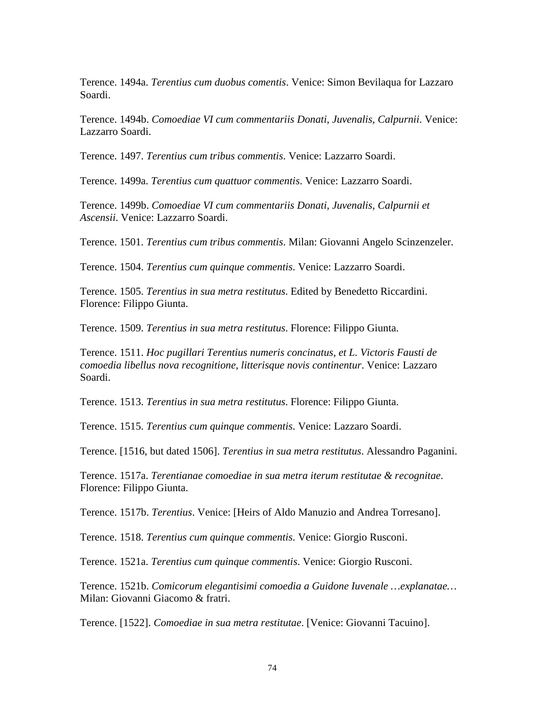Terence. 1494a. *Terentius cum duobus comentis*. Venice: Simon Bevilaqua for Lazzaro Soardi.

Terence. 1494b. *Comoediae VI cum commentariis Donati, Juvenalis, Calpurnii*. Venice: Lazzarro Soardi.

Terence. 1497. *Terentius cum tribus commentis*. Venice: Lazzarro Soardi.

Terence. 1499a. *Terentius cum quattuor commentis*. Venice: Lazzarro Soardi.

Terence. 1499b. *Comoediae VI cum commentariis Donati, Juvenalis, Calpurnii et Ascensii*. Venice: Lazzarro Soardi.

Terence. 1501. *Terentius cum tribus commentis*. Milan: Giovanni Angelo Scinzenzeler.

Terence. 1504. *Terentius cum quinque commentis*. Venice: Lazzarro Soardi.

Terence. 1505. *Terentius in sua metra restitutus*. Edited by Benedetto Riccardini. Florence: Filippo Giunta.

Terence. 1509. *Terentius in sua metra restitutus*. Florence: Filippo Giunta.

Terence. 1511. *Hoc pugillari Terentius numeris concinatus, et L. Victoris Fausti de comoedia libellus nova recognitione, litterisque novis continentur*. Venice: Lazzaro Soardi.

Terence. 1513. *Terentius in sua metra restitutus*. Florence: Filippo Giunta.

Terence. 1515. *Terentius cum quinque commentis*. Venice: Lazzaro Soardi.

Terence. [1516, but dated 1506]. *Terentius in sua metra restitutus*. Alessandro Paganini.

Terence. 1517a. *Terentianae comoediae in sua metra iterum restitutae & recognitae*. Florence: Filippo Giunta.

Terence. 1517b. *Terentius*. Venice: [Heirs of Aldo Manuzio and Andrea Torresano].

Terence. 1518. *Terentius cum quinque commentis*. Venice: Giorgio Rusconi.

Terence. 1521a. *Terentius cum quinque commentis*. Venice: Giorgio Rusconi.

Terence. 1521b. *Comicorum elegantisimi comoedia a Guidone Iuvenale …explanatae…* Milan: Giovanni Giacomo & fratri.

Terence. [1522]. *Comoediae in sua metra restitutae*. [Venice: Giovanni Tacuino].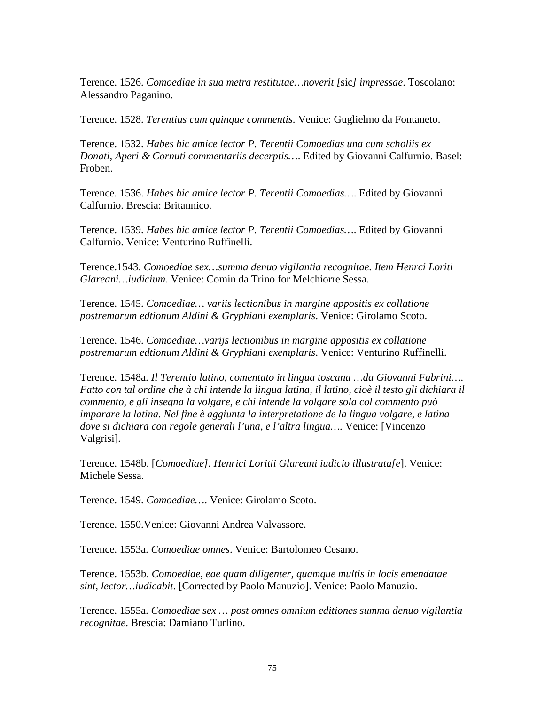Terence. 1526. *Comoediae in sua metra restitutae…noverit [*sic*] impressae*. Toscolano: Alessandro Paganino.

Terence. 1528. *Terentius cum quinque commentis*. Venice: Guglielmo da Fontaneto.

Terence. 1532. *Habes hic amice lector P. Terentii Comoedias una cum scholiis ex Donati, Aperi & Cornuti commentariis decerptis…*. Edited by Giovanni Calfurnio. Basel: Froben.

Terence. 1536. *Habes hic amice lector P. Terentii Comoedias…*. Edited by Giovanni Calfurnio. Brescia: Britannico.

Terence. 1539. *Habes hic amice lector P. Terentii Comoedias…*. Edited by Giovanni Calfurnio. Venice: Venturino Ruffinelli.

Terence.1543. *Comoediae sex…summa denuo vigilantia recognitae. Item Henrci Loriti Glareani…iudicium*. Venice: Comin da Trino for Melchiorre Sessa.

Terence. 1545. *Comoediae… variis lectionibus in margine appositis ex collatione postremarum edtionum Aldini & Gryphiani exemplaris*. Venice: Girolamo Scoto.

Terence. 1546. *Comoediae…varijs lectionibus in margine appositis ex collatione postremarum edtionum Aldini & Gryphiani exemplaris*. Venice: Venturino Ruffinelli.

Terence. 1548a. *Il Terentio latino, comentato in lingua toscana …da Giovanni Fabrini…. Fatto con tal ordine che à chi intende la lingua latina, il latino, cioè il testo gli dichiara il commento, e gli insegna la volgare, e chi intende la volgare sola col commento può imparare la latina. Nel fine è aggiunta la interpretatione de la lingua volgare, e latina dove si dichiara con regole generali l'una, e l'altra lingua….* Venice: [Vincenzo Valgrisi].

Terence. 1548b. [*Comoediae]. Henrici Loritii Glareani iudicio illustrata[e*]. Venice: Michele Sessa.

Terence. 1549. *Comoediae…*. Venice: Girolamo Scoto.

Terence. 1550.Venice: Giovanni Andrea Valvassore.

Terence. 1553a. *Comoediae omnes*. Venice: Bartolomeo Cesano.

Terence. 1553b. *Comoediae, eae quam diligenter, quamque multis in locis emendatae sint, lector…iudicabit*. [Corrected by Paolo Manuzio]. Venice: Paolo Manuzio.

Terence. 1555a. *Comoediae sex … post omnes omnium editiones summa denuo vigilantia recognitae*. Brescia: Damiano Turlino.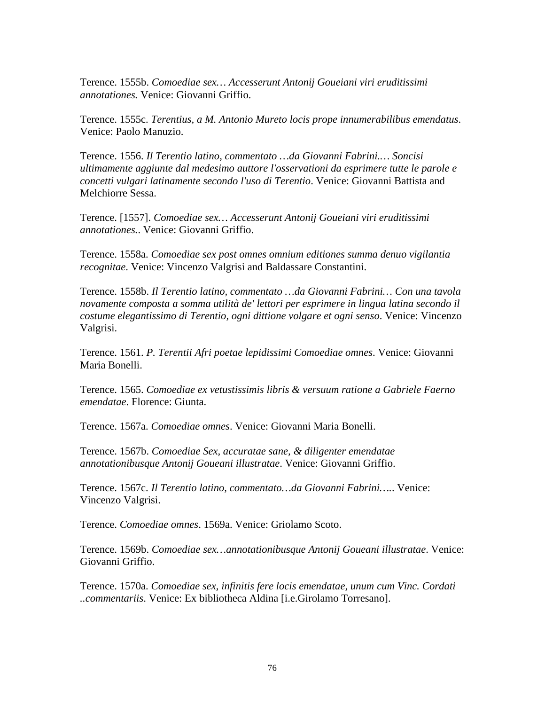Terence. 1555b. *Comoediae sex… Accesserunt Antonij Goueiani viri eruditissimi annotationes.* Venice: Giovanni Griffio.

Terence. 1555c. *Terentius, a M. Antonio Mureto locis prope innumerabilibus emendatus*. Venice: Paolo Manuzio.

Terence. 1556. *Il Terentio latino, commentato …da Giovanni Fabrini.… Soncisi ultimamente aggiunte dal medesimo auttore l'osservationi da esprimere tutte le parole e concetti vulgari latinamente secondo l'uso di Terentio*. Venice: Giovanni Battista and Melchiorre Sessa.

Terence. [1557]. *Comoediae sex… Accesserunt Antonij Goueiani viri eruditissimi annotationes.*. Venice: Giovanni Griffio.

Terence. 1558a. *Comoediae sex post omnes omnium editiones summa denuo vigilantia recognitae*. Venice: Vincenzo Valgrisi and Baldassare Constantini.

Terence. 1558b. *Il Terentio latino, commentato …da Giovanni Fabrini… Con una tavola novamente composta a somma utilità de' lettori per esprimere in lingua latina secondo il costume elegantissimo di Terentio, ogni dittione volgare et ogni senso*. Venice: Vincenzo Valgrisi.

Terence. 1561. *P. Terentii Afri poetae lepidissimi Comoediae omnes*. Venice: Giovanni Maria Bonelli.

Terence. 1565. *Comoediae ex vetustissimis libris & versuum ratione a Gabriele Faerno emendatae*. Florence: Giunta.

Terence. 1567a. *Comoediae omnes*. Venice: Giovanni Maria Bonelli.

Terence. 1567b. *Comoediae Sex, accuratae sane, & diligenter emendatae annotationibusque Antonij Goueani illustratae*. Venice: Giovanni Griffio.

Terence. 1567c. *Il Terentio latino, commentato…da Giovanni Fabrini….*. Venice: Vincenzo Valgrisi.

Terence. *Comoediae omnes*. 1569a. Venice: Griolamo Scoto.

Terence. 1569b. *Comoediae sex…annotationibusque Antonij Goueani illustratae*. Venice: Giovanni Griffio.

Terence. 1570a. *Comoediae sex, infinitis fere locis emendatae, unum cum Vinc. Cordati ..commentariis*. Venice: Ex bibliotheca Aldina [i.e.Girolamo Torresano].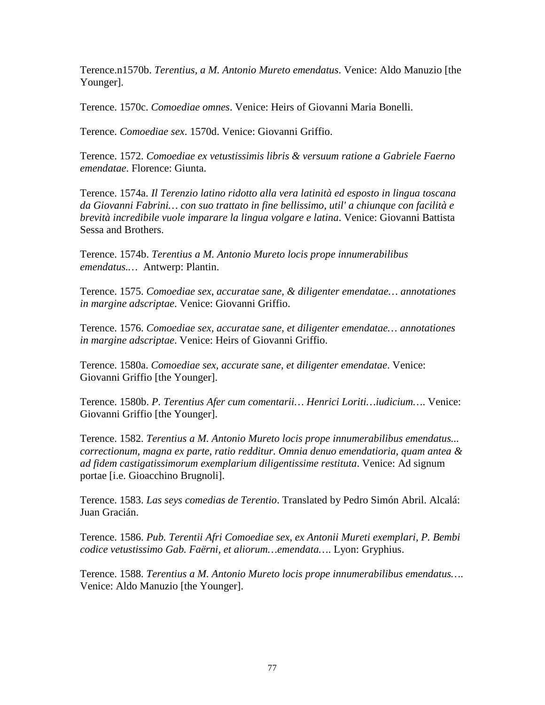Terence.n1570b. *Terentius, a M. Antonio Mureto emendatus*. Venice: Aldo Manuzio [the Younger].

Terence. 1570c. *Comoediae omnes*. Venice: Heirs of Giovanni Maria Bonelli.

Terence. *Comoediae sex*. 1570d. Venice: Giovanni Griffio.

Terence. 1572. *Comoediae ex vetustissimis libris & versuum ratione a Gabriele Faerno emendatae*. Florence: Giunta.

Terence. 1574a. *Il Terenzio latino ridotto alla vera latinità ed esposto in lingua toscana da Giovanni Fabrini… con suo trattato in fine bellissimo, util' a chiunque con facilità e brevità incredibile vuole imparare la lingua volgare e latina*. Venice: Giovanni Battista Sessa and Brothers.

Terence. 1574b. *Terentius a M. Antonio Mureto locis prope innumerabilibus emendatus.…* Antwerp: Plantin.

Terence. 1575. *Comoediae sex, accuratae sane, & diligenter emendatae… annotationes in margine adscriptae*. Venice: Giovanni Griffio.

Terence. 1576. *Comoediae sex, accuratae sane, et diligenter emendatae… annotationes in margine adscriptae*. Venice: Heirs of Giovanni Griffio.

Terence. 1580a. *Comoediae sex, accurate sane, et diligenter emendatae*. Venice: Giovanni Griffio [the Younger].

Terence. 1580b. *P. Terentius Afer cum comentarii… Henrici Loriti…iudicium…*. Venice: Giovanni Griffio [the Younger].

Terence. 1582. *Terentius a M. Antonio Mureto locis prope innumerabilibus emendatus... correctionum, magna ex parte, ratio redditur. Omnia denuo emendatioria, quam antea & ad fidem castigatissimorum exemplarium diligentissime restituta*. Venice: Ad signum portae [i.e. Gioacchino Brugnoli].

Terence. 1583. *Las seys comedias de Terentio*. Translated by Pedro Simón Abril. Alcalá: Juan Gracián.

Terence. 1586. *Pub. Terentii Afri Comoediae sex, ex Antonii Mureti exemplari, P. Bembi codice vetustissimo Gab. Faërni, et aliorum…emendata…*. Lyon: Gryphius.

Terence. 1588. *Terentius a M. Antonio Mureto locis prope innumerabilibus emendatus…*. Venice: Aldo Manuzio [the Younger].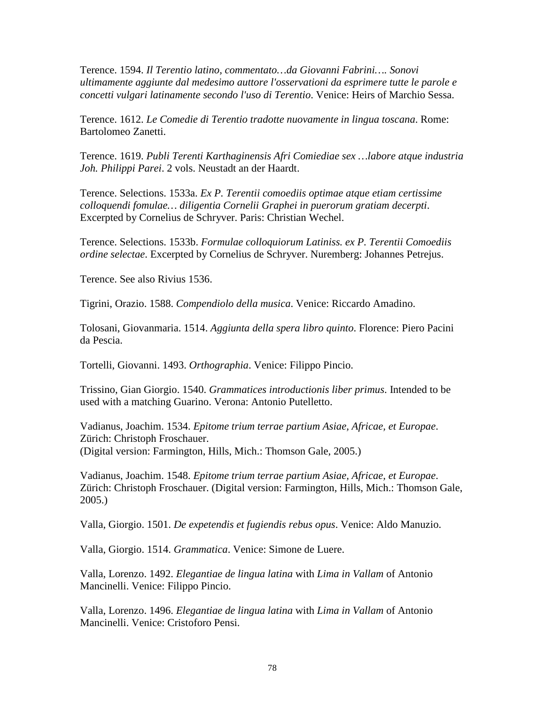Terence. 1594. *Il Terentio latino, commentato…da Giovanni Fabrini…. Sonovi ultimamente aggiunte dal medesimo auttore l'osservationi da esprimere tutte le parole e concetti vulgari latinamente secondo l'uso di Terentio*. Venice: Heirs of Marchio Sessa.

Terence. 1612. *Le Comedie di Terentio tradotte nuovamente in lingua toscana*. Rome: Bartolomeo Zanetti.

Terence. 1619. *Publi Terenti Karthaginensis Afri Comiediae sex …labore atque industria Joh. Philippi Parei*. 2 vols. Neustadt an der Haardt.

Terence. Selections. 1533a. *Ex P. Terentii comoediis optimae atque etiam certissime colloquendi fomulae… diligentia Cornelii Graphei in puerorum gratiam decerpti*. Excerpted by Cornelius de Schryver. Paris: Christian Wechel.

Terence. Selections. 1533b. *Formulae colloquiorum Latiniss. ex P. Terentii Comoediis ordine selectae*. Excerpted by Cornelius de Schryver. Nuremberg: Johannes Petrejus.

Terence. See also Rivius 1536.

Tigrini, Orazio. 1588. *Compendiolo della musica*. Venice: Riccardo Amadino.

Tolosani, Giovanmaria. 1514. *Aggiunta della spera libro quinto*. Florence: Piero Pacini da Pescia.

Tortelli, Giovanni. 1493. *Orthographia*. Venice: Filippo Pincio.

Trissino, Gian Giorgio. 1540. *Grammatices introductionis liber primus*. Intended to be used with a matching Guarino. Verona: Antonio Putelletto.

Vadianus, Joachim. 1534. *Epitome trium terrae partium Asiae, Africae, et Europae*. Zürich: Christoph Froschauer. (Digital version: Farmington, Hills, Mich.: Thomson Gale, 2005.)

Vadianus, Joachim. 1548. *Epitome trium terrae partium Asiae, Africae, et Europae*. Zürich: Christoph Froschauer. (Digital version: Farmington, Hills, Mich.: Thomson Gale, 2005.)

Valla, Giorgio. 1501. *De expetendis et fugiendis rebus opus*. Venice: Aldo Manuzio.

Valla, Giorgio. 1514. *Grammatica*. Venice: Simone de Luere.

Valla, Lorenzo. 1492. *Elegantiae de lingua latina* with *Lima in Vallam* of Antonio Mancinelli. Venice: Filippo Pincio.

Valla, Lorenzo. 1496. *Elegantiae de lingua latina* with *Lima in Vallam* of Antonio Mancinelli. Venice: Cristoforo Pensi.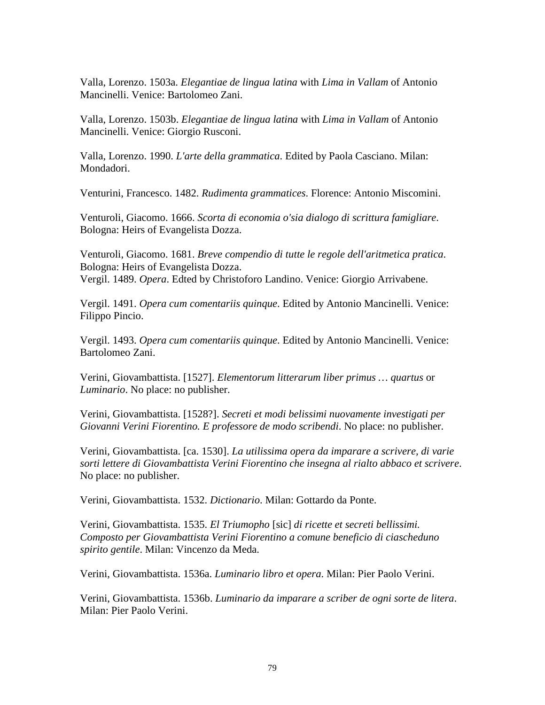Valla, Lorenzo. 1503a. *Elegantiae de lingua latina* with *Lima in Vallam* of Antonio Mancinelli. Venice: Bartolomeo Zani.

Valla, Lorenzo. 1503b. *Elegantiae de lingua latina* with *Lima in Vallam* of Antonio Mancinelli. Venice: Giorgio Rusconi.

Valla, Lorenzo. 1990. *L'arte della grammatica*. Edited by Paola Casciano. Milan: Mondadori.

Venturini, Francesco. 1482. *Rudimenta grammatices*. Florence: Antonio Miscomini.

Venturoli, Giacomo. 1666. *Scorta di economia o'sia dialogo di scrittura famigliare*. Bologna: Heirs of Evangelista Dozza.

Venturoli, Giacomo. 1681. *Breve compendio di tutte le regole dell'aritmetica pratica*. Bologna: Heirs of Evangelista Dozza. Vergil. 1489. *Opera*. Edted by Christoforo Landino. Venice: Giorgio Arrivabene.

Vergil. 1491. *Opera cum comentariis quinque*. Edited by Antonio Mancinelli. Venice: Filippo Pincio.

Vergil. 1493. *Opera cum comentariis quinque*. Edited by Antonio Mancinelli. Venice: Bartolomeo Zani.

Verini, Giovambattista. [1527]. *Elementorum litterarum liber primus … quartus* or *Luminario*. No place: no publisher.

Verini, Giovambattista. [1528?]. *Secreti et modi belissimi nuovamente investigati per Giovanni Verini Fiorentino. E professore de modo scribendi*. No place: no publisher.

Verini, Giovambattista. [ca. 1530]. *La utilissima opera da imparare a scrivere, di varie sorti lettere di Giovambattista Verini Fiorentino che insegna al rialto abbaco et scrivere*. No place: no publisher.

Verini, Giovambattista. 1532. *Dictionario*. Milan: Gottardo da Ponte.

Verini, Giovambattista. 1535. *El Triumopho* [sic] *di ricette et secreti bellissimi. Composto per Giovambattista Verini Fiorentino a comune beneficio di ciascheduno spirito gentile*. Milan: Vincenzo da Meda.

Verini, Giovambattista. 1536a. *Luminario libro et opera*. Milan: Pier Paolo Verini.

Verini, Giovambattista. 1536b. *Luminario da imparare a scriber de ogni sorte de litera*. Milan: Pier Paolo Verini.